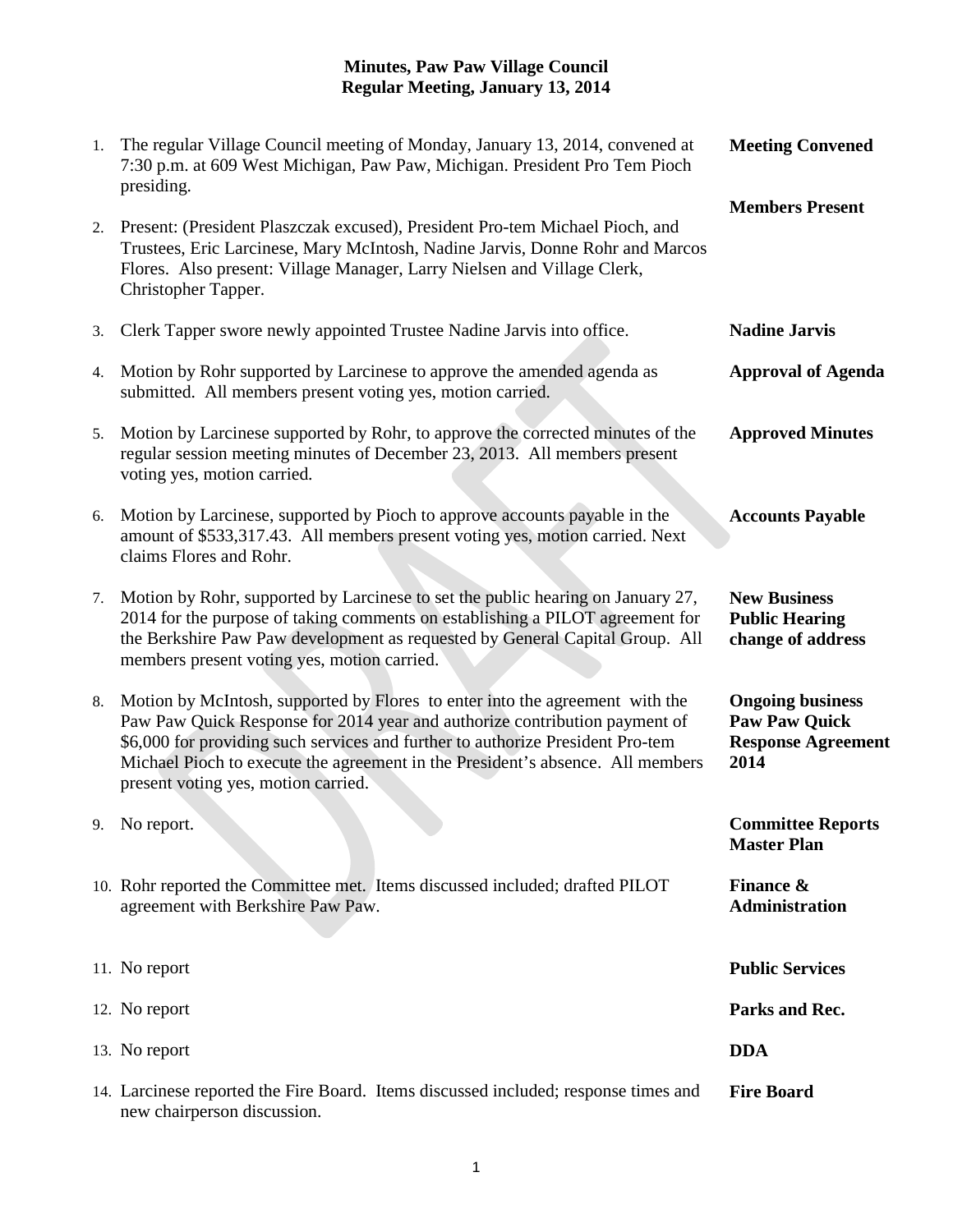#### **Minutes, Paw Paw Village Council Regular Meeting, January 13, 2014**

| 1. | The regular Village Council meeting of Monday, January 13, 2014, convened at<br>7:30 p.m. at 609 West Michigan, Paw Paw, Michigan. President Pro Tem Pioch<br>presiding.                                                                                                                                                                                              | <b>Meeting Convened</b>                                                              |
|----|-----------------------------------------------------------------------------------------------------------------------------------------------------------------------------------------------------------------------------------------------------------------------------------------------------------------------------------------------------------------------|--------------------------------------------------------------------------------------|
| 2. | Present: (President Plaszczak excused), President Pro-tem Michael Pioch, and<br>Trustees, Eric Larcinese, Mary McIntosh, Nadine Jarvis, Donne Rohr and Marcos<br>Flores. Also present: Village Manager, Larry Nielsen and Village Clerk,<br>Christopher Tapper.                                                                                                       | <b>Members Present</b>                                                               |
| 3. | Clerk Tapper swore newly appointed Trustee Nadine Jarvis into office.                                                                                                                                                                                                                                                                                                 | <b>Nadine Jarvis</b>                                                                 |
| 4. | Motion by Rohr supported by Larcinese to approve the amended agenda as<br>submitted. All members present voting yes, motion carried.                                                                                                                                                                                                                                  | <b>Approval of Agenda</b>                                                            |
| 5. | Motion by Larcinese supported by Rohr, to approve the corrected minutes of the<br>regular session meeting minutes of December 23, 2013. All members present<br>voting yes, motion carried.                                                                                                                                                                            | <b>Approved Minutes</b>                                                              |
| 6. | Motion by Larcinese, supported by Pioch to approve accounts payable in the<br>amount of \$533,317.43. All members present voting yes, motion carried. Next<br>claims Flores and Rohr.                                                                                                                                                                                 | <b>Accounts Payable</b>                                                              |
| 7. | Motion by Rohr, supported by Larcinese to set the public hearing on January 27,<br>2014 for the purpose of taking comments on establishing a PILOT agreement for<br>the Berkshire Paw Paw development as requested by General Capital Group. All<br>members present voting yes, motion carried.                                                                       | <b>New Business</b><br><b>Public Hearing</b><br>change of address                    |
| 8. | Motion by McIntosh, supported by Flores to enter into the agreement with the<br>Paw Paw Quick Response for 2014 year and authorize contribution payment of<br>\$6,000 for providing such services and further to authorize President Pro-tem<br>Michael Pioch to execute the agreement in the President's absence. All members<br>present voting yes, motion carried. | <b>Ongoing business</b><br><b>Paw Paw Quick</b><br><b>Response Agreement</b><br>2014 |
| 9. | No report.                                                                                                                                                                                                                                                                                                                                                            | <b>Committee Reports</b><br><b>Master Plan</b>                                       |
|    | 10. Rohr reported the Committee met. Items discussed included; drafted PILOT<br>agreement with Berkshire Paw Paw.                                                                                                                                                                                                                                                     | Finance &<br><b>Administration</b>                                                   |
|    | 11. No report                                                                                                                                                                                                                                                                                                                                                         | <b>Public Services</b>                                                               |
|    | 12. No report                                                                                                                                                                                                                                                                                                                                                         | Parks and Rec.                                                                       |
|    | 13. No report                                                                                                                                                                                                                                                                                                                                                         | <b>DDA</b>                                                                           |
|    | 14. Larcinese reported the Fire Board. Items discussed included; response times and<br>new chairperson discussion.                                                                                                                                                                                                                                                    | <b>Fire Board</b>                                                                    |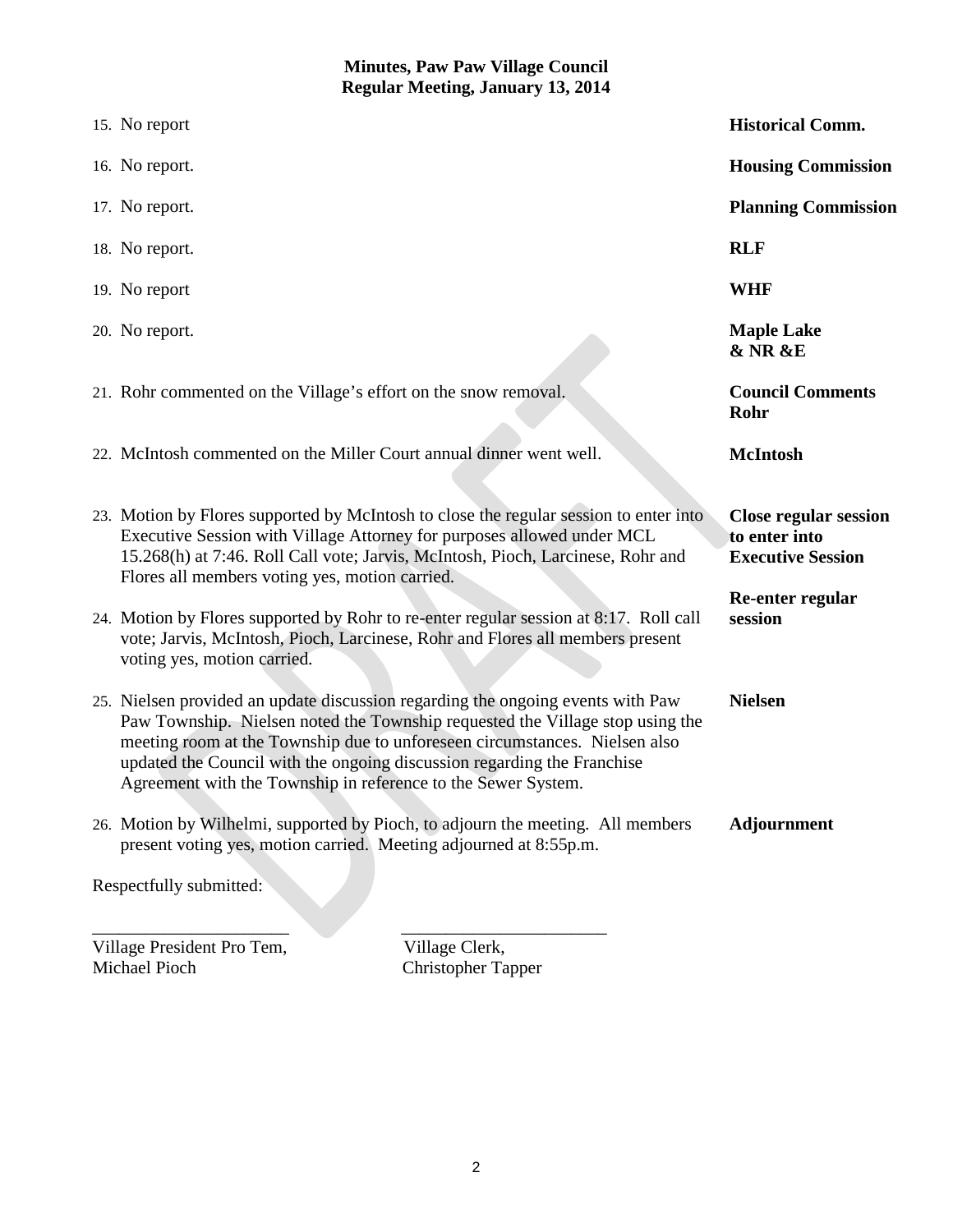### **Minutes, Paw Paw Village Council Regular Meeting, January 13, 2014**

| 15. No report                                                                                                                                                                                                                                                                                                                                                                              | <b>Historical Comm.</b>                                                   |
|--------------------------------------------------------------------------------------------------------------------------------------------------------------------------------------------------------------------------------------------------------------------------------------------------------------------------------------------------------------------------------------------|---------------------------------------------------------------------------|
| 16. No report.                                                                                                                                                                                                                                                                                                                                                                             | <b>Housing Commission</b>                                                 |
| 17. No report.                                                                                                                                                                                                                                                                                                                                                                             | <b>Planning Commission</b>                                                |
| 18. No report.                                                                                                                                                                                                                                                                                                                                                                             | <b>RLF</b>                                                                |
| 19. No report                                                                                                                                                                                                                                                                                                                                                                              | <b>WHF</b>                                                                |
| 20. No report.                                                                                                                                                                                                                                                                                                                                                                             | <b>Maple Lake</b><br><b>&amp; NR &amp;E</b>                               |
| 21. Rohr commented on the Village's effort on the snow removal.                                                                                                                                                                                                                                                                                                                            | <b>Council Comments</b><br>Rohr                                           |
| 22. McIntosh commented on the Miller Court annual dinner went well.                                                                                                                                                                                                                                                                                                                        | <b>McIntosh</b>                                                           |
| 23. Motion by Flores supported by McIntosh to close the regular session to enter into<br>Executive Session with Village Attorney for purposes allowed under MCL<br>15.268(h) at 7:46. Roll Call vote; Jarvis, McIntosh, Pioch, Larcinese, Rohr and<br>Flores all members voting yes, motion carried.                                                                                       | <b>Close regular session</b><br>to enter into<br><b>Executive Session</b> |
| 24. Motion by Flores supported by Rohr to re-enter regular session at 8:17. Roll call<br>vote; Jarvis, McIntosh, Pioch, Larcinese, Rohr and Flores all members present<br>voting yes, motion carried.                                                                                                                                                                                      | Re-enter regular<br>session                                               |
| 25. Nielsen provided an update discussion regarding the ongoing events with Paw<br>Paw Township. Nielsen noted the Township requested the Village stop using the<br>meeting room at the Township due to unforeseen circumstances. Nielsen also<br>updated the Council with the ongoing discussion regarding the Franchise<br>Agreement with the Township in reference to the Sewer System. | <b>Nielsen</b>                                                            |
| 26. Motion by Wilhelmi, supported by Pioch, to adjourn the meeting. All members<br>present voting yes, motion carried. Meeting adjourned at 8:55p.m.                                                                                                                                                                                                                                       | <b>Adjournment</b>                                                        |
|                                                                                                                                                                                                                                                                                                                                                                                            |                                                                           |

Respectfully submitted:

Village President Pro Tem,<br>Michael Pioch<br>Christopher Ta

 $\overline{\phantom{a}}$  , and the contract of the contract of the contract of the contract of the contract of the contract of the contract of the contract of the contract of the contract of the contract of the contract of the contrac Christopher Tapper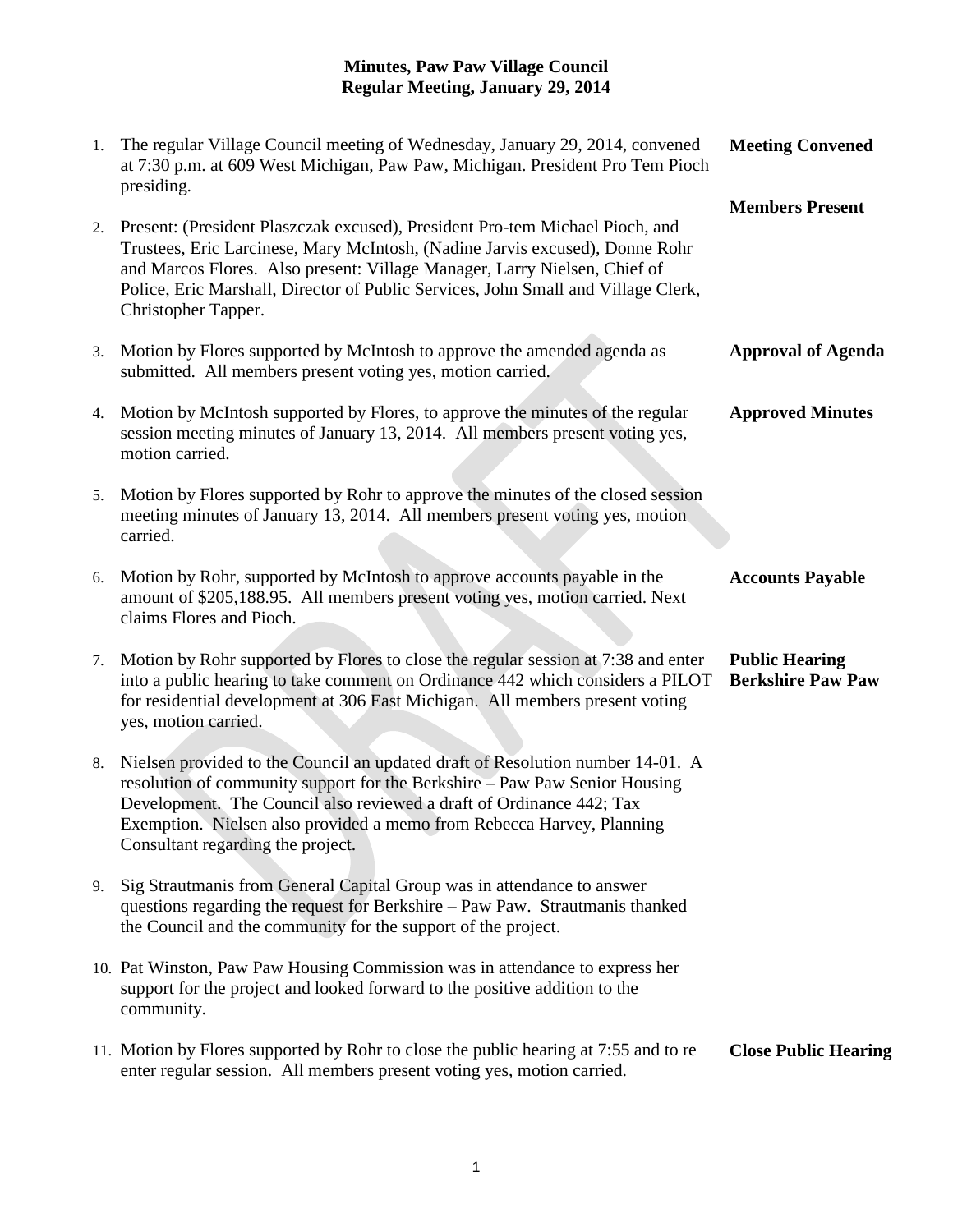### **Minutes, Paw Paw Village Council Regular Meeting, January 29, 2014**

| 1. | The regular Village Council meeting of Wednesday, January 29, 2014, convened<br>at 7:30 p.m. at 609 West Michigan, Paw Paw, Michigan. President Pro Tem Pioch<br>presiding.                                                                                                                                                                           | <b>Meeting Convened</b>                           |
|----|-------------------------------------------------------------------------------------------------------------------------------------------------------------------------------------------------------------------------------------------------------------------------------------------------------------------------------------------------------|---------------------------------------------------|
| 2. | Present: (President Plaszczak excused), President Pro-tem Michael Pioch, and<br>Trustees, Eric Larcinese, Mary McIntosh, (Nadine Jarvis excused), Donne Rohr<br>and Marcos Flores. Also present: Village Manager, Larry Nielsen, Chief of<br>Police, Eric Marshall, Director of Public Services, John Small and Village Clerk,<br>Christopher Tapper. | <b>Members Present</b>                            |
| 3. | Motion by Flores supported by McIntosh to approve the amended agenda as<br>submitted. All members present voting yes, motion carried.                                                                                                                                                                                                                 | <b>Approval of Agenda</b>                         |
| 4. | Motion by McIntosh supported by Flores, to approve the minutes of the regular<br>session meeting minutes of January 13, 2014. All members present voting yes,<br>motion carried.                                                                                                                                                                      | <b>Approved Minutes</b>                           |
| 5. | Motion by Flores supported by Rohr to approve the minutes of the closed session<br>meeting minutes of January 13, 2014. All members present voting yes, motion<br>carried.                                                                                                                                                                            |                                                   |
| 6. | Motion by Rohr, supported by McIntosh to approve accounts payable in the<br>amount of \$205,188.95. All members present voting yes, motion carried. Next<br>claims Flores and Pioch.                                                                                                                                                                  | <b>Accounts Payable</b>                           |
| 7. | Motion by Rohr supported by Flores to close the regular session at 7:38 and enter<br>into a public hearing to take comment on Ordinance 442 which considers a PILOT<br>for residential development at 306 East Michigan. All members present voting<br>yes, motion carried.                                                                           | <b>Public Hearing</b><br><b>Berkshire Paw Paw</b> |
| 8. | Nielsen provided to the Council an updated draft of Resolution number 14-01. A<br>resolution of community support for the Berkshire - Paw Paw Senior Housing<br>Development. The Council also reviewed a draft of Ordinance 442; Tax<br>Exemption. Nielsen also provided a memo from Rebecca Harvey, Planning<br>Consultant regarding the project.    |                                                   |
| 9. | Sig Strautmanis from General Capital Group was in attendance to answer<br>questions regarding the request for Berkshire – Paw Paw. Strautmanis thanked<br>the Council and the community for the support of the project.                                                                                                                               |                                                   |
|    | 10. Pat Winston, Paw Paw Housing Commission was in attendance to express her<br>support for the project and looked forward to the positive addition to the<br>community.                                                                                                                                                                              |                                                   |
|    | 11. Motion by Flores supported by Rohr to close the public hearing at 7:55 and to re<br>enter regular session. All members present voting yes, motion carried.                                                                                                                                                                                        | <b>Close Public Hearing</b>                       |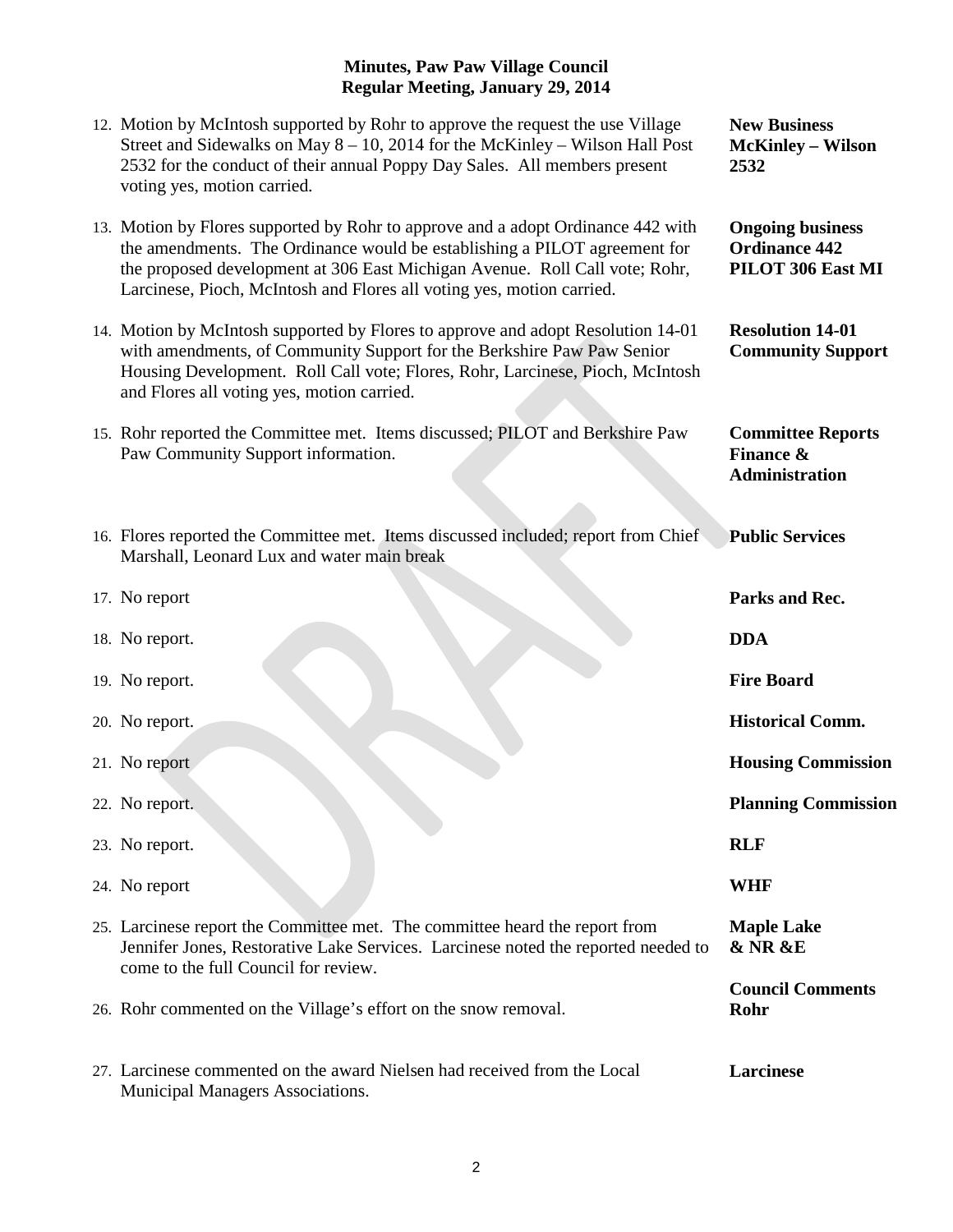### **Minutes, Paw Paw Village Council Regular Meeting, January 29, 2014**

| 12. Motion by McIntosh supported by Rohr to approve the request the use Village<br>Street and Sidewalks on May $8 - 10$ , 2014 for the McKinley – Wilson Hall Post<br>2532 for the conduct of their annual Poppy Day Sales. All members present<br>voting yes, motion carried.                                        | <b>New Business</b><br><b>McKinley – Wilson</b><br>2532              |
|-----------------------------------------------------------------------------------------------------------------------------------------------------------------------------------------------------------------------------------------------------------------------------------------------------------------------|----------------------------------------------------------------------|
| 13. Motion by Flores supported by Rohr to approve and a adopt Ordinance 442 with<br>the amendments. The Ordinance would be establishing a PILOT agreement for<br>the proposed development at 306 East Michigan Avenue. Roll Call vote; Rohr,<br>Larcinese, Pioch, McIntosh and Flores all voting yes, motion carried. | <b>Ongoing business</b><br><b>Ordinance 442</b><br>PILOT 306 East MI |
| 14. Motion by McIntosh supported by Flores to approve and adopt Resolution 14-01<br>with amendments, of Community Support for the Berkshire Paw Paw Senior<br>Housing Development. Roll Call vote; Flores, Rohr, Larcinese, Pioch, McIntosh<br>and Flores all voting yes, motion carried.                             | <b>Resolution 14-01</b><br><b>Community Support</b>                  |
| 15. Rohr reported the Committee met. Items discussed; PILOT and Berkshire Paw<br>Paw Community Support information.                                                                                                                                                                                                   | <b>Committee Reports</b><br>Finance &<br><b>Administration</b>       |
| 16. Flores reported the Committee met. Items discussed included; report from Chief<br>Marshall, Leonard Lux and water main break                                                                                                                                                                                      | <b>Public Services</b>                                               |
| 17. No report                                                                                                                                                                                                                                                                                                         | Parks and Rec.                                                       |
| 18. No report.                                                                                                                                                                                                                                                                                                        | <b>DDA</b>                                                           |
| 19. No report.                                                                                                                                                                                                                                                                                                        | <b>Fire Board</b>                                                    |
| 20. No report.                                                                                                                                                                                                                                                                                                        | <b>Historical Comm.</b>                                              |
| 21. No report                                                                                                                                                                                                                                                                                                         | <b>Housing Commission</b>                                            |
| 22. No report.                                                                                                                                                                                                                                                                                                        | <b>Planning Commission</b>                                           |
| 23. No report.                                                                                                                                                                                                                                                                                                        | <b>RLF</b>                                                           |
| 24. No report                                                                                                                                                                                                                                                                                                         | <b>WHF</b>                                                           |
| 25. Larcinese report the Committee met. The committee heard the report from<br>Jennifer Jones, Restorative Lake Services. Larcinese noted the reported needed to<br>come to the full Council for review.                                                                                                              | <b>Maple Lake</b><br>& NR &E                                         |
| 26. Rohr commented on the Village's effort on the snow removal.                                                                                                                                                                                                                                                       | <b>Council Comments</b><br>Rohr                                      |
| 27. Larcinese commented on the award Nielsen had received from the Local<br>Municipal Managers Associations.                                                                                                                                                                                                          | Larcinese                                                            |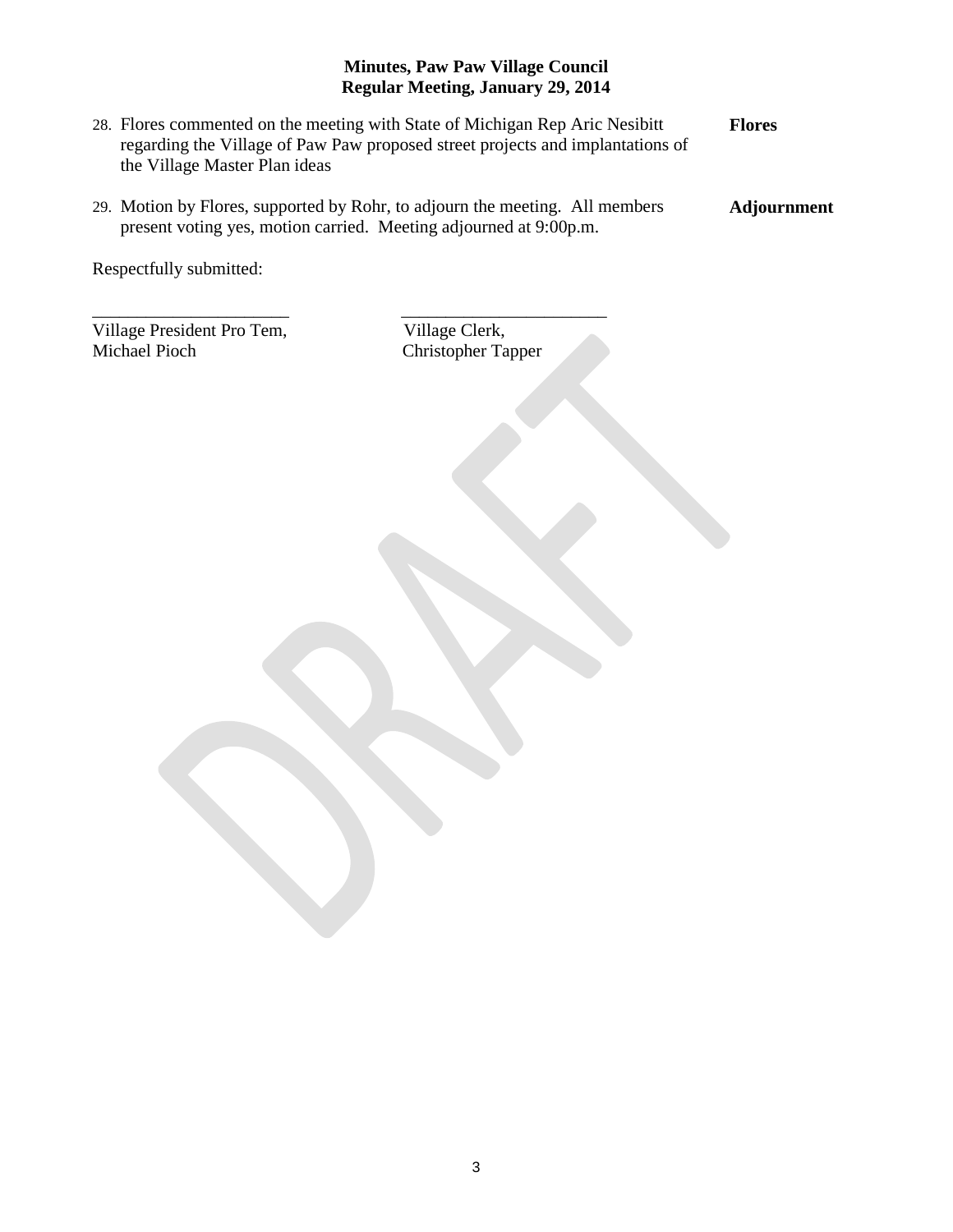## **Minutes, Paw Paw Village Council Regular Meeting, January 29, 2014**

| the Village Master Plan ideas                                     | 28. Flores commented on the meeting with State of Michigan Rep Aric Nesibitt<br>regarding the Village of Paw Paw proposed street projects and implantations of | <b>Flores</b> |
|-------------------------------------------------------------------|----------------------------------------------------------------------------------------------------------------------------------------------------------------|---------------|
| present voting yes, motion carried. Meeting adjourned at 9:00p.m. | 29. Motion by Flores, supported by Rohr, to adjourn the meeting. All members                                                                                   | Adjournment   |
| Respectfully submitted:                                           |                                                                                                                                                                |               |
| Village President Pro Tem,<br>Michael Pioch                       | Village Clerk,<br>Christopher Tapper                                                                                                                           |               |
|                                                                   |                                                                                                                                                                |               |
|                                                                   |                                                                                                                                                                |               |
|                                                                   |                                                                                                                                                                |               |
|                                                                   |                                                                                                                                                                |               |
|                                                                   |                                                                                                                                                                |               |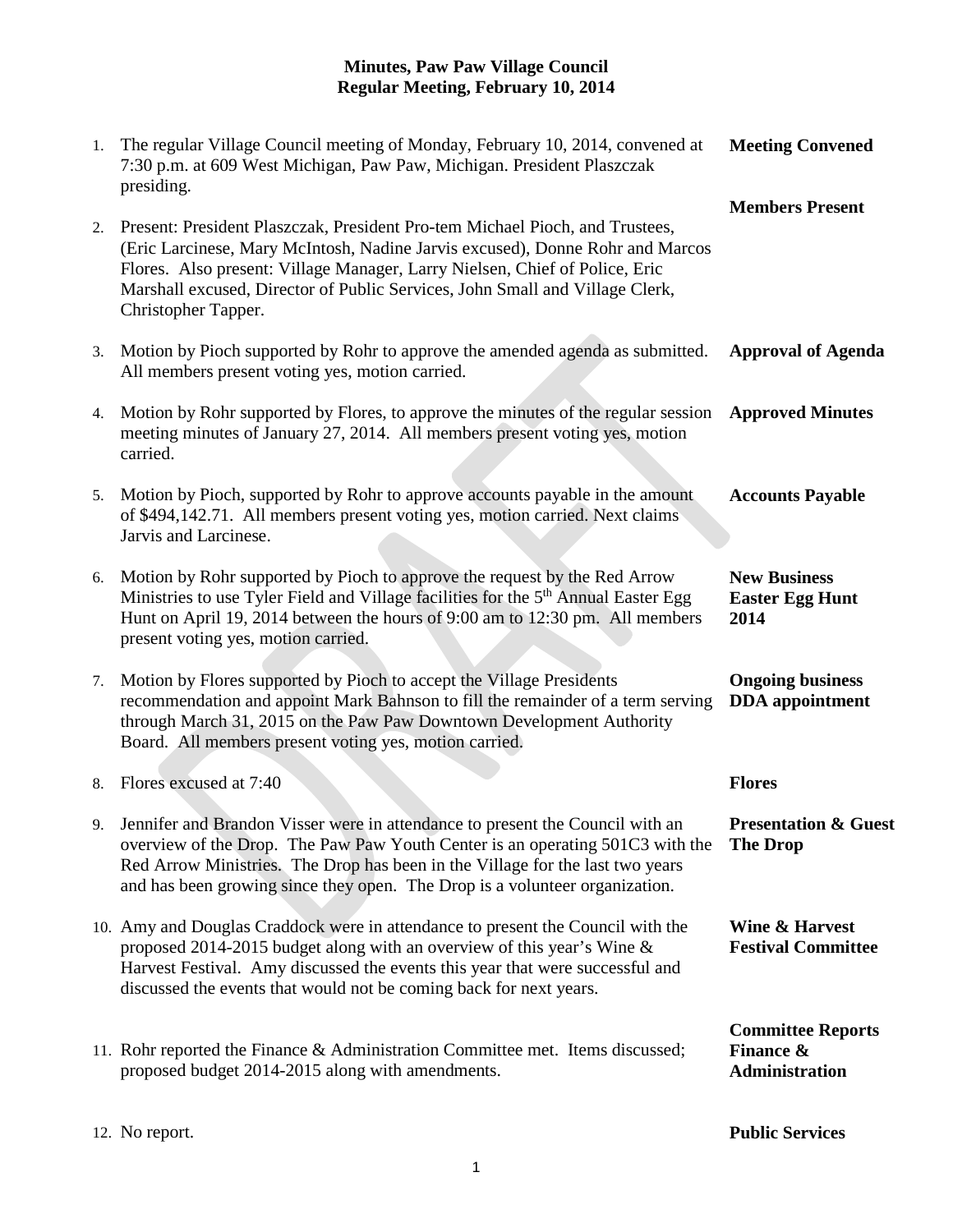### **Minutes, Paw Paw Village Council Regular Meeting, February 10, 2014**

| 1. | The regular Village Council meeting of Monday, February 10, 2014, convened at<br>7:30 p.m. at 609 West Michigan, Paw Paw, Michigan. President Plaszczak<br>presiding.                                                                                                                                                                               | <b>Meeting Convened</b>                                        |
|----|-----------------------------------------------------------------------------------------------------------------------------------------------------------------------------------------------------------------------------------------------------------------------------------------------------------------------------------------------------|----------------------------------------------------------------|
| 2. | Present: President Plaszczak, President Pro-tem Michael Pioch, and Trustees,<br>(Eric Larcinese, Mary McIntosh, Nadine Jarvis excused), Donne Rohr and Marcos<br>Flores. Also present: Village Manager, Larry Nielsen, Chief of Police, Eric<br>Marshall excused, Director of Public Services, John Small and Village Clerk,<br>Christopher Tapper. | <b>Members Present</b>                                         |
| 3. | Motion by Pioch supported by Rohr to approve the amended agenda as submitted.<br>All members present voting yes, motion carried.                                                                                                                                                                                                                    | <b>Approval of Agenda</b>                                      |
| 4. | Motion by Rohr supported by Flores, to approve the minutes of the regular session<br>meeting minutes of January 27, 2014. All members present voting yes, motion<br>carried.                                                                                                                                                                        | <b>Approved Minutes</b>                                        |
| 5. | Motion by Pioch, supported by Rohr to approve accounts payable in the amount<br>of \$494,142.71. All members present voting yes, motion carried. Next claims<br>Jarvis and Larcinese.                                                                                                                                                               | <b>Accounts Payable</b>                                        |
| 6. | Motion by Rohr supported by Pioch to approve the request by the Red Arrow<br>Ministries to use Tyler Field and Village facilities for the 5 <sup>th</sup> Annual Easter Egg<br>Hunt on April 19, 2014 between the hours of 9:00 am to 12:30 pm. All members<br>present voting yes, motion carried.                                                  | <b>New Business</b><br><b>Easter Egg Hunt</b><br>2014          |
| 7. | Motion by Flores supported by Pioch to accept the Village Presidents<br>recommendation and appoint Mark Bahnson to fill the remainder of a term serving<br>through March 31, 2015 on the Paw Paw Downtown Development Authority<br>Board. All members present voting yes, motion carried.                                                           | <b>Ongoing business</b><br><b>DDA</b> appointment              |
| 8. | Flores excused at 7:40                                                                                                                                                                                                                                                                                                                              | <b>Flores</b>                                                  |
| 9. | Jennifer and Brandon Visser were in attendance to present the Council with an<br>overview of the Drop. The Paw Paw Youth Center is an operating 501C3 with the<br>Red Arrow Ministries. The Drop has been in the Village for the last two years<br>and has been growing since they open. The Drop is a volunteer organization.                      | <b>Presentation &amp; Guest</b><br><b>The Drop</b>             |
|    | 10. Amy and Douglas Craddock were in attendance to present the Council with the<br>proposed 2014-2015 budget along with an overview of this year's Wine $\&$<br>Harvest Festival. Amy discussed the events this year that were successful and<br>discussed the events that would not be coming back for next years.                                 | Wine & Harvest<br><b>Festival Committee</b>                    |
|    | 11. Rohr reported the Finance & Administration Committee met. Items discussed;<br>proposed budget 2014-2015 along with amendments.                                                                                                                                                                                                                  | <b>Committee Reports</b><br>Finance &<br><b>Administration</b> |
|    |                                                                                                                                                                                                                                                                                                                                                     |                                                                |

12. No report.

**Public Services**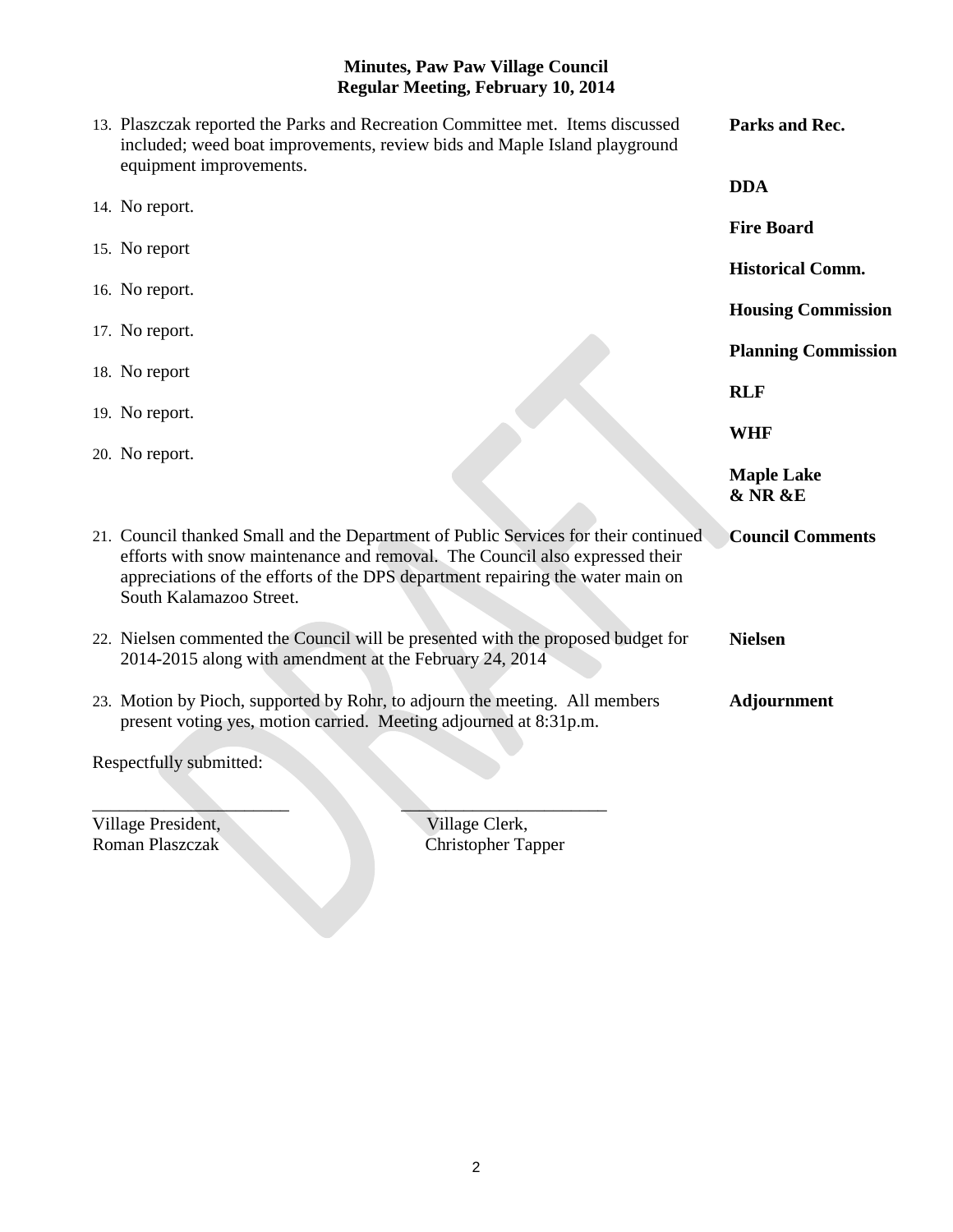## **Minutes, Paw Paw Village Council Regular Meeting, February 10, 2014**

| 13. Plaszczak reported the Parks and Recreation Committee met. Items discussed<br>included; weed boat improvements, review bids and Maple Island playground<br>equipment improvements.                                                                                          | Parks and Rec.                  |
|---------------------------------------------------------------------------------------------------------------------------------------------------------------------------------------------------------------------------------------------------------------------------------|---------------------------------|
| 14. No report.                                                                                                                                                                                                                                                                  | <b>DDA</b><br><b>Fire Board</b> |
| 15. No report                                                                                                                                                                                                                                                                   | <b>Historical Comm.</b>         |
| 16. No report.<br>17. No report.                                                                                                                                                                                                                                                | <b>Housing Commission</b>       |
| 18. No report                                                                                                                                                                                                                                                                   | <b>Planning Commission</b>      |
| 19. No report.                                                                                                                                                                                                                                                                  | <b>RLF</b><br><b>WHF</b>        |
| 20. No report.                                                                                                                                                                                                                                                                  | <b>Maple Lake</b><br>& NR &E    |
| 21. Council thanked Small and the Department of Public Services for their continued<br>efforts with snow maintenance and removal. The Council also expressed their<br>appreciations of the efforts of the DPS department repairing the water main on<br>South Kalamazoo Street. | <b>Council Comments</b>         |
| 22. Nielsen commented the Council will be presented with the proposed budget for<br>2014-2015 along with amendment at the February 24, 2014                                                                                                                                     | <b>Nielsen</b>                  |
| 23. Motion by Pioch, supported by Rohr, to adjourn the meeting. All members<br>present voting yes, motion carried. Meeting adjourned at 8:31p.m.                                                                                                                                | <b>Adjournment</b>              |
| Respectfully submitted:                                                                                                                                                                                                                                                         |                                 |

Village President,<br>Roman Plaszczak

Roman Plaszczak Christopher Tapper

\_\_\_\_\_\_\_\_\_\_\_\_\_\_\_\_\_\_\_\_\_\_ \_\_\_\_\_\_\_\_\_\_\_\_\_\_\_\_\_\_\_\_\_\_\_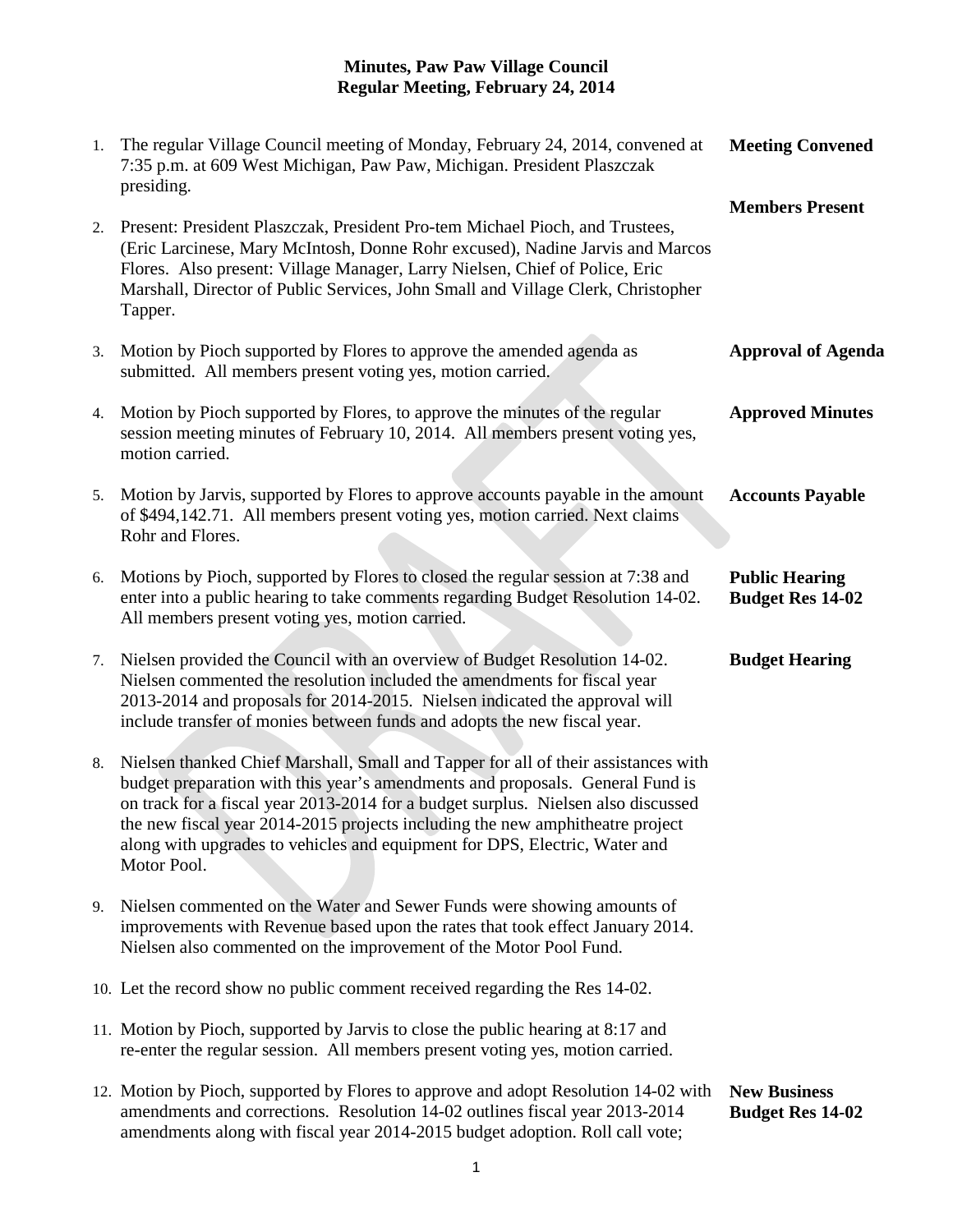### **Minutes, Paw Paw Village Council Regular Meeting, February 24, 2014**

| 1. | The regular Village Council meeting of Monday, February 24, 2014, convened at<br>7:35 p.m. at 609 West Michigan, Paw Paw, Michigan. President Plaszczak<br>presiding.                                                                                                                                                                                                                                                                  | <b>Meeting Convened</b>                          |
|----|----------------------------------------------------------------------------------------------------------------------------------------------------------------------------------------------------------------------------------------------------------------------------------------------------------------------------------------------------------------------------------------------------------------------------------------|--------------------------------------------------|
|    |                                                                                                                                                                                                                                                                                                                                                                                                                                        | <b>Members Present</b>                           |
| 2. | Present: President Plaszczak, President Pro-tem Michael Pioch, and Trustees,<br>(Eric Larcinese, Mary McIntosh, Donne Rohr excused), Nadine Jarvis and Marcos<br>Flores. Also present: Village Manager, Larry Nielsen, Chief of Police, Eric<br>Marshall, Director of Public Services, John Small and Village Clerk, Christopher<br>Tapper.                                                                                            |                                                  |
| 3. | Motion by Pioch supported by Flores to approve the amended agenda as<br>submitted. All members present voting yes, motion carried.                                                                                                                                                                                                                                                                                                     | <b>Approval of Agenda</b>                        |
| 4. | Motion by Pioch supported by Flores, to approve the minutes of the regular<br>session meeting minutes of February 10, 2014. All members present voting yes,<br>motion carried.                                                                                                                                                                                                                                                         | <b>Approved Minutes</b>                          |
| 5. | Motion by Jarvis, supported by Flores to approve accounts payable in the amount<br>of \$494,142.71. All members present voting yes, motion carried. Next claims<br>Rohr and Flores.                                                                                                                                                                                                                                                    | <b>Accounts Payable</b>                          |
| 6. | Motions by Pioch, supported by Flores to closed the regular session at 7:38 and<br>enter into a public hearing to take comments regarding Budget Resolution 14-02.<br>All members present voting yes, motion carried.                                                                                                                                                                                                                  | <b>Public Hearing</b><br><b>Budget Res 14-02</b> |
| 7. | Nielsen provided the Council with an overview of Budget Resolution 14-02.<br>Nielsen commented the resolution included the amendments for fiscal year<br>2013-2014 and proposals for 2014-2015. Nielsen indicated the approval will<br>include transfer of monies between funds and adopts the new fiscal year.                                                                                                                        | <b>Budget Hearing</b>                            |
| 8. | Nielsen thanked Chief Marshall, Small and Tapper for all of their assistances with<br>budget preparation with this year's amendments and proposals. General Fund is<br>on track for a fiscal year 2013-2014 for a budget surplus. Nielsen also discussed<br>the new fiscal year 2014-2015 projects including the new amphitheatre project<br>along with upgrades to vehicles and equipment for DPS, Electric, Water and<br>Motor Pool. |                                                  |
| 9. | Nielsen commented on the Water and Sewer Funds were showing amounts of<br>improvements with Revenue based upon the rates that took effect January 2014.<br>Nielsen also commented on the improvement of the Motor Pool Fund.                                                                                                                                                                                                           |                                                  |
|    | 10. Let the record show no public comment received regarding the Res 14-02.                                                                                                                                                                                                                                                                                                                                                            |                                                  |
|    | 11. Motion by Pioch, supported by Jarvis to close the public hearing at 8:17 and<br>re-enter the regular session. All members present voting yes, motion carried.                                                                                                                                                                                                                                                                      |                                                  |
|    | 12. Motion by Pioch, supported by Flores to approve and adopt Resolution 14-02 with<br>amendments and corrections. Resolution 14-02 outlines fiscal year 2013-2014<br>amendments along with fiscal year 2014-2015 budget adoption. Roll call vote;                                                                                                                                                                                     | <b>New Business</b><br><b>Budget Res 14-02</b>   |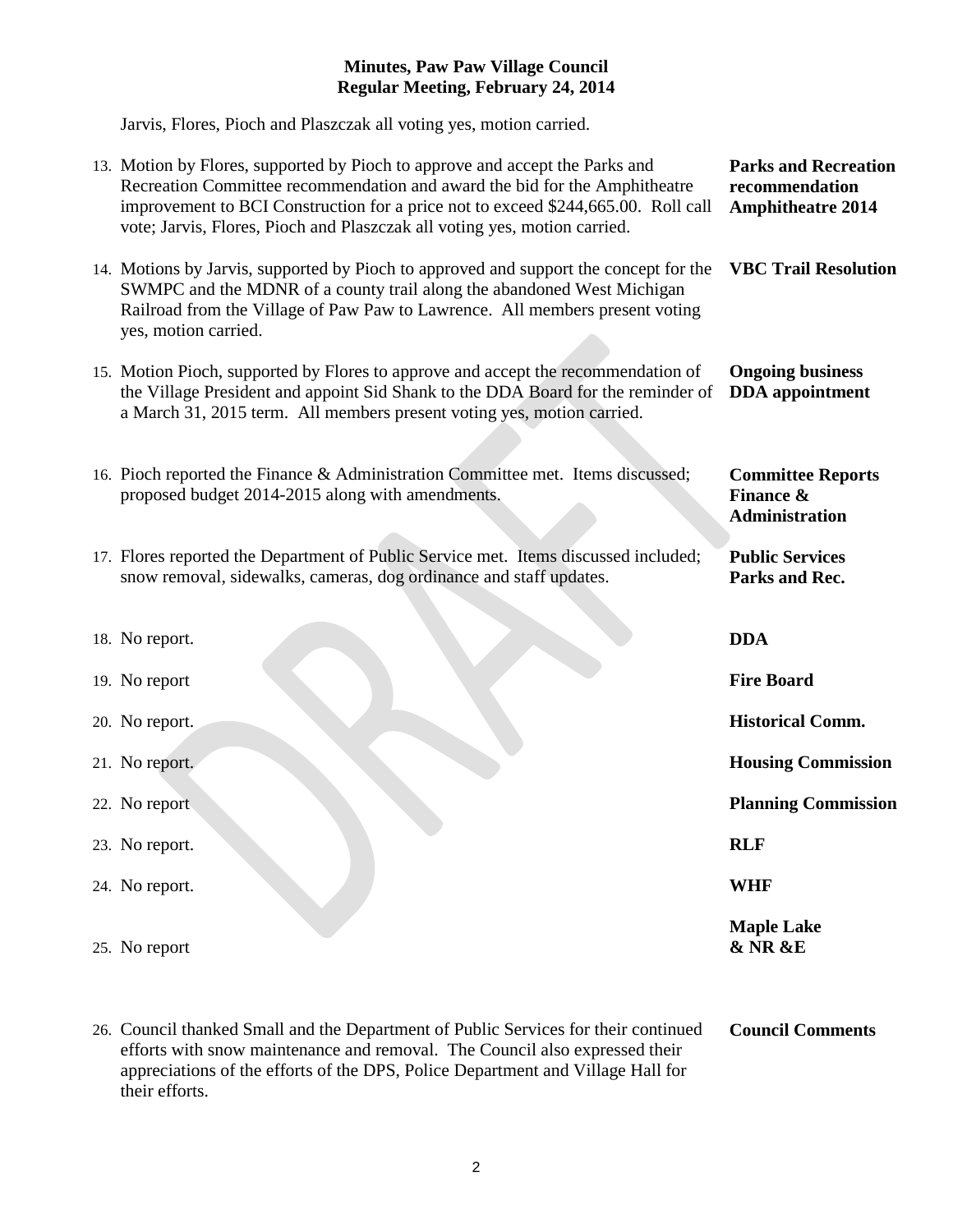#### **Minutes, Paw Paw Village Council Regular Meeting, February 24, 2014**

Jarvis, Flores, Pioch and Plaszczak all voting yes, motion carried.

| 13. Motion by Flores, supported by Pioch to approve and accept the Parks and<br>Recreation Committee recommendation and award the bid for the Amphitheatre<br>improvement to BCI Construction for a price not to exceed \$244,665.00. Roll call<br>vote; Jarvis, Flores, Pioch and Plaszczak all voting yes, motion carried. | <b>Parks and Recreation</b><br>recommendation<br><b>Amphitheatre 2014</b> |
|------------------------------------------------------------------------------------------------------------------------------------------------------------------------------------------------------------------------------------------------------------------------------------------------------------------------------|---------------------------------------------------------------------------|
| 14. Motions by Jarvis, supported by Pioch to approved and support the concept for the<br>SWMPC and the MDNR of a county trail along the abandoned West Michigan<br>Railroad from the Village of Paw Paw to Lawrence. All members present voting<br>yes, motion carried.                                                      | <b>VBC Trail Resolution</b>                                               |
| 15. Motion Pioch, supported by Flores to approve and accept the recommendation of<br>the Village President and appoint Sid Shank to the DDA Board for the reminder of<br>a March 31, 2015 term. All members present voting yes, motion carried.                                                                              | <b>Ongoing business</b><br><b>DDA</b> appointment                         |
| 16. Pioch reported the Finance & Administration Committee met. Items discussed;<br>proposed budget 2014-2015 along with amendments.                                                                                                                                                                                          | <b>Committee Reports</b><br>Finance &<br><b>Administration</b>            |
| 17. Flores reported the Department of Public Service met. Items discussed included;<br>snow removal, sidewalks, cameras, dog ordinance and staff updates.                                                                                                                                                                    | <b>Public Services</b><br>Parks and Rec.                                  |
| 18. No report.                                                                                                                                                                                                                                                                                                               | <b>DDA</b>                                                                |
| 19. No report                                                                                                                                                                                                                                                                                                                | <b>Fire Board</b>                                                         |
| 20. No report.                                                                                                                                                                                                                                                                                                               | <b>Historical Comm.</b>                                                   |
| 21. No report.                                                                                                                                                                                                                                                                                                               | <b>Housing Commission</b>                                                 |
| 22. No report                                                                                                                                                                                                                                                                                                                | <b>Planning Commission</b>                                                |
| 23. No report.                                                                                                                                                                                                                                                                                                               | <b>RLF</b>                                                                |
| 24. No report.                                                                                                                                                                                                                                                                                                               | <b>WHF</b>                                                                |
| 25. No report                                                                                                                                                                                                                                                                                                                | <b>Maple Lake</b><br>& NR &E                                              |

<sup>26.</sup> Council thanked Small and the Department of Public Services for their continued efforts with snow maintenance and removal. The Council also expressed their appreciations of the efforts of the DPS, Police Department and Village Hall for their efforts. **Council Comments**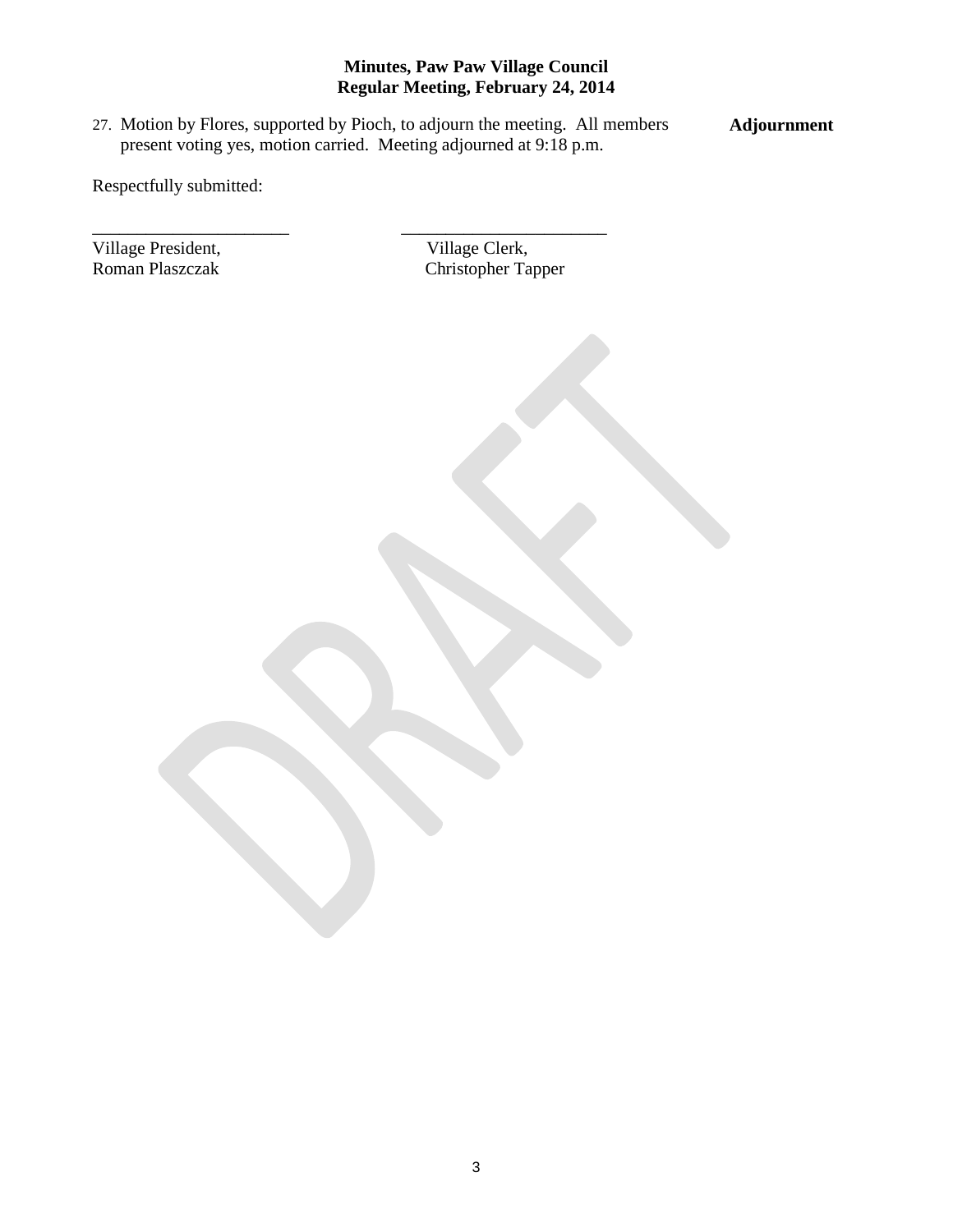#### **Minutes, Paw Paw Village Council Regular Meeting, February 24, 2014**

27. Motion by Flores, supported by Pioch, to adjourn the meeting. All members present voting yes, motion carried. Meeting adjourned at 9:18 p.m.

\_\_\_\_\_\_\_\_\_\_\_\_\_\_\_\_\_\_\_\_\_\_ \_\_\_\_\_\_\_\_\_\_\_\_\_\_\_\_\_\_\_\_\_\_\_

## **Adjournment**

Respectfully submitted:

Village President, Village Clerk, Village Clerk, Roman Plaszczak (Christopher Ta

Christopher Tapper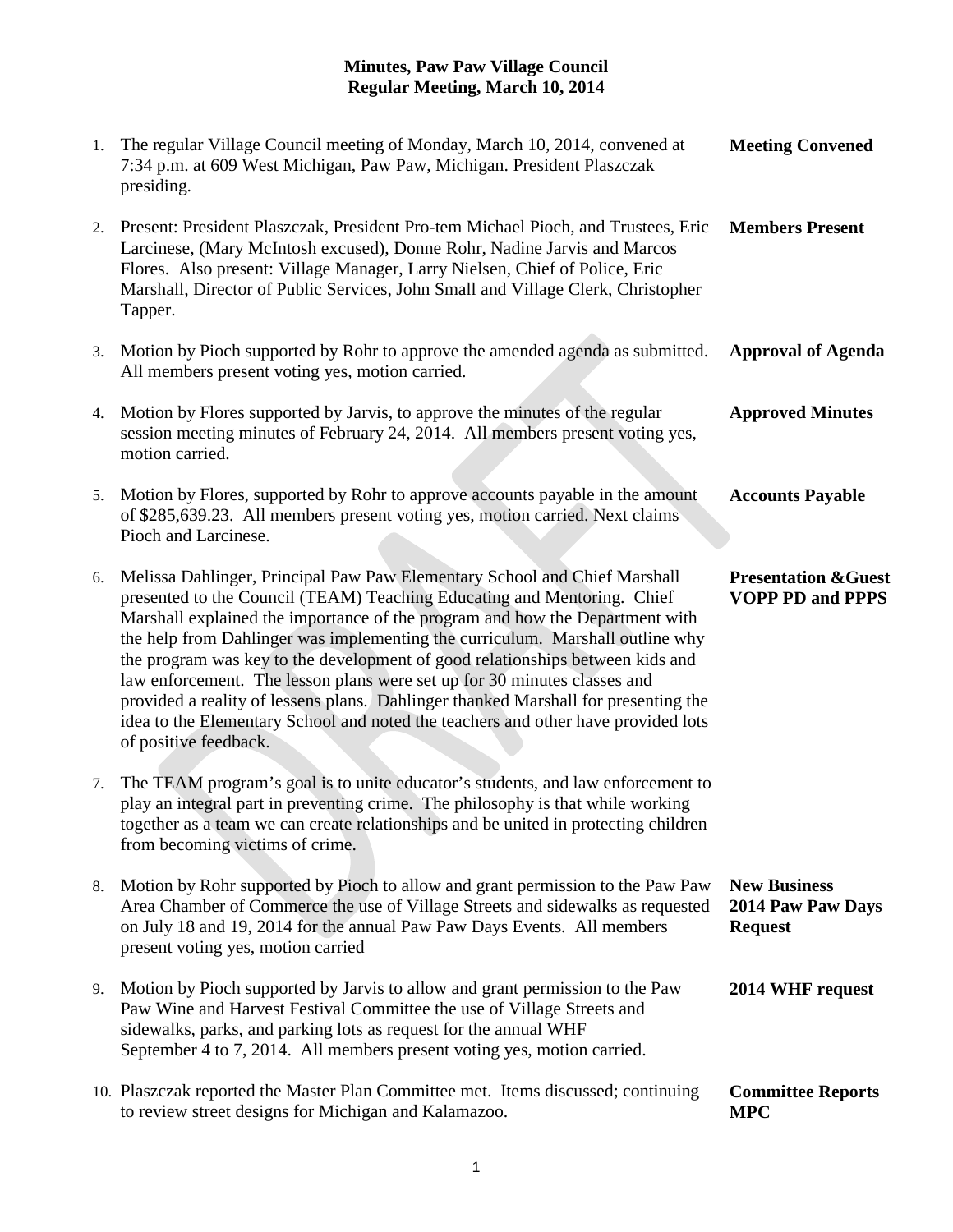#### **Minutes, Paw Paw Village Council Regular Meeting, March 10, 2014**

| 1. | The regular Village Council meeting of Monday, March 10, 2014, convened at<br>7:34 p.m. at 609 West Michigan, Paw Paw, Michigan. President Plaszczak<br>presiding.                                                                                                                                                                                                                                                                                                                                                                                                                                                                                                                     | <b>Meeting Convened</b>                                    |
|----|----------------------------------------------------------------------------------------------------------------------------------------------------------------------------------------------------------------------------------------------------------------------------------------------------------------------------------------------------------------------------------------------------------------------------------------------------------------------------------------------------------------------------------------------------------------------------------------------------------------------------------------------------------------------------------------|------------------------------------------------------------|
| 2. | Present: President Plaszczak, President Pro-tem Michael Pioch, and Trustees, Eric<br>Larcinese, (Mary McIntosh excused), Donne Rohr, Nadine Jarvis and Marcos<br>Flores. Also present: Village Manager, Larry Nielsen, Chief of Police, Eric<br>Marshall, Director of Public Services, John Small and Village Clerk, Christopher<br>Tapper.                                                                                                                                                                                                                                                                                                                                            | <b>Members Present</b>                                     |
| 3. | Motion by Pioch supported by Rohr to approve the amended agenda as submitted.<br>All members present voting yes, motion carried.                                                                                                                                                                                                                                                                                                                                                                                                                                                                                                                                                       | <b>Approval of Agenda</b>                                  |
| 4. | Motion by Flores supported by Jarvis, to approve the minutes of the regular<br>session meeting minutes of February 24, 2014. All members present voting yes,<br>motion carried.                                                                                                                                                                                                                                                                                                                                                                                                                                                                                                        | <b>Approved Minutes</b>                                    |
| 5. | Motion by Flores, supported by Rohr to approve accounts payable in the amount<br>of \$285,639.23. All members present voting yes, motion carried. Next claims<br>Pioch and Larcinese.                                                                                                                                                                                                                                                                                                                                                                                                                                                                                                  | <b>Accounts Payable</b>                                    |
| 6. | Melissa Dahlinger, Principal Paw Paw Elementary School and Chief Marshall<br>presented to the Council (TEAM) Teaching Educating and Mentoring. Chief<br>Marshall explained the importance of the program and how the Department with<br>the help from Dahlinger was implementing the curriculum. Marshall outline why<br>the program was key to the development of good relationships between kids and<br>law enforcement. The lesson plans were set up for 30 minutes classes and<br>provided a reality of lessens plans. Dahlinger thanked Marshall for presenting the<br>idea to the Elementary School and noted the teachers and other have provided lots<br>of positive feedback. | <b>Presentation &amp;Guest</b><br><b>VOPP PD and PPPS</b>  |
| 7. | The TEAM program's goal is to unite educator's students, and law enforcement to<br>play an integral part in preventing crime. The philosophy is that while working<br>together as a team we can create relationships and be united in protecting children<br>from becoming victims of crime.                                                                                                                                                                                                                                                                                                                                                                                           |                                                            |
| 8. | Motion by Rohr supported by Pioch to allow and grant permission to the Paw Paw<br>Area Chamber of Commerce the use of Village Streets and sidewalks as requested<br>on July 18 and 19, 2014 for the annual Paw Paw Days Events. All members<br>present voting yes, motion carried                                                                                                                                                                                                                                                                                                                                                                                                      | <b>New Business</b><br>2014 Paw Paw Days<br><b>Request</b> |
| 9. | Motion by Pioch supported by Jarvis to allow and grant permission to the Paw<br>Paw Wine and Harvest Festival Committee the use of Village Streets and<br>sidewalks, parks, and parking lots as request for the annual WHF<br>September 4 to 7, 2014. All members present voting yes, motion carried.                                                                                                                                                                                                                                                                                                                                                                                  | 2014 WHF request                                           |
|    | 10. Plaszczak reported the Master Plan Committee met. Items discussed; continuing<br>to review street designs for Michigan and Kalamazoo.                                                                                                                                                                                                                                                                                                                                                                                                                                                                                                                                              | <b>Committee Reports</b><br><b>MPC</b>                     |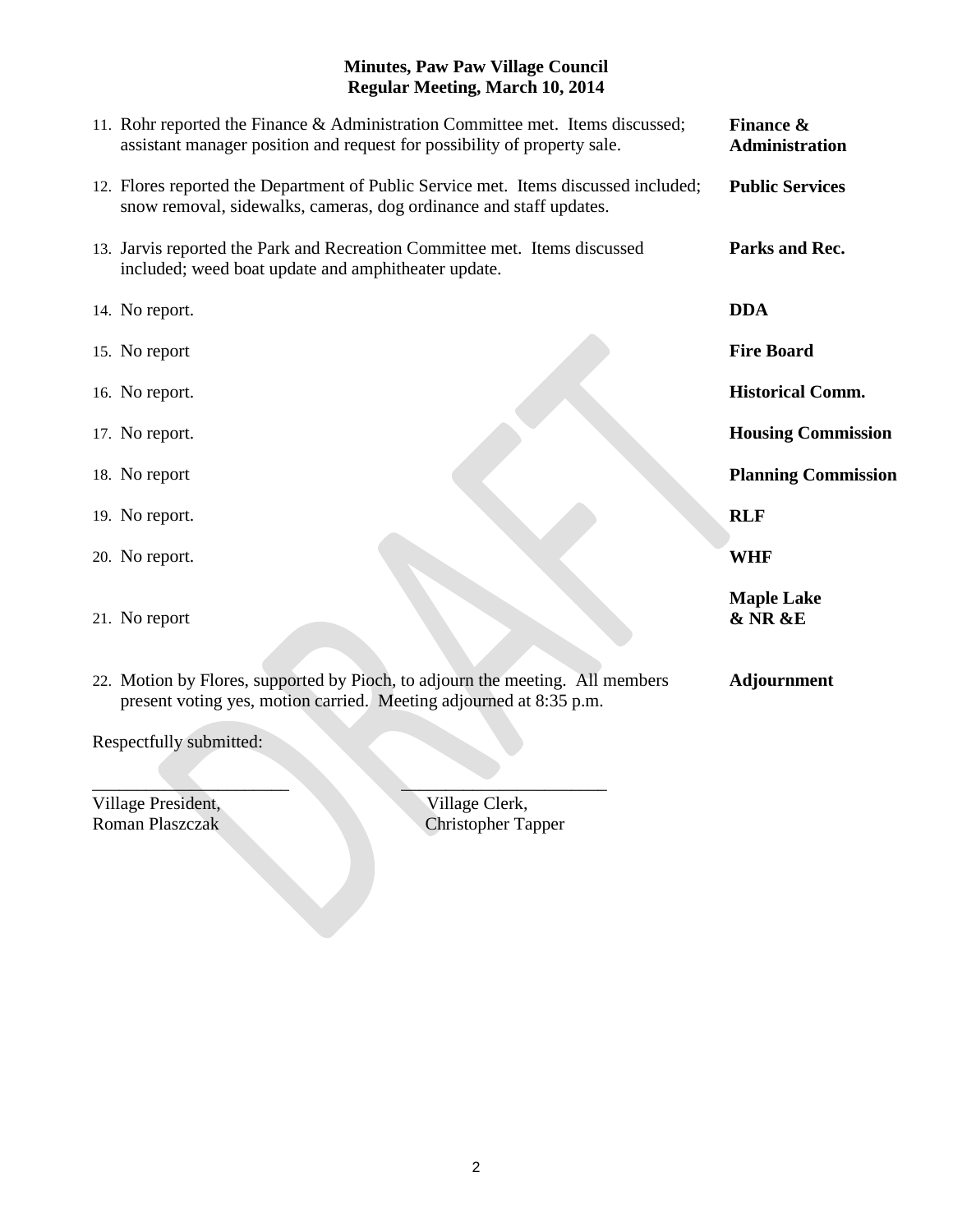## **Minutes, Paw Paw Village Council Regular Meeting, March 10, 2014**

| 11. Rohr reported the Finance & Administration Committee met. Items discussed;<br>assistant manager position and request for possibility of property sale. | Finance &<br><b>Administration</b>          |
|------------------------------------------------------------------------------------------------------------------------------------------------------------|---------------------------------------------|
| 12. Flores reported the Department of Public Service met. Items discussed included;<br>snow removal, sidewalks, cameras, dog ordinance and staff updates.  | <b>Public Services</b>                      |
| 13. Jarvis reported the Park and Recreation Committee met. Items discussed<br>included; weed boat update and amphitheater update.                          | Parks and Rec.                              |
| 14. No report.                                                                                                                                             | <b>DDA</b>                                  |
| 15. No report                                                                                                                                              | <b>Fire Board</b>                           |
| 16. No report.                                                                                                                                             | <b>Historical Comm.</b>                     |
| 17. No report.                                                                                                                                             | <b>Housing Commission</b>                   |
| 18. No report                                                                                                                                              | <b>Planning Commission</b>                  |
| 19. No report.                                                                                                                                             | <b>RLF</b>                                  |
| 20. No report.                                                                                                                                             | <b>WHF</b>                                  |
| 21. No report                                                                                                                                              | <b>Maple Lake</b><br><b>&amp; NR &amp;E</b> |
| 22. Motion by Flores, supported by Pioch, to adjourn the meeting. All members<br>present voting yes, motion carried. Meeting adjourned at 8:35 p.m.        | <b>Adjournment</b>                          |
| Respectfully submitted:                                                                                                                                    |                                             |

Village President, Village Clerk,

\_\_\_\_\_\_\_\_\_\_\_\_\_\_\_\_\_\_\_\_\_\_ \_\_\_\_\_\_\_\_\_\_\_\_\_\_\_\_\_\_\_\_\_\_\_ Village Clerk,<br>Christopher Tapper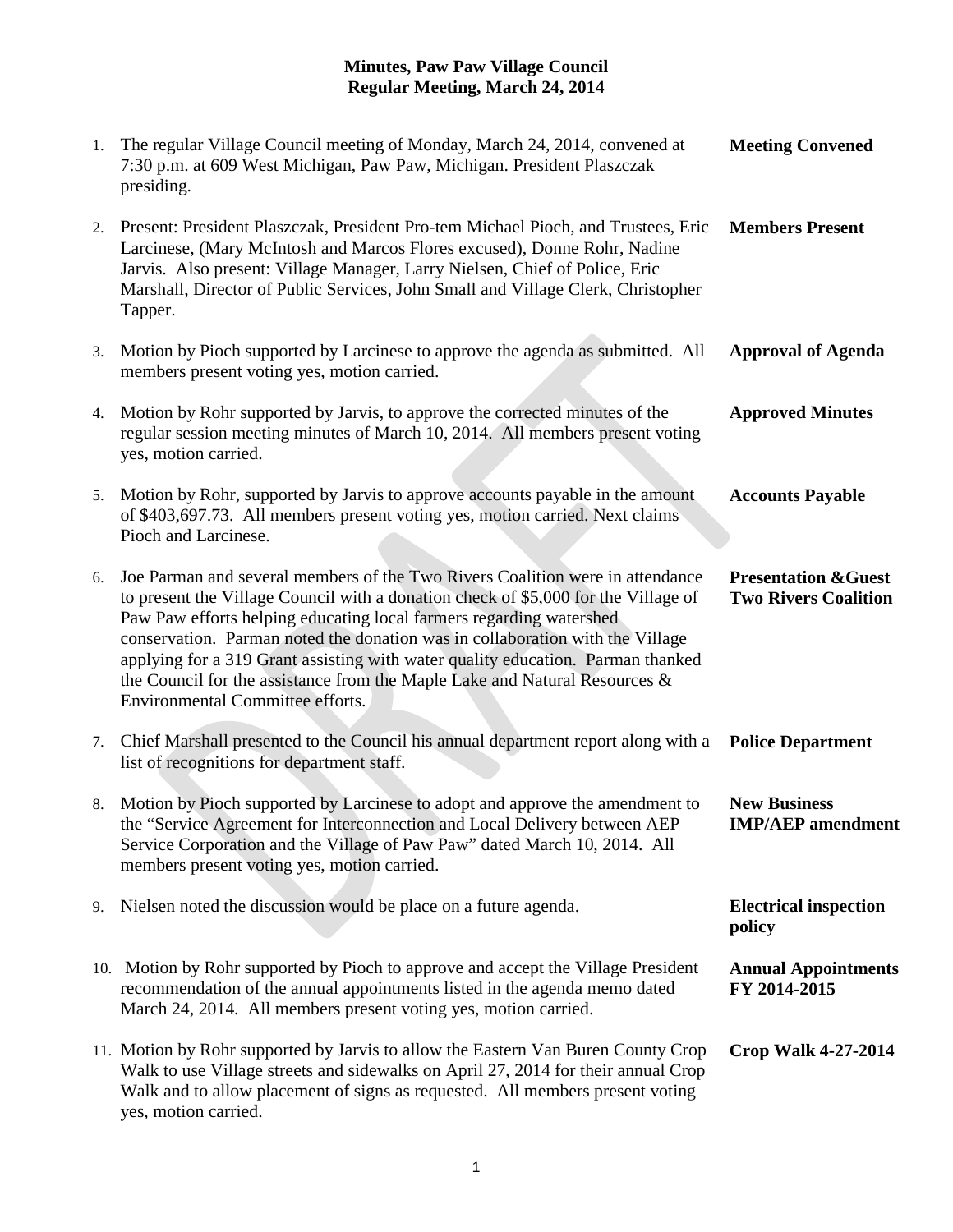### **Minutes, Paw Paw Village Council Regular Meeting, March 24, 2014**

| 1. | The regular Village Council meeting of Monday, March 24, 2014, convened at<br>7:30 p.m. at 609 West Michigan, Paw Paw, Michigan. President Plaszczak<br>presiding.                                                                                                                                                                                                                                                                                                                                                               | <b>Meeting Convened</b>                                       |
|----|----------------------------------------------------------------------------------------------------------------------------------------------------------------------------------------------------------------------------------------------------------------------------------------------------------------------------------------------------------------------------------------------------------------------------------------------------------------------------------------------------------------------------------|---------------------------------------------------------------|
| 2. | Present: President Plaszczak, President Pro-tem Michael Pioch, and Trustees, Eric<br>Larcinese, (Mary McIntosh and Marcos Flores excused), Donne Rohr, Nadine<br>Jarvis. Also present: Village Manager, Larry Nielsen, Chief of Police, Eric<br>Marshall, Director of Public Services, John Small and Village Clerk, Christopher<br>Tapper.                                                                                                                                                                                      | <b>Members Present</b>                                        |
| 3. | Motion by Pioch supported by Larcinese to approve the agenda as submitted. All<br>members present voting yes, motion carried.                                                                                                                                                                                                                                                                                                                                                                                                    | <b>Approval of Agenda</b>                                     |
| 4. | Motion by Rohr supported by Jarvis, to approve the corrected minutes of the<br>regular session meeting minutes of March 10, 2014. All members present voting<br>yes, motion carried.                                                                                                                                                                                                                                                                                                                                             | <b>Approved Minutes</b>                                       |
| 5. | Motion by Rohr, supported by Jarvis to approve accounts payable in the amount<br>of \$403,697.73. All members present voting yes, motion carried. Next claims<br>Pioch and Larcinese.                                                                                                                                                                                                                                                                                                                                            | <b>Accounts Payable</b>                                       |
| 6. | Joe Parman and several members of the Two Rivers Coalition were in attendance<br>to present the Village Council with a donation check of \$5,000 for the Village of<br>Paw Paw efforts helping educating local farmers regarding watershed<br>conservation. Parman noted the donation was in collaboration with the Village<br>applying for a 319 Grant assisting with water quality education. Parman thanked<br>the Council for the assistance from the Maple Lake and Natural Resources &<br>Environmental Committee efforts. | <b>Presentation &amp;Guest</b><br><b>Two Rivers Coalition</b> |
| 7. | Chief Marshall presented to the Council his annual department report along with a Police Department<br>list of recognitions for department staff.                                                                                                                                                                                                                                                                                                                                                                                |                                                               |
| 8. | Motion by Pioch supported by Larcinese to adopt and approve the amendment to<br>the "Service Agreement for Interconnection and Local Delivery between AEP<br>Service Corporation and the Village of Paw Paw" dated March 10, 2014. All<br>members present voting yes, motion carried.                                                                                                                                                                                                                                            | <b>New Business</b><br><b>IMP/AEP</b> amendment               |
| 9. | Nielsen noted the discussion would be place on a future agenda.                                                                                                                                                                                                                                                                                                                                                                                                                                                                  | <b>Electrical inspection</b><br>policy                        |
|    | 10. Motion by Rohr supported by Pioch to approve and accept the Village President<br>recommendation of the annual appointments listed in the agenda memo dated<br>March 24, 2014. All members present voting yes, motion carried.                                                                                                                                                                                                                                                                                                | <b>Annual Appointments</b><br>FY 2014-2015                    |
|    | 11. Motion by Rohr supported by Jarvis to allow the Eastern Van Buren County Crop<br>Walk to use Village streets and sidewalks on April 27, 2014 for their annual Crop<br>Walk and to allow placement of signs as requested. All members present voting<br>yes, motion carried.                                                                                                                                                                                                                                                  | <b>Crop Walk 4-27-2014</b>                                    |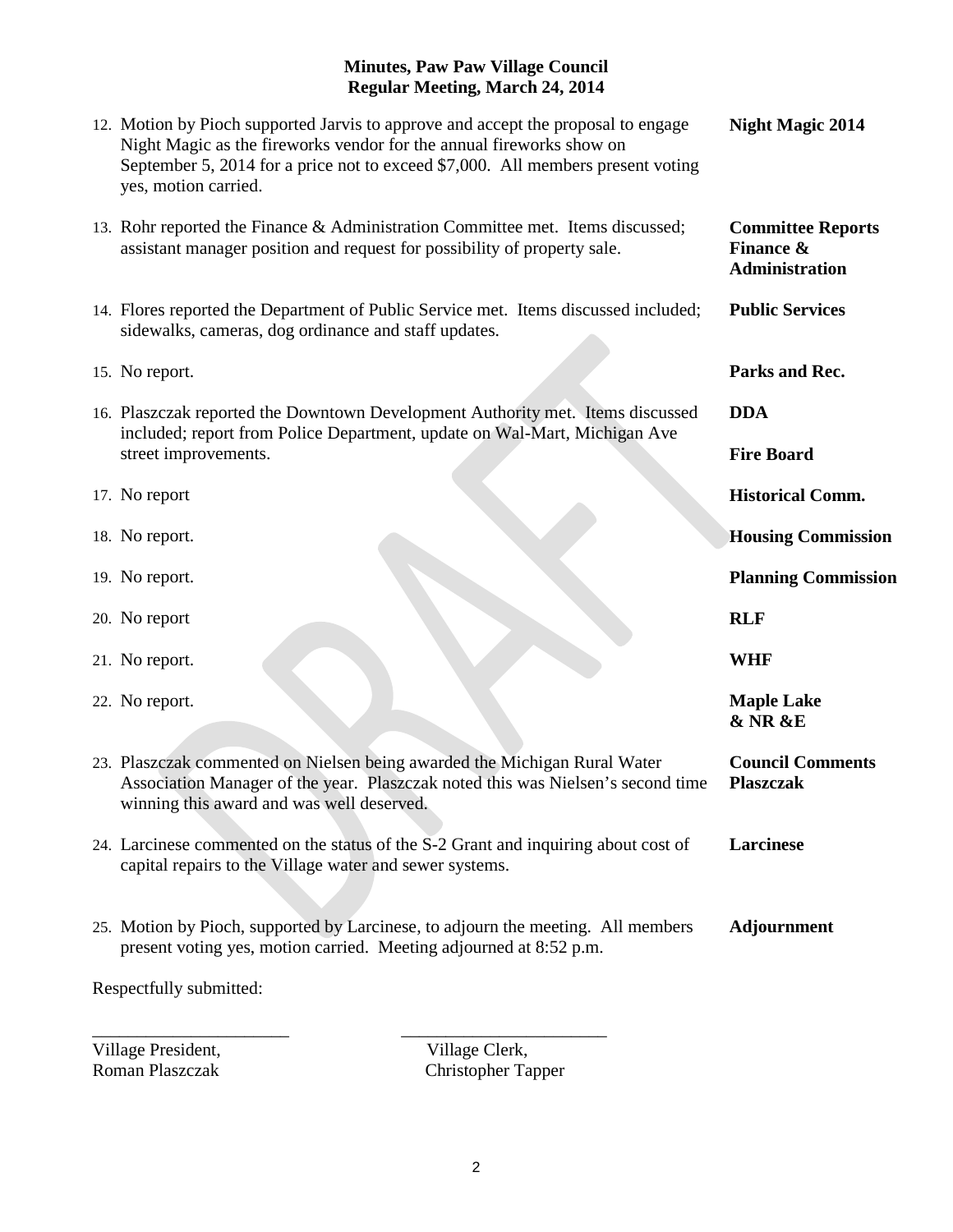### **Minutes, Paw Paw Village Council Regular Meeting, March 24, 2014**

| 12. Motion by Pioch supported Jarvis to approve and accept the proposal to engage<br>Night Magic as the fireworks vendor for the annual fireworks show on<br>September 5, 2014 for a price not to exceed \$7,000. All members present voting<br>yes, motion carried. | <b>Night Magic 2014</b>                                        |
|----------------------------------------------------------------------------------------------------------------------------------------------------------------------------------------------------------------------------------------------------------------------|----------------------------------------------------------------|
| 13. Rohr reported the Finance & Administration Committee met. Items discussed;<br>assistant manager position and request for possibility of property sale.                                                                                                           | <b>Committee Reports</b><br>Finance &<br><b>Administration</b> |
| 14. Flores reported the Department of Public Service met. Items discussed included;<br>sidewalks, cameras, dog ordinance and staff updates.                                                                                                                          | <b>Public Services</b>                                         |
| 15. No report.                                                                                                                                                                                                                                                       | Parks and Rec.                                                 |
| 16. Plaszczak reported the Downtown Development Authority met. Items discussed<br>included; report from Police Department, update on Wal-Mart, Michigan Ave                                                                                                          | <b>DDA</b>                                                     |
| street improvements.                                                                                                                                                                                                                                                 | <b>Fire Board</b>                                              |
| 17. No report                                                                                                                                                                                                                                                        | <b>Historical Comm.</b>                                        |
| 18. No report.                                                                                                                                                                                                                                                       | <b>Housing Commission</b>                                      |
| 19. No report.                                                                                                                                                                                                                                                       | <b>Planning Commission</b>                                     |
| 20. No report                                                                                                                                                                                                                                                        | <b>RLF</b>                                                     |
| 21. No report.                                                                                                                                                                                                                                                       | <b>WHF</b>                                                     |
| 22. No report.                                                                                                                                                                                                                                                       | <b>Maple Lake</b><br><b>&amp; NR &amp;E</b>                    |
| 23. Plaszczak commented on Nielsen being awarded the Michigan Rural Water<br>Association Manager of the year. Plaszczak noted this was Nielsen's second time<br>winning this award and was well deserved.                                                            | <b>Council Comments</b><br><b>Plaszczak</b>                    |
| 24. Larcinese commented on the status of the S-2 Grant and inquiring about cost of<br>capital repairs to the Village water and sewer systems.                                                                                                                        | Larcinese                                                      |
| 25. Motion by Pioch, supported by Larcinese, to adjourn the meeting. All members<br>present voting yes, motion carried. Meeting adjourned at 8:52 p.m.                                                                                                               | Adjournment                                                    |
| Respectfully submitted:                                                                                                                                                                                                                                              |                                                                |

\_\_\_\_\_\_\_\_\_\_\_\_\_\_\_\_\_\_\_\_\_\_ \_\_\_\_\_\_\_\_\_\_\_\_\_\_\_\_\_\_\_\_\_\_\_ Village President,<br>
Village Clerk,<br>
Roman Plaszczak<br>
Christopher Ta

Christopher Tapper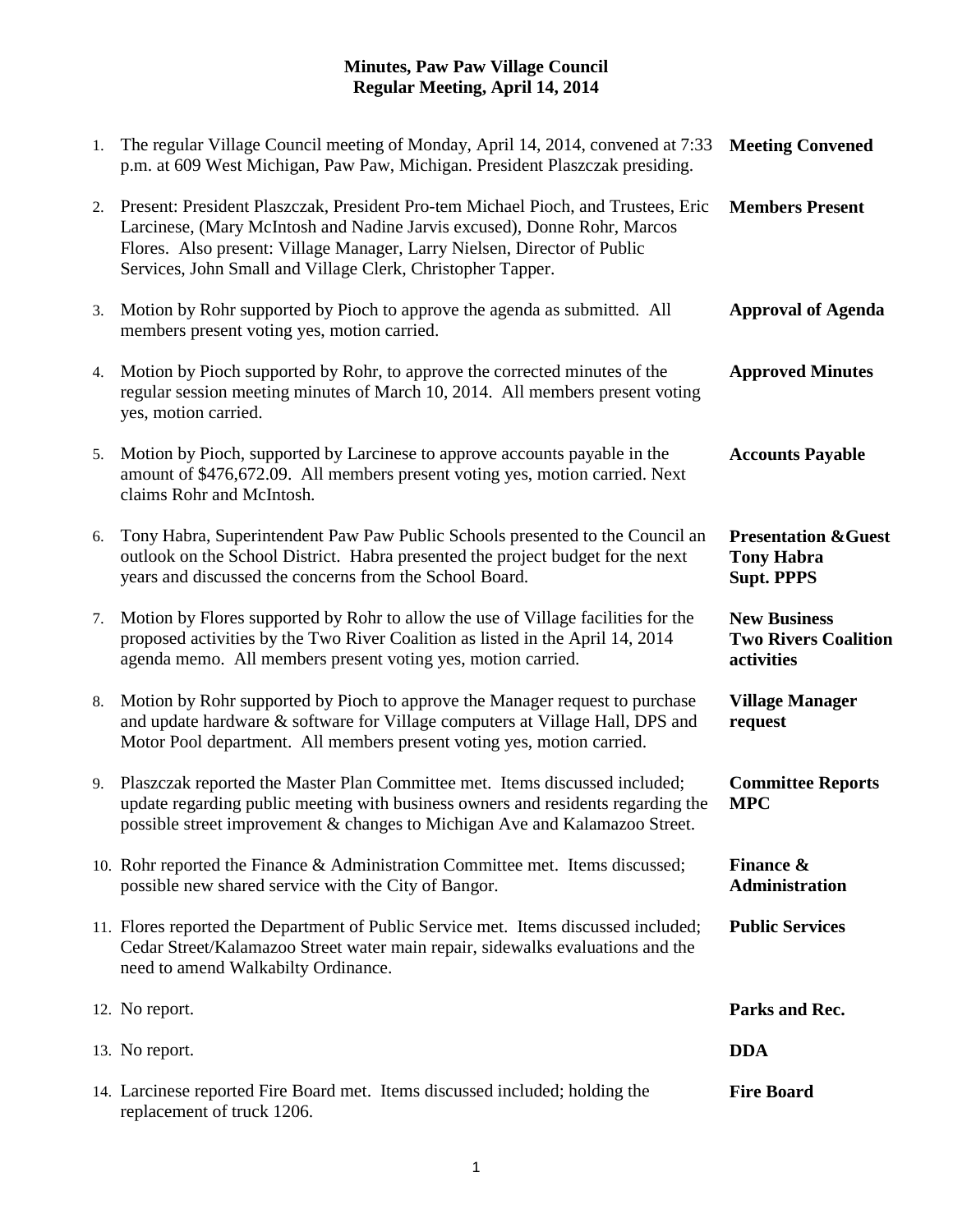### **Minutes, Paw Paw Village Council Regular Meeting, April 14, 2014**

| 1. | The regular Village Council meeting of Monday, April 14, 2014, convened at 7:33<br>p.m. at 609 West Michigan, Paw Paw, Michigan. President Plaszczak presiding.                                                                                                                                          | <b>Meeting Convened</b>                                                   |
|----|----------------------------------------------------------------------------------------------------------------------------------------------------------------------------------------------------------------------------------------------------------------------------------------------------------|---------------------------------------------------------------------------|
| 2. | Present: President Plaszczak, President Pro-tem Michael Pioch, and Trustees, Eric<br>Larcinese, (Mary McIntosh and Nadine Jarvis excused), Donne Rohr, Marcos<br>Flores. Also present: Village Manager, Larry Nielsen, Director of Public<br>Services, John Small and Village Clerk, Christopher Tapper. | <b>Members Present</b>                                                    |
| 3. | Motion by Rohr supported by Pioch to approve the agenda as submitted. All<br>members present voting yes, motion carried.                                                                                                                                                                                 | <b>Approval of Agenda</b>                                                 |
| 4. | Motion by Pioch supported by Rohr, to approve the corrected minutes of the<br>regular session meeting minutes of March 10, 2014. All members present voting<br>yes, motion carried.                                                                                                                      | <b>Approved Minutes</b>                                                   |
| 5. | Motion by Pioch, supported by Larcinese to approve accounts payable in the<br>amount of \$476,672.09. All members present voting yes, motion carried. Next<br>claims Rohr and McIntosh.                                                                                                                  | <b>Accounts Payable</b>                                                   |
| 6. | Tony Habra, Superintendent Paw Paw Public Schools presented to the Council an<br>outlook on the School District. Habra presented the project budget for the next<br>years and discussed the concerns from the School Board.                                                                              | <b>Presentation &amp; Guest</b><br><b>Tony Habra</b><br><b>Supt. PPPS</b> |
| 7. | Motion by Flores supported by Rohr to allow the use of Village facilities for the<br>proposed activities by the Two River Coalition as listed in the April 14, 2014<br>agenda memo. All members present voting yes, motion carried.                                                                      | <b>New Business</b><br><b>Two Rivers Coalition</b><br>activities          |
| 8. | Motion by Rohr supported by Pioch to approve the Manager request to purchase<br>and update hardware & software for Village computers at Village Hall, DPS and<br>Motor Pool department. All members present voting yes, motion carried.                                                                  | <b>Village Manager</b><br>request                                         |
|    | 9. Plaszczak reported the Master Plan Committee met. Items discussed included;<br>update regarding public meeting with business owners and residents regarding the<br>possible street improvement & changes to Michigan Ave and Kalamazoo Street.                                                        | <b>Committee Reports</b><br><b>MPC</b>                                    |
|    | 10. Rohr reported the Finance & Administration Committee met. Items discussed;<br>possible new shared service with the City of Bangor.                                                                                                                                                                   | Finance &<br><b>Administration</b>                                        |
|    | 11. Flores reported the Department of Public Service met. Items discussed included;<br>Cedar Street/Kalamazoo Street water main repair, sidewalks evaluations and the<br>need to amend Walkabilty Ordinance.                                                                                             | <b>Public Services</b>                                                    |
|    | 12. No report.                                                                                                                                                                                                                                                                                           | Parks and Rec.                                                            |
|    | 13. No report.                                                                                                                                                                                                                                                                                           | <b>DDA</b>                                                                |
|    | 14. Larcinese reported Fire Board met. Items discussed included; holding the<br>replacement of truck 1206.                                                                                                                                                                                               | <b>Fire Board</b>                                                         |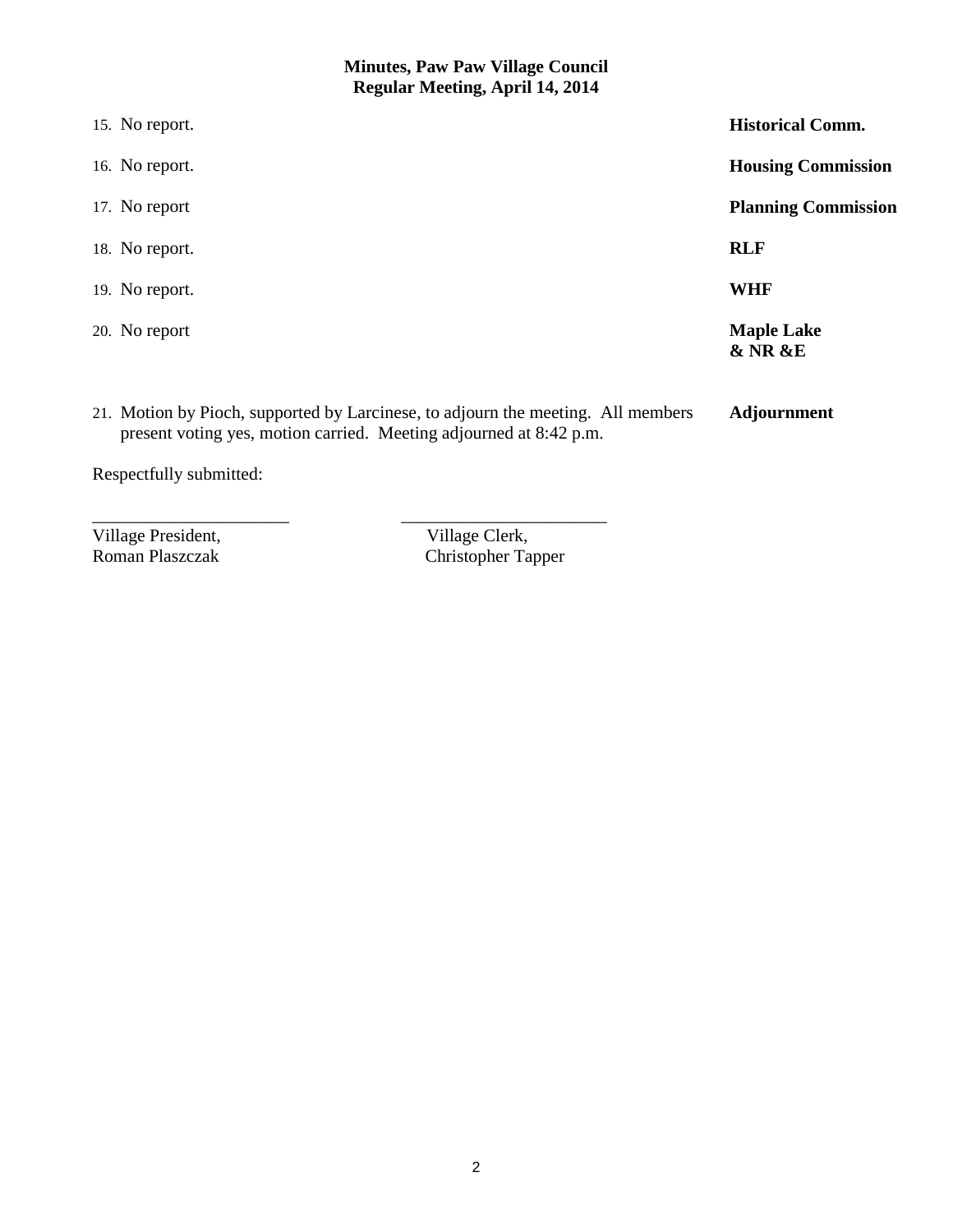### **Minutes, Paw Paw Village Council Regular Meeting, April 14, 2014**

| 15. No report.                                                                                                                                         | <b>Historical Comm.</b>                     |
|--------------------------------------------------------------------------------------------------------------------------------------------------------|---------------------------------------------|
| 16. No report.                                                                                                                                         | <b>Housing Commission</b>                   |
| 17. No report                                                                                                                                          | <b>Planning Commission</b>                  |
| 18. No report.                                                                                                                                         | <b>RLF</b>                                  |
| 19. No report.                                                                                                                                         | <b>WHF</b>                                  |
| 20. No report                                                                                                                                          | <b>Maple Lake</b><br><b>&amp; NR &amp;E</b> |
| 21. Motion by Pioch, supported by Larcinese, to adjourn the meeting. All members<br>present voting yes, motion carried. Meeting adjourned at 8:42 p.m. | <b>Adjournment</b>                          |

Respectfully submitted:

\_\_\_\_\_\_\_\_\_\_\_\_\_\_\_\_\_\_\_\_\_\_ \_\_\_\_\_\_\_\_\_\_\_\_\_\_\_\_\_\_\_\_\_\_\_ Village President,<br>
Village Clerk,<br>
Roman Plaszczak<br>
Christopher Ta

Christopher Tapper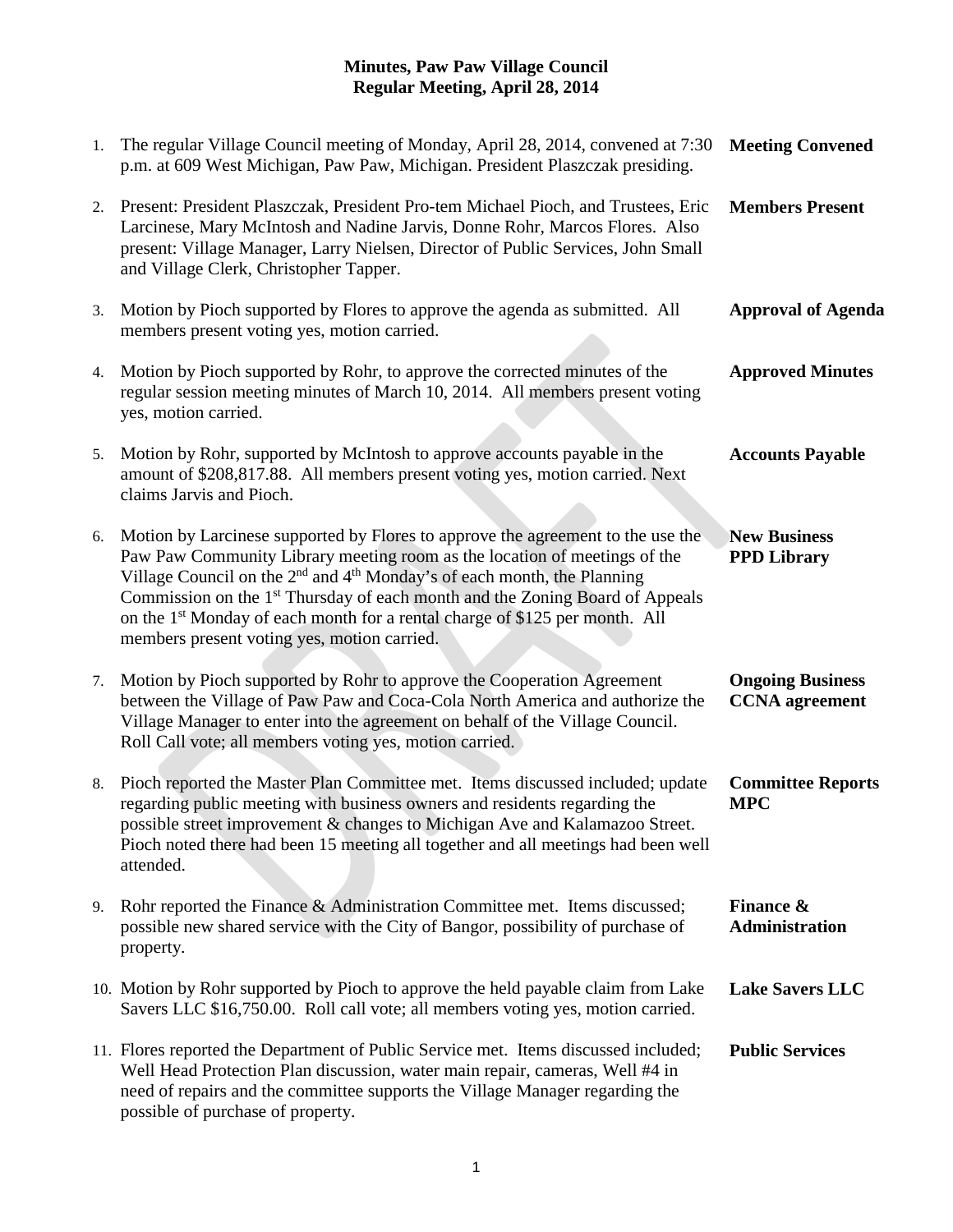### **Minutes, Paw Paw Village Council Regular Meeting, April 28, 2014**

| 1. | The regular Village Council meeting of Monday, April 28, 2014, convened at 7:30<br>p.m. at 609 West Michigan, Paw Paw, Michigan. President Plaszczak presiding.                                                                                                                                                                                                                                                                                                                                       | <b>Meeting Convened</b>                          |
|----|-------------------------------------------------------------------------------------------------------------------------------------------------------------------------------------------------------------------------------------------------------------------------------------------------------------------------------------------------------------------------------------------------------------------------------------------------------------------------------------------------------|--------------------------------------------------|
| 2. | Present: President Plaszczak, President Pro-tem Michael Pioch, and Trustees, Eric<br>Larcinese, Mary McIntosh and Nadine Jarvis, Donne Rohr, Marcos Flores. Also<br>present: Village Manager, Larry Nielsen, Director of Public Services, John Small<br>and Village Clerk, Christopher Tapper.                                                                                                                                                                                                        | <b>Members Present</b>                           |
| 3. | Motion by Pioch supported by Flores to approve the agenda as submitted. All<br>members present voting yes, motion carried.                                                                                                                                                                                                                                                                                                                                                                            | <b>Approval of Agenda</b>                        |
| 4. | Motion by Pioch supported by Rohr, to approve the corrected minutes of the<br>regular session meeting minutes of March 10, 2014. All members present voting<br>yes, motion carried.                                                                                                                                                                                                                                                                                                                   | <b>Approved Minutes</b>                          |
| 5. | Motion by Rohr, supported by McIntosh to approve accounts payable in the<br>amount of \$208,817.88. All members present voting yes, motion carried. Next<br>claims Jarvis and Pioch.                                                                                                                                                                                                                                                                                                                  | <b>Accounts Payable</b>                          |
| 6. | Motion by Larcinese supported by Flores to approve the agreement to the use the<br>Paw Paw Community Library meeting room as the location of meetings of the<br>Village Council on the 2 <sup>nd</sup> and 4 <sup>th</sup> Monday's of each month, the Planning<br>Commission on the 1 <sup>st</sup> Thursday of each month and the Zoning Board of Appeals<br>on the 1 <sup>st</sup> Monday of each month for a rental charge of \$125 per month. All<br>members present voting yes, motion carried. | <b>New Business</b><br><b>PPD Library</b>        |
| 7. | Motion by Pioch supported by Rohr to approve the Cooperation Agreement<br>between the Village of Paw Paw and Coca-Cola North America and authorize the<br>Village Manager to enter into the agreement on behalf of the Village Council.<br>Roll Call vote; all members voting yes, motion carried.                                                                                                                                                                                                    | <b>Ongoing Business</b><br><b>CCNA</b> agreement |
|    | 8. Pioch reported the Master Plan Committee met. Items discussed included; update<br>regarding public meeting with business owners and residents regarding the<br>possible street improvement & changes to Michigan Ave and Kalamazoo Street.<br>Pioch noted there had been 15 meeting all together and all meetings had been well<br>attended.                                                                                                                                                       | <b>Committee Reports</b><br><b>MPC</b>           |
| 9. | Rohr reported the Finance & Administration Committee met. Items discussed;<br>possible new shared service with the City of Bangor, possibility of purchase of<br>property.                                                                                                                                                                                                                                                                                                                            | Finance &<br><b>Administration</b>               |
|    | 10. Motion by Rohr supported by Pioch to approve the held payable claim from Lake<br>Savers LLC \$16,750.00. Roll call vote; all members voting yes, motion carried.                                                                                                                                                                                                                                                                                                                                  | <b>Lake Savers LLC</b>                           |
|    | 11. Flores reported the Department of Public Service met. Items discussed included;<br>Well Head Protection Plan discussion, water main repair, cameras, Well #4 in<br>need of repairs and the committee supports the Village Manager regarding the<br>possible of purchase of property.                                                                                                                                                                                                              | <b>Public Services</b>                           |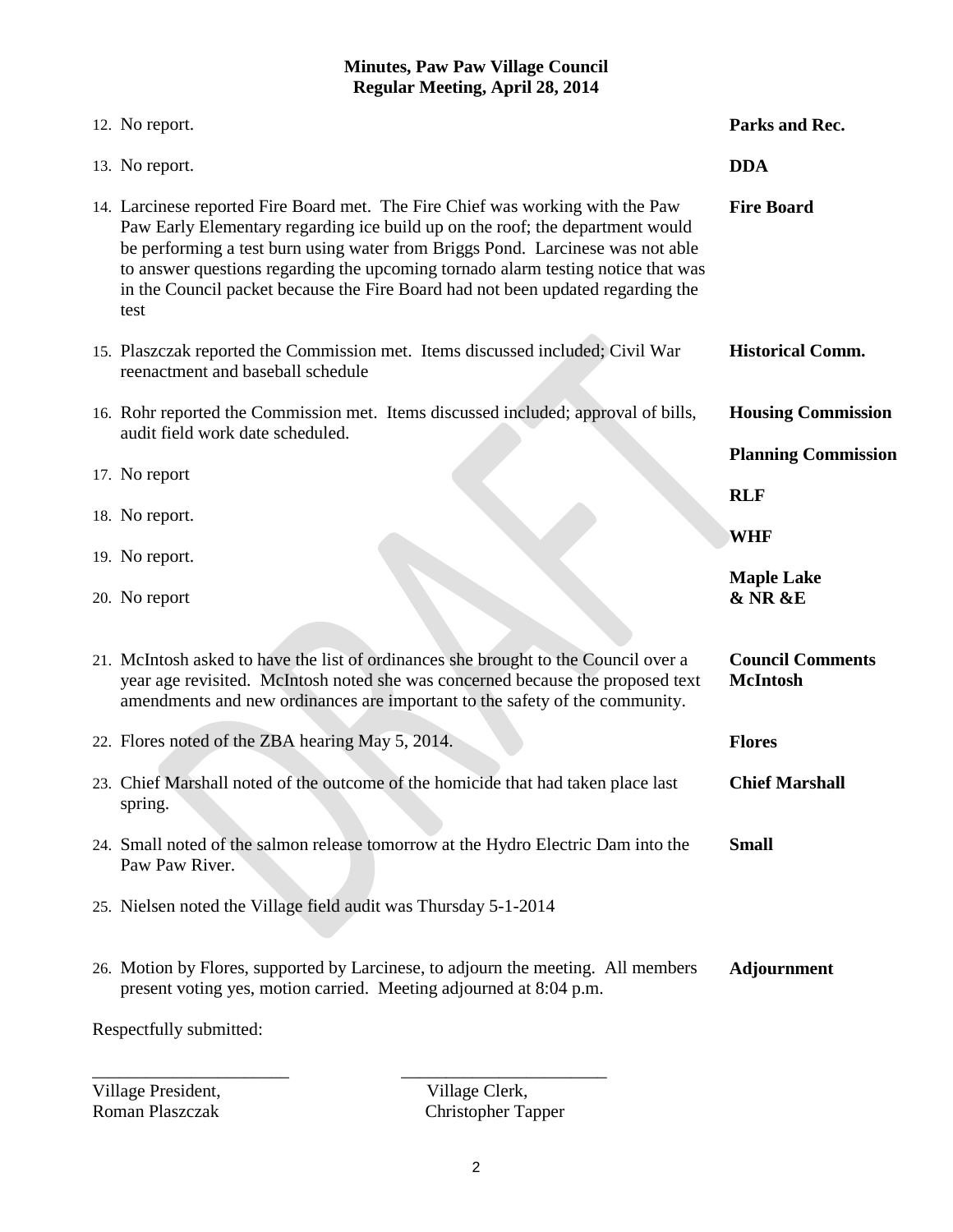# **Minutes, Paw Paw Village Council Regular Meeting, April 28, 2014**

| 12. No report.                                                                                                                                                                                                                                                                                                                                                                                                                   | Parks and Rec.                             |
|----------------------------------------------------------------------------------------------------------------------------------------------------------------------------------------------------------------------------------------------------------------------------------------------------------------------------------------------------------------------------------------------------------------------------------|--------------------------------------------|
| 13. No report.                                                                                                                                                                                                                                                                                                                                                                                                                   | <b>DDA</b>                                 |
| 14. Larcinese reported Fire Board met. The Fire Chief was working with the Paw<br>Paw Early Elementary regarding ice build up on the roof; the department would<br>be performing a test burn using water from Briggs Pond. Larcinese was not able<br>to answer questions regarding the upcoming tornado alarm testing notice that was<br>in the Council packet because the Fire Board had not been updated regarding the<br>test | <b>Fire Board</b>                          |
| 15. Plaszczak reported the Commission met. Items discussed included; Civil War<br>reenactment and baseball schedule                                                                                                                                                                                                                                                                                                              | <b>Historical Comm.</b>                    |
| 16. Rohr reported the Commission met. Items discussed included; approval of bills,<br>audit field work date scheduled.                                                                                                                                                                                                                                                                                                           | <b>Housing Commission</b>                  |
| 17. No report                                                                                                                                                                                                                                                                                                                                                                                                                    | <b>Planning Commission</b>                 |
| 18. No report.                                                                                                                                                                                                                                                                                                                                                                                                                   | <b>RLF</b>                                 |
| 19. No report.                                                                                                                                                                                                                                                                                                                                                                                                                   | <b>WHF</b>                                 |
| 20. No report                                                                                                                                                                                                                                                                                                                                                                                                                    | <b>Maple Lake</b><br>& NR &E               |
| 21. McIntosh asked to have the list of ordinances she brought to the Council over a<br>year age revisited. McIntosh noted she was concerned because the proposed text<br>amendments and new ordinances are important to the safety of the community.                                                                                                                                                                             | <b>Council Comments</b><br><b>McIntosh</b> |
| 22. Flores noted of the ZBA hearing May 5, 2014.                                                                                                                                                                                                                                                                                                                                                                                 | <b>Flores</b>                              |
| 23. Chief Marshall noted of the outcome of the homicide that had taken place last<br>spring.                                                                                                                                                                                                                                                                                                                                     | <b>Chief Marshall</b>                      |
| 24. Small noted of the salmon release tomorrow at the Hydro Electric Dam into the<br>Paw Paw River.                                                                                                                                                                                                                                                                                                                              | <b>Small</b>                               |
| 25. Nielsen noted the Village field audit was Thursday 5-1-2014                                                                                                                                                                                                                                                                                                                                                                  |                                            |
| 26. Motion by Flores, supported by Larcinese, to adjourn the meeting. All members<br>present voting yes, motion carried. Meeting adjourned at 8:04 p.m.                                                                                                                                                                                                                                                                          | <b>Adjournment</b>                         |
| Respectfully submitted:                                                                                                                                                                                                                                                                                                                                                                                                          |                                            |

Village President,<br>
Noman Plaszczak<br>
Christopher Ta

Christopher Tapper

\_\_\_\_\_\_\_\_\_\_\_\_\_\_\_\_\_\_\_\_\_\_ \_\_\_\_\_\_\_\_\_\_\_\_\_\_\_\_\_\_\_\_\_\_\_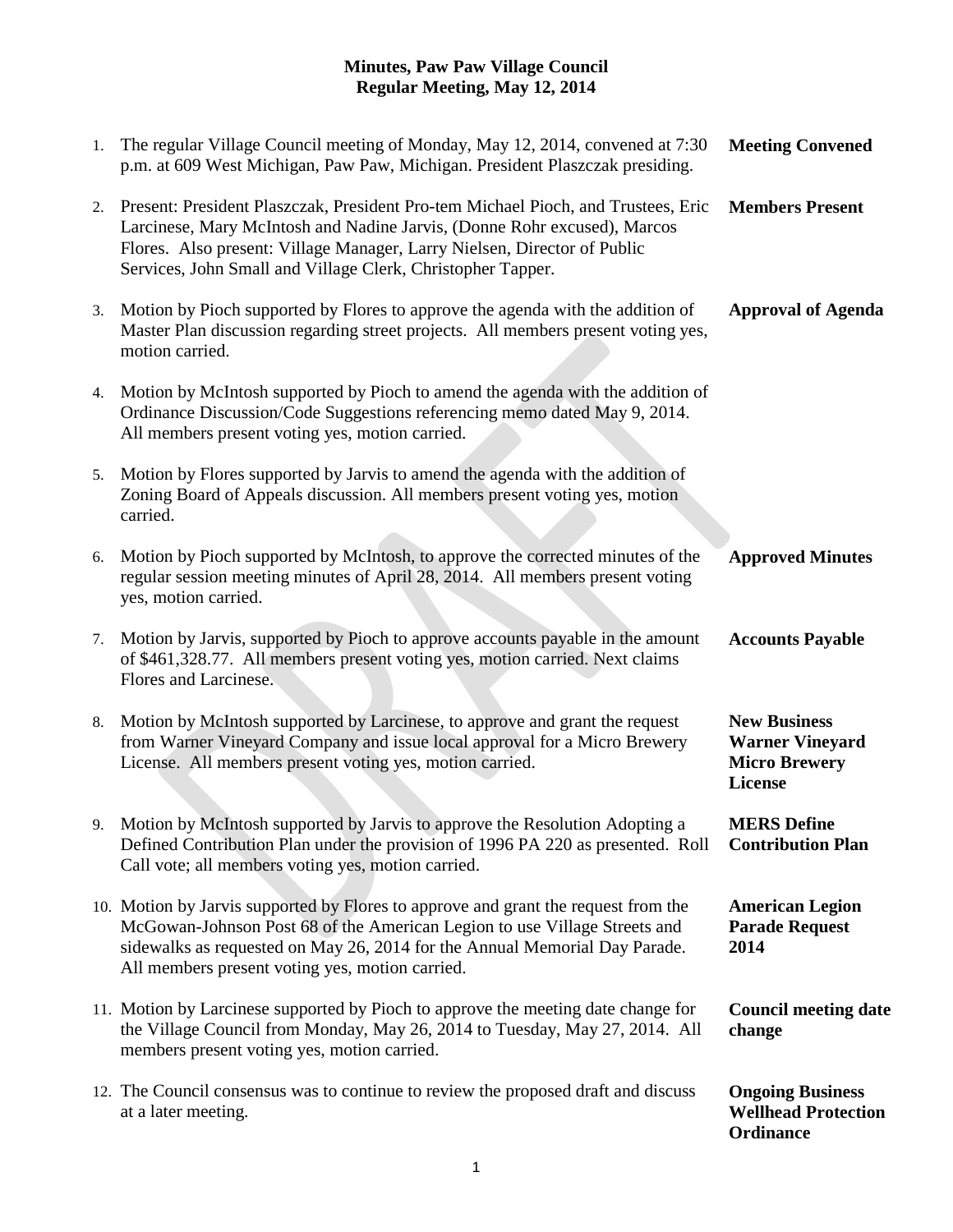### **Minutes, Paw Paw Village Council Regular Meeting, May 12, 2014**

| 1. | The regular Village Council meeting of Monday, May 12, 2014, convened at 7:30<br>p.m. at 609 West Michigan, Paw Paw, Michigan. President Plaszczak presiding.                                                                                                                                            | <b>Meeting Convened</b>                                                          |
|----|----------------------------------------------------------------------------------------------------------------------------------------------------------------------------------------------------------------------------------------------------------------------------------------------------------|----------------------------------------------------------------------------------|
| 2. | Present: President Plaszczak, President Pro-tem Michael Pioch, and Trustees, Eric<br>Larcinese, Mary McIntosh and Nadine Jarvis, (Donne Rohr excused), Marcos<br>Flores. Also present: Village Manager, Larry Nielsen, Director of Public<br>Services, John Small and Village Clerk, Christopher Tapper. | <b>Members Present</b>                                                           |
| 3. | Motion by Pioch supported by Flores to approve the agenda with the addition of<br>Master Plan discussion regarding street projects. All members present voting yes,<br>motion carried.                                                                                                                   | <b>Approval of Agenda</b>                                                        |
| 4. | Motion by McIntosh supported by Pioch to amend the agenda with the addition of<br>Ordinance Discussion/Code Suggestions referencing memo dated May 9, 2014.<br>All members present voting yes, motion carried.                                                                                           |                                                                                  |
| 5. | Motion by Flores supported by Jarvis to amend the agenda with the addition of<br>Zoning Board of Appeals discussion. All members present voting yes, motion<br>carried.                                                                                                                                  |                                                                                  |
| 6. | Motion by Pioch supported by McIntosh, to approve the corrected minutes of the<br>regular session meeting minutes of April 28, 2014. All members present voting<br>yes, motion carried.                                                                                                                  | <b>Approved Minutes</b>                                                          |
| 7. | Motion by Jarvis, supported by Pioch to approve accounts payable in the amount<br>of \$461,328.77. All members present voting yes, motion carried. Next claims<br>Flores and Larcinese.                                                                                                                  | <b>Accounts Payable</b>                                                          |
| 8. | Motion by McIntosh supported by Larcinese, to approve and grant the request<br>from Warner Vineyard Company and issue local approval for a Micro Brewery<br>License. All members present voting yes, motion carried.                                                                                     | <b>New Business</b><br><b>Warner Vineyard</b><br><b>Micro Brewery</b><br>License |
|    | 9. Motion by McIntosh supported by Jarvis to approve the Resolution Adopting a<br>Defined Contribution Plan under the provision of 1996 PA 220 as presented. Roll<br>Call vote; all members voting yes, motion carried.                                                                                  | <b>MERS Define</b><br><b>Contribution Plan</b>                                   |
|    | 10. Motion by Jarvis supported by Flores to approve and grant the request from the<br>McGowan-Johnson Post 68 of the American Legion to use Village Streets and<br>sidewalks as requested on May 26, 2014 for the Annual Memorial Day Parade.<br>All members present voting yes, motion carried.         | <b>American Legion</b><br><b>Parade Request</b><br>2014                          |
|    | 11. Motion by Larcinese supported by Pioch to approve the meeting date change for<br>the Village Council from Monday, May 26, 2014 to Tuesday, May 27, 2014. All<br>members present voting yes, motion carried.                                                                                          | <b>Council meeting date</b><br>change                                            |
|    | 12. The Council consensus was to continue to review the proposed draft and discuss<br>at a later meeting.                                                                                                                                                                                                | <b>Ongoing Business</b><br><b>Wellhead Protection</b><br><b>Ordinance</b>        |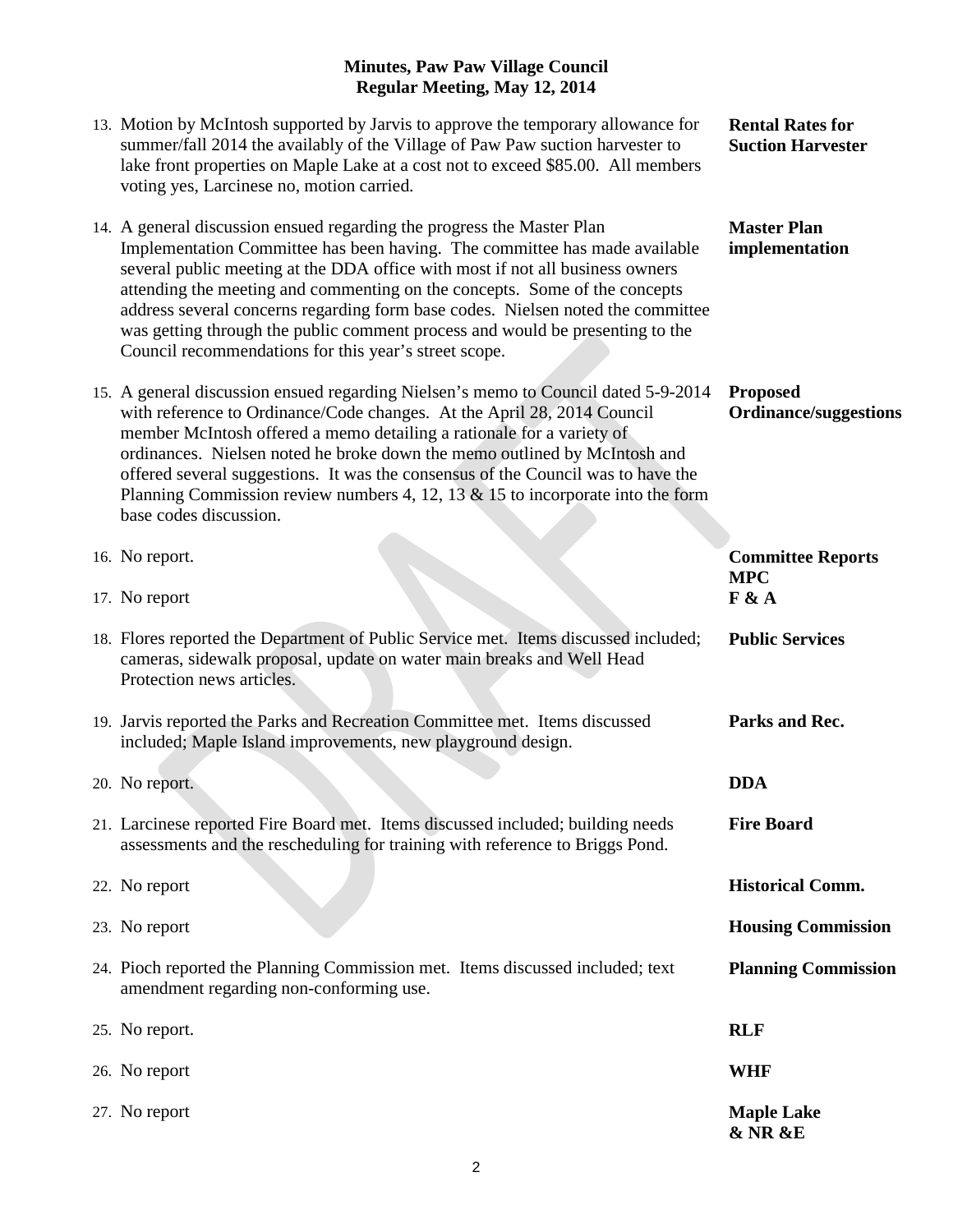### **Minutes, Paw Paw Village Council Regular Meeting, May 12, 2014**

| 13. Motion by McIntosh supported by Jarvis to approve the temporary allowance for<br>summer/fall 2014 the availably of the Village of Paw Paw suction harvester to<br>lake front properties on Maple Lake at a cost not to exceed \$85.00. All members<br>voting yes, Larcinese no, motion carried.                                                                                                                                                                                                                                              | <b>Rental Rates for</b><br><b>Suction Harvester</b> |
|--------------------------------------------------------------------------------------------------------------------------------------------------------------------------------------------------------------------------------------------------------------------------------------------------------------------------------------------------------------------------------------------------------------------------------------------------------------------------------------------------------------------------------------------------|-----------------------------------------------------|
| 14. A general discussion ensued regarding the progress the Master Plan<br>Implementation Committee has been having. The committee has made available<br>several public meeting at the DDA office with most if not all business owners<br>attending the meeting and commenting on the concepts. Some of the concepts<br>address several concerns regarding form base codes. Nielsen noted the committee<br>was getting through the public comment process and would be presenting to the<br>Council recommendations for this year's street scope. | <b>Master Plan</b><br>implementation                |
| 15. A general discussion ensued regarding Nielsen's memo to Council dated 5-9-2014<br>with reference to Ordinance/Code changes. At the April 28, 2014 Council<br>member McIntosh offered a memo detailing a rationale for a variety of<br>ordinances. Nielsen noted he broke down the memo outlined by McIntosh and<br>offered several suggestions. It was the consensus of the Council was to have the<br>Planning Commission review numbers 4, 12, 13 $\&$ 15 to incorporate into the form<br>base codes discussion.                           | <b>Proposed</b><br><b>Ordinance/suggestions</b>     |
| 16. No report.                                                                                                                                                                                                                                                                                                                                                                                                                                                                                                                                   | <b>Committee Reports</b><br><b>MPC</b>              |
| 17. No report                                                                                                                                                                                                                                                                                                                                                                                                                                                                                                                                    | F & A                                               |
| 18. Flores reported the Department of Public Service met. Items discussed included;<br>cameras, sidewalk proposal, update on water main breaks and Well Head<br>Protection news articles.                                                                                                                                                                                                                                                                                                                                                        | <b>Public Services</b>                              |
| 19. Jarvis reported the Parks and Recreation Committee met. Items discussed<br>included; Maple Island improvements, new playground design.                                                                                                                                                                                                                                                                                                                                                                                                       | Parks and Rec.                                      |
| 20. No report.                                                                                                                                                                                                                                                                                                                                                                                                                                                                                                                                   | <b>DDA</b>                                          |
| 21. Larcinese reported Fire Board met. Items discussed included; building needs<br>assessments and the rescheduling for training with reference to Briggs Pond.                                                                                                                                                                                                                                                                                                                                                                                  | <b>Fire Board</b>                                   |
| 22. No report                                                                                                                                                                                                                                                                                                                                                                                                                                                                                                                                    | <b>Historical Comm.</b>                             |
| 23. No report                                                                                                                                                                                                                                                                                                                                                                                                                                                                                                                                    | <b>Housing Commission</b>                           |
| 24. Pioch reported the Planning Commission met. Items discussed included; text<br>amendment regarding non-conforming use.                                                                                                                                                                                                                                                                                                                                                                                                                        | <b>Planning Commission</b>                          |
| 25. No report.                                                                                                                                                                                                                                                                                                                                                                                                                                                                                                                                   | <b>RLF</b>                                          |
| 26. No report                                                                                                                                                                                                                                                                                                                                                                                                                                                                                                                                    | <b>WHF</b>                                          |
| 27. No report                                                                                                                                                                                                                                                                                                                                                                                                                                                                                                                                    | <b>Maple Lake</b><br><b>&amp; NR &amp;E</b>         |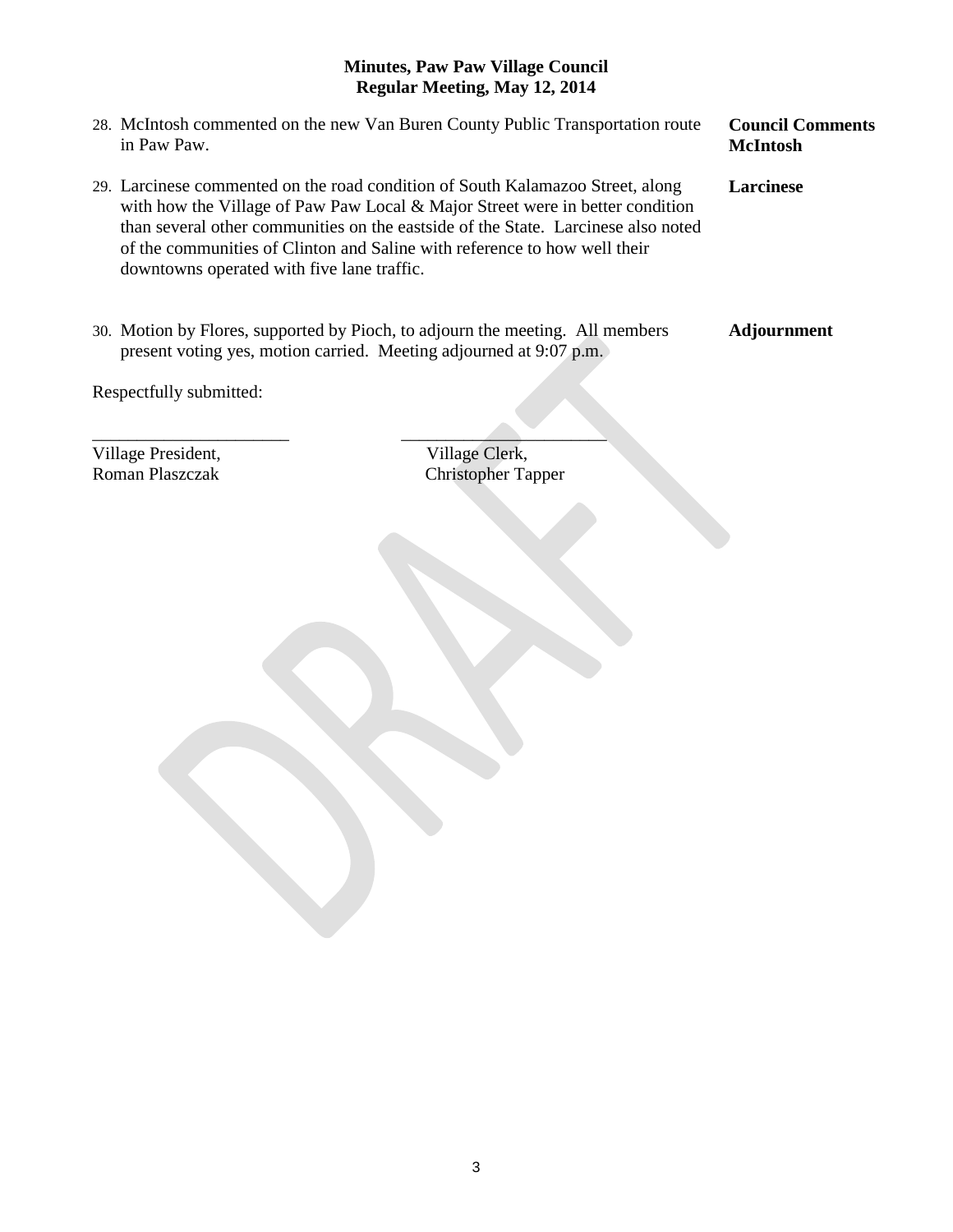### **Minutes, Paw Paw Village Council Regular Meeting, May 12, 2014**

| <b>Council Comments</b><br><b>McIntosh</b> |
|--------------------------------------------|
| <b>Larcinese</b>                           |
| <b>Adjournment</b>                         |
|                                            |
|                                            |
|                                            |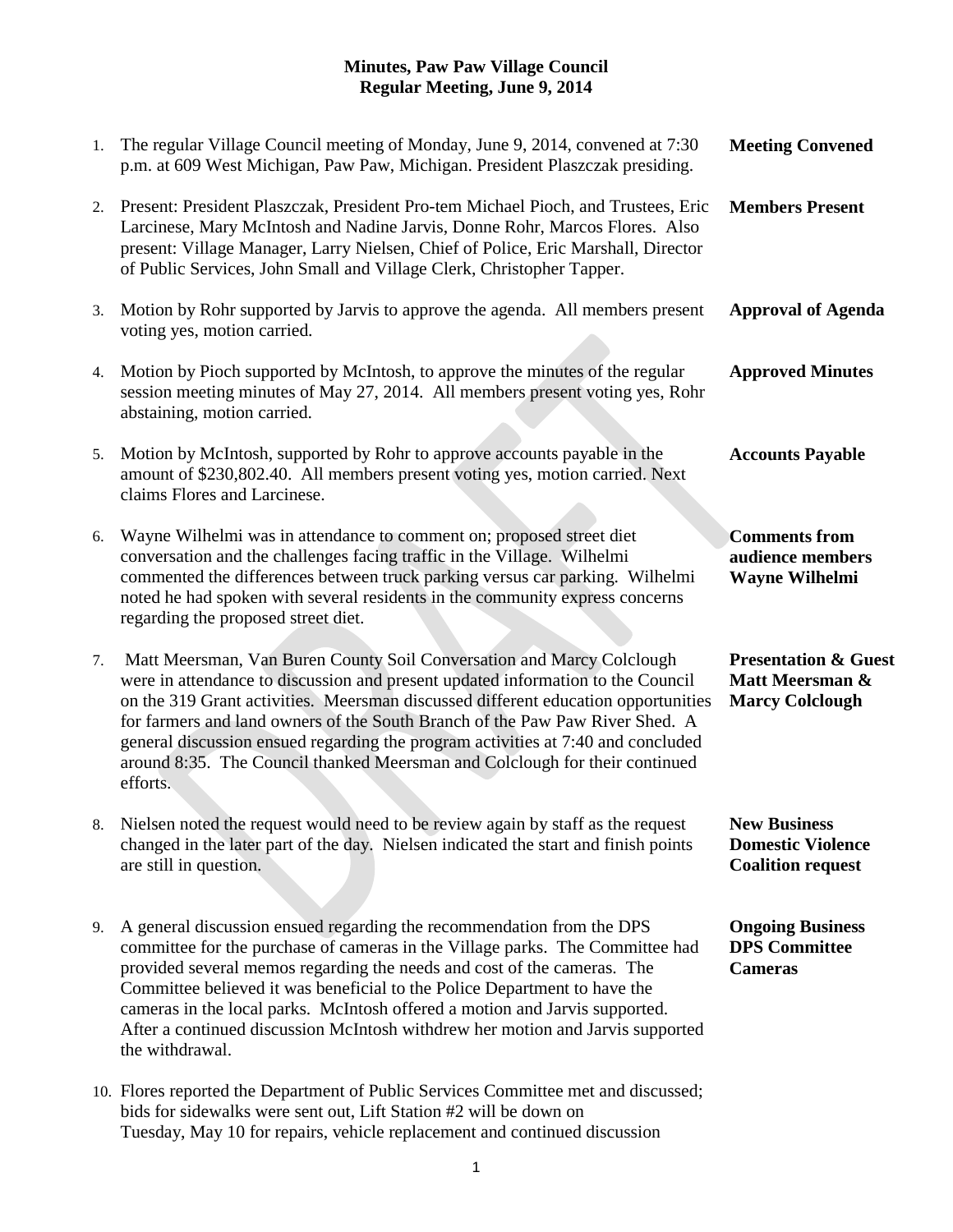### **Minutes, Paw Paw Village Council Regular Meeting, June 9, 2014**

| 1. | The regular Village Council meeting of Monday, June 9, 2014, convened at 7:30<br>p.m. at 609 West Michigan, Paw Paw, Michigan. President Plaszczak presiding.                                                                                                                                                                                                                                                                                                                                                | <b>Meeting Convened</b>                                                      |
|----|--------------------------------------------------------------------------------------------------------------------------------------------------------------------------------------------------------------------------------------------------------------------------------------------------------------------------------------------------------------------------------------------------------------------------------------------------------------------------------------------------------------|------------------------------------------------------------------------------|
| 2. | Present: President Plaszczak, President Pro-tem Michael Pioch, and Trustees, Eric<br>Larcinese, Mary McIntosh and Nadine Jarvis, Donne Rohr, Marcos Flores. Also<br>present: Village Manager, Larry Nielsen, Chief of Police, Eric Marshall, Director<br>of Public Services, John Small and Village Clerk, Christopher Tapper.                                                                                                                                                                               | <b>Members Present</b>                                                       |
| 3. | Motion by Rohr supported by Jarvis to approve the agenda. All members present<br>voting yes, motion carried.                                                                                                                                                                                                                                                                                                                                                                                                 | <b>Approval of Agenda</b>                                                    |
| 4. | Motion by Pioch supported by McIntosh, to approve the minutes of the regular<br>session meeting minutes of May 27, 2014. All members present voting yes, Rohr<br>abstaining, motion carried.                                                                                                                                                                                                                                                                                                                 | <b>Approved Minutes</b>                                                      |
| 5. | Motion by McIntosh, supported by Rohr to approve accounts payable in the<br>amount of \$230,802.40. All members present voting yes, motion carried. Next<br>claims Flores and Larcinese.                                                                                                                                                                                                                                                                                                                     | <b>Accounts Payable</b>                                                      |
| 6. | Wayne Wilhelmi was in attendance to comment on; proposed street diet<br>conversation and the challenges facing traffic in the Village. Wilhelmi<br>commented the differences between truck parking versus car parking. Wilhelmi<br>noted he had spoken with several residents in the community express concerns<br>regarding the proposed street diet.                                                                                                                                                       | <b>Comments from</b><br>audience members<br><b>Wayne Wilhelmi</b>            |
| 7. | Matt Meersman, Van Buren County Soil Conversation and Marcy Colclough<br>were in attendance to discussion and present updated information to the Council<br>on the 319 Grant activities. Meersman discussed different education opportunities<br>for farmers and land owners of the South Branch of the Paw Paw River Shed. A<br>general discussion ensued regarding the program activities at 7:40 and concluded<br>around 8:35. The Council thanked Meersman and Colclough for their continued<br>efforts. | <b>Presentation &amp; Guest</b><br>Matt Meersman &<br><b>Marcy Colclough</b> |
| 8. | Nielsen noted the request would need to be review again by staff as the request New Business<br>changed in the later part of the day. Nielsen indicated the start and finish points<br>are still in question.                                                                                                                                                                                                                                                                                                | <b>Domestic Violence</b><br><b>Coalition request</b>                         |
| 9. | A general discussion ensued regarding the recommendation from the DPS<br>committee for the purchase of cameras in the Village parks. The Committee had<br>provided several memos regarding the needs and cost of the cameras. The<br>Committee believed it was beneficial to the Police Department to have the<br>cameras in the local parks. McIntosh offered a motion and Jarvis supported.<br>After a continued discussion McIntosh withdrew her motion and Jarvis supported<br>the withdrawal.           | <b>Ongoing Business</b><br><b>DPS Committee</b><br><b>Cameras</b>            |
|    | 10. Flores reported the Department of Public Services Committee met and discussed;<br>bids for sidewalks were sent out, Lift Station #2 will be down on<br>Tuesday, May 10 for repairs, vehicle replacement and continued discussion                                                                                                                                                                                                                                                                         |                                                                              |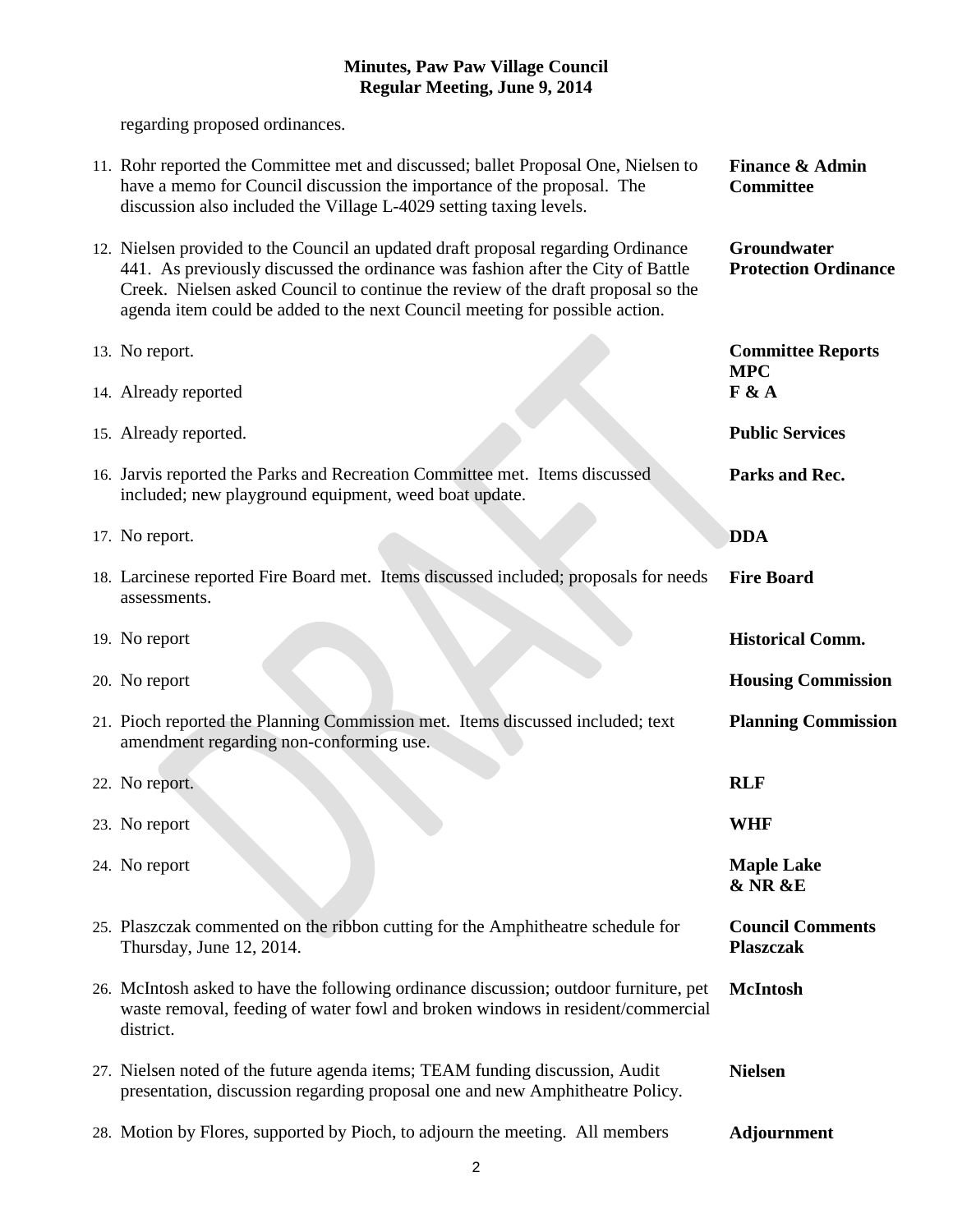### **Minutes, Paw Paw Village Council Regular Meeting, June 9, 2014**

regarding proposed ordinances.

| 11. Rohr reported the Committee met and discussed; ballet Proposal One, Nielsen to<br>have a memo for Council discussion the importance of the proposal. The<br>discussion also included the Village L-4029 setting taxing levels.                                                                                                      | <b>Finance &amp; Admin</b><br><b>Committee</b>    |
|-----------------------------------------------------------------------------------------------------------------------------------------------------------------------------------------------------------------------------------------------------------------------------------------------------------------------------------------|---------------------------------------------------|
| 12. Nielsen provided to the Council an updated draft proposal regarding Ordinance<br>441. As previously discussed the ordinance was fashion after the City of Battle<br>Creek. Nielsen asked Council to continue the review of the draft proposal so the<br>agenda item could be added to the next Council meeting for possible action. | <b>Groundwater</b><br><b>Protection Ordinance</b> |
| 13. No report.                                                                                                                                                                                                                                                                                                                          | <b>Committee Reports</b>                          |
| 14. Already reported                                                                                                                                                                                                                                                                                                                    | <b>MPC</b><br>F & A                               |
| 15. Already reported.                                                                                                                                                                                                                                                                                                                   | <b>Public Services</b>                            |
| 16. Jarvis reported the Parks and Recreation Committee met. Items discussed<br>included; new playground equipment, weed boat update.                                                                                                                                                                                                    | Parks and Rec.                                    |
| 17. No report.                                                                                                                                                                                                                                                                                                                          | <b>DDA</b>                                        |
| 18. Larcinese reported Fire Board met. Items discussed included; proposals for needs<br>assessments.                                                                                                                                                                                                                                    | <b>Fire Board</b>                                 |
| 19. No report                                                                                                                                                                                                                                                                                                                           | <b>Historical Comm.</b>                           |
| 20. No report                                                                                                                                                                                                                                                                                                                           | <b>Housing Commission</b>                         |
| 21. Pioch reported the Planning Commission met. Items discussed included; text<br>amendment regarding non-conforming use.                                                                                                                                                                                                               | <b>Planning Commission</b>                        |
| 22. No report.                                                                                                                                                                                                                                                                                                                          | <b>RLF</b>                                        |
| 23. No report                                                                                                                                                                                                                                                                                                                           | WHF                                               |
| 24. No report                                                                                                                                                                                                                                                                                                                           | <b>Maple Lake</b><br><b>&amp; NR &amp;E</b>       |
| 25. Plaszczak commented on the ribbon cutting for the Amphitheatre schedule for<br>Thursday, June 12, 2014.                                                                                                                                                                                                                             | <b>Council Comments</b><br><b>Plaszczak</b>       |
| 26. McIntosh asked to have the following ordinance discussion; outdoor furniture, pet<br>waste removal, feeding of water fowl and broken windows in resident/commercial<br>district.                                                                                                                                                    | <b>McIntosh</b>                                   |
| 27. Nielsen noted of the future agenda items; TEAM funding discussion, Audit<br>presentation, discussion regarding proposal one and new Amphitheatre Policy.                                                                                                                                                                            | <b>Nielsen</b>                                    |
| 28. Motion by Flores, supported by Pioch, to adjourn the meeting. All members                                                                                                                                                                                                                                                           | <b>Adjournment</b>                                |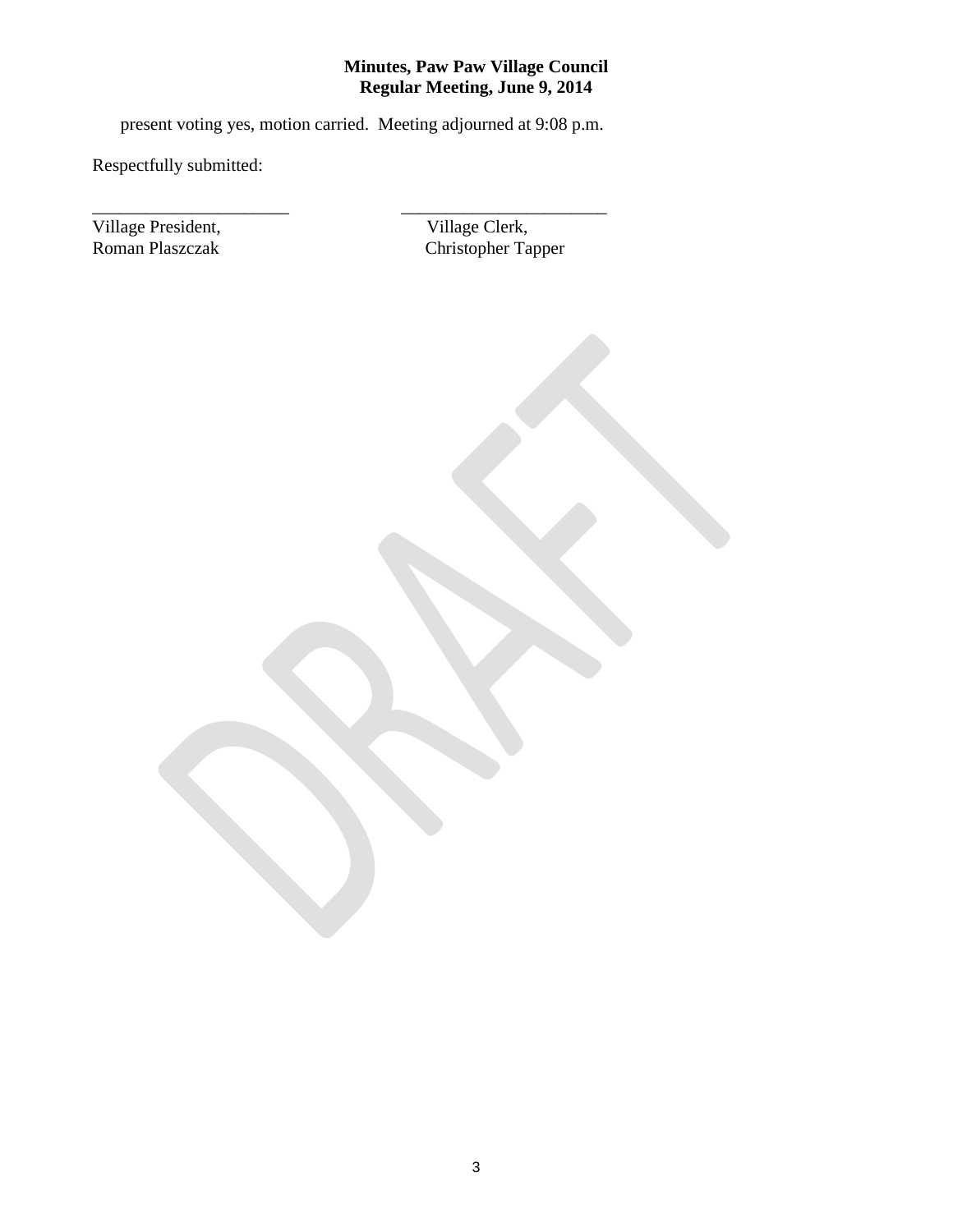### **Minutes, Paw Paw Village Council Regular Meeting, June 9, 2014**

present voting yes, motion carried. Meeting adjourned at 9:08 p.m.

Respectfully submitted:

Village President,<br>
Roman Plaszczak<br>
Christopher Ta

\_\_\_\_\_\_\_\_\_\_\_\_\_\_\_\_\_\_\_\_\_\_ \_\_\_\_\_\_\_\_\_\_\_\_\_\_\_\_\_\_\_\_\_\_\_ Christopher Tapper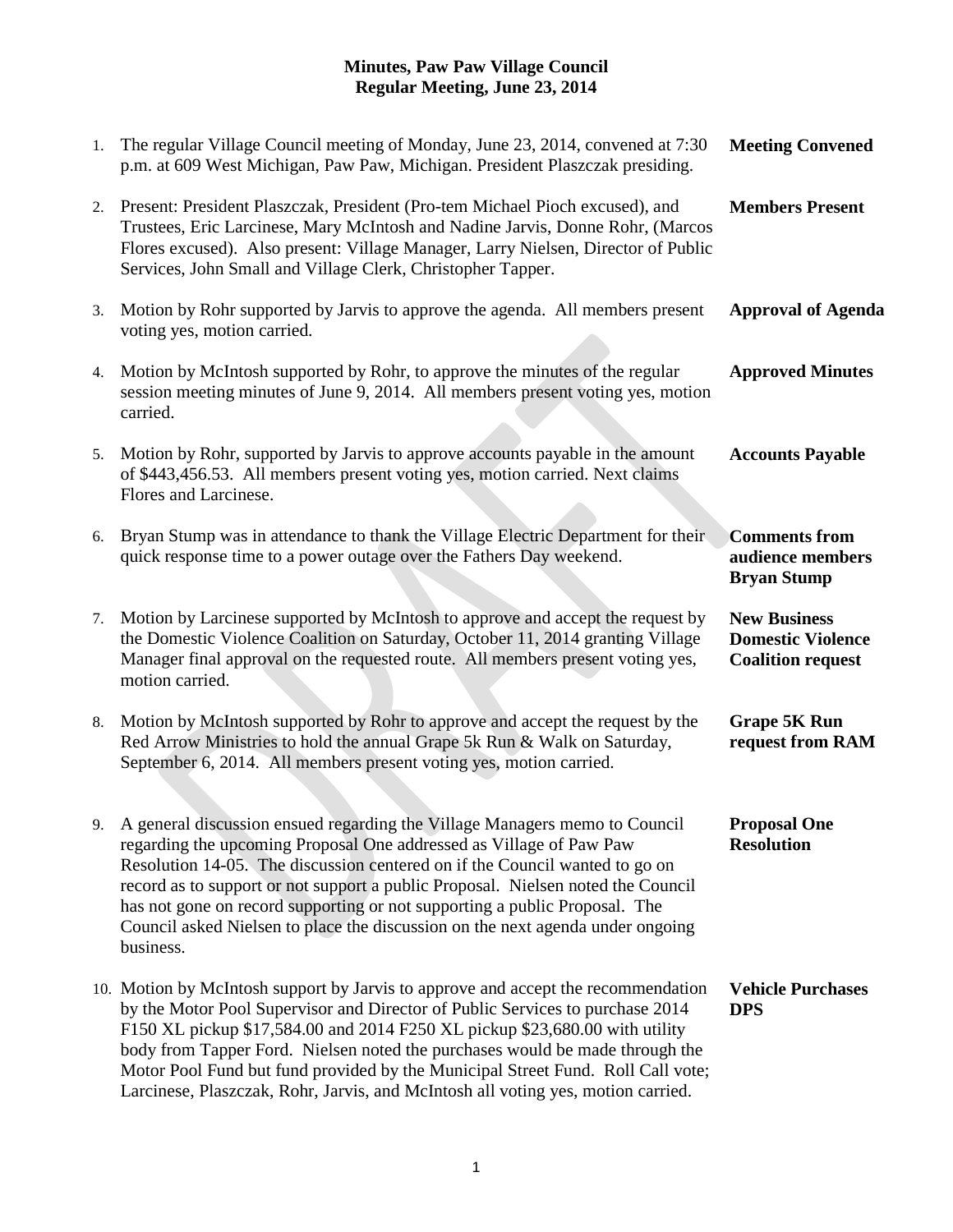# **Minutes, Paw Paw Village Council Regular Meeting, June 23, 2014**

| 1. | The regular Village Council meeting of Monday, June 23, 2014, convened at 7:30<br>p.m. at 609 West Michigan, Paw Paw, Michigan. President Plaszczak presiding.                                                                                                                                                                                                                                                                                                                                           | <b>Meeting Convened</b>                                                     |
|----|----------------------------------------------------------------------------------------------------------------------------------------------------------------------------------------------------------------------------------------------------------------------------------------------------------------------------------------------------------------------------------------------------------------------------------------------------------------------------------------------------------|-----------------------------------------------------------------------------|
| 2. | Present: President Plaszczak, President (Pro-tem Michael Pioch excused), and<br>Trustees, Eric Larcinese, Mary McIntosh and Nadine Jarvis, Donne Rohr, (Marcos<br>Flores excused). Also present: Village Manager, Larry Nielsen, Director of Public<br>Services, John Small and Village Clerk, Christopher Tapper.                                                                                                                                                                                       | <b>Members Present</b>                                                      |
| 3. | Motion by Rohr supported by Jarvis to approve the agenda. All members present<br>voting yes, motion carried.                                                                                                                                                                                                                                                                                                                                                                                             | <b>Approval of Agenda</b>                                                   |
| 4. | Motion by McIntosh supported by Rohr, to approve the minutes of the regular<br>session meeting minutes of June 9, 2014. All members present voting yes, motion<br>carried.                                                                                                                                                                                                                                                                                                                               | <b>Approved Minutes</b>                                                     |
| 5. | Motion by Rohr, supported by Jarvis to approve accounts payable in the amount<br>of \$443,456.53. All members present voting yes, motion carried. Next claims<br>Flores and Larcinese.                                                                                                                                                                                                                                                                                                                   | <b>Accounts Payable</b>                                                     |
| 6. | Bryan Stump was in attendance to thank the Village Electric Department for their<br>quick response time to a power outage over the Fathers Day weekend.                                                                                                                                                                                                                                                                                                                                                  | <b>Comments from</b><br>audience members<br><b>Bryan Stump</b>              |
| 7. | Motion by Larcinese supported by McIntosh to approve and accept the request by<br>the Domestic Violence Coalition on Saturday, October 11, 2014 granting Village<br>Manager final approval on the requested route. All members present voting yes,<br>motion carried.                                                                                                                                                                                                                                    | <b>New Business</b><br><b>Domestic Violence</b><br><b>Coalition request</b> |
| 8. | Motion by McIntosh supported by Rohr to approve and accept the request by the<br>Red Arrow Ministries to hold the annual Grape 5k Run & Walk on Saturday,<br>September 6, 2014. All members present voting yes, motion carried.                                                                                                                                                                                                                                                                          | <b>Grape 5K Run</b><br>request from RAM                                     |
|    | 9. A general discussion ensued regarding the Village Managers memo to Council<br>regarding the upcoming Proposal One addressed as Village of Paw Paw<br>Resolution 14-05. The discussion centered on if the Council wanted to go on<br>record as to support or not support a public Proposal. Nielsen noted the Council<br>has not gone on record supporting or not supporting a public Proposal. The<br>Council asked Nielsen to place the discussion on the next agenda under ongoing<br>business.     | <b>Proposal One</b><br><b>Resolution</b>                                    |
|    | 10. Motion by McIntosh support by Jarvis to approve and accept the recommendation<br>by the Motor Pool Supervisor and Director of Public Services to purchase 2014<br>F150 XL pickup \$17,584.00 and 2014 F250 XL pickup \$23,680.00 with utility<br>body from Tapper Ford. Nielsen noted the purchases would be made through the<br>Motor Pool Fund but fund provided by the Municipal Street Fund. Roll Call vote;<br>Larcinese, Plaszczak, Rohr, Jarvis, and McIntosh all voting yes, motion carried. | <b>Vehicle Purchases</b><br><b>DPS</b>                                      |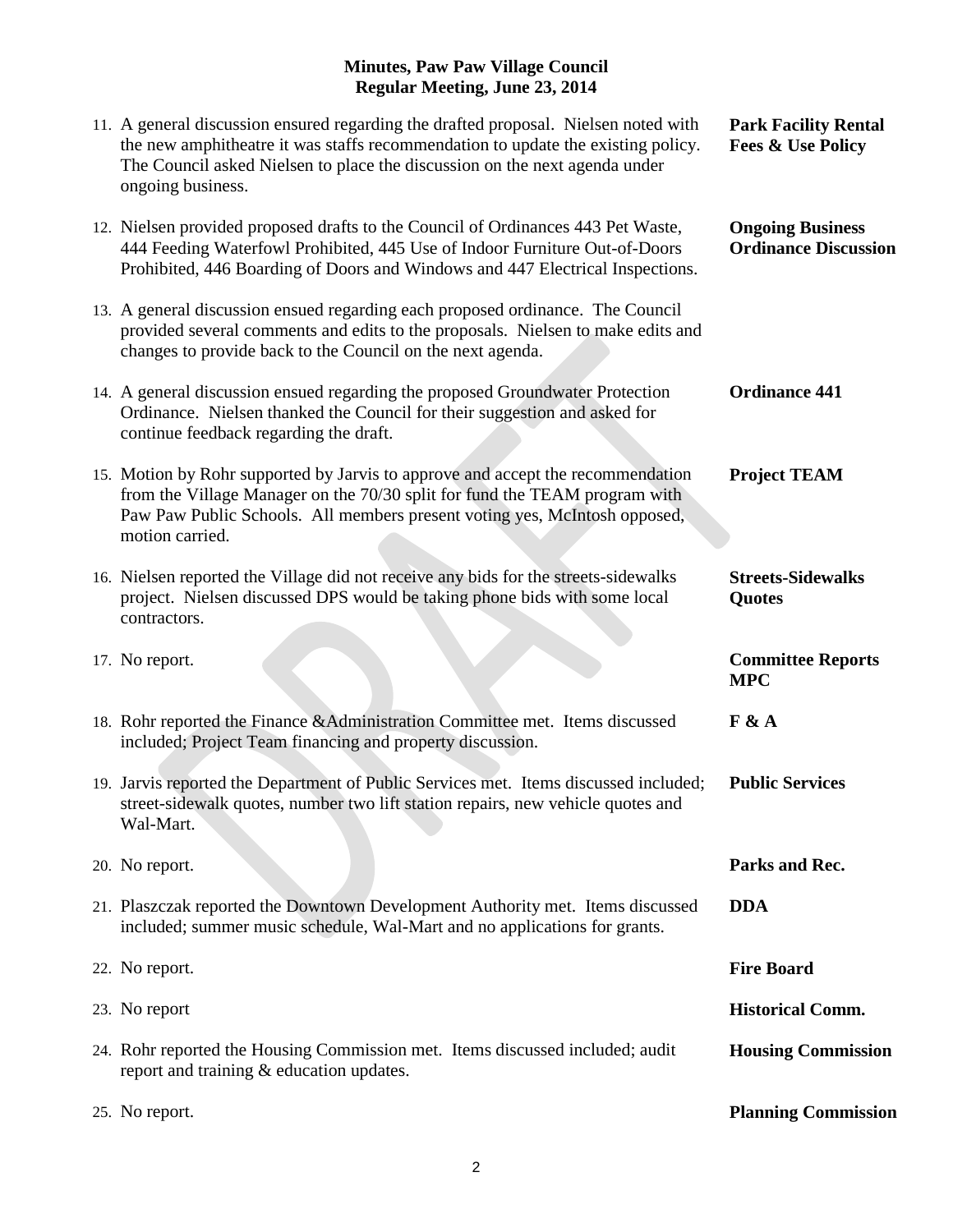### **Minutes, Paw Paw Village Council Regular Meeting, June 23, 2014**

| 11. A general discussion ensured regarding the drafted proposal. Nielsen noted with<br>the new amphitheatre it was staffs recommendation to update the existing policy.<br>The Council asked Nielsen to place the discussion on the next agenda under<br>ongoing business. | <b>Park Facility Rental</b><br><b>Fees &amp; Use Policy</b> |
|----------------------------------------------------------------------------------------------------------------------------------------------------------------------------------------------------------------------------------------------------------------------------|-------------------------------------------------------------|
| 12. Nielsen provided proposed drafts to the Council of Ordinances 443 Pet Waste,<br>444 Feeding Waterfowl Prohibited, 445 Use of Indoor Furniture Out-of-Doors<br>Prohibited, 446 Boarding of Doors and Windows and 447 Electrical Inspections.                            | <b>Ongoing Business</b><br><b>Ordinance Discussion</b>      |
| 13. A general discussion ensued regarding each proposed ordinance. The Council<br>provided several comments and edits to the proposals. Nielsen to make edits and<br>changes to provide back to the Council on the next agenda.                                            |                                                             |
| 14. A general discussion ensued regarding the proposed Groundwater Protection<br>Ordinance. Nielsen thanked the Council for their suggestion and asked for<br>continue feedback regarding the draft.                                                                       | <b>Ordinance 441</b>                                        |
| 15. Motion by Rohr supported by Jarvis to approve and accept the recommendation<br>from the Village Manager on the 70/30 split for fund the TEAM program with<br>Paw Paw Public Schools. All members present voting yes, McIntosh opposed,<br>motion carried.              | <b>Project TEAM</b>                                         |
| 16. Nielsen reported the Village did not receive any bids for the streets-sidewalks<br>project. Nielsen discussed DPS would be taking phone bids with some local<br>contractors.                                                                                           | <b>Streets-Sidewalks</b><br>Quotes                          |
| 17. No report.                                                                                                                                                                                                                                                             | <b>Committee Reports</b><br><b>MPC</b>                      |
| 18. Rohr reported the Finance & Administration Committee met. Items discussed<br>included; Project Team financing and property discussion.                                                                                                                                 | F & A                                                       |
| 19. Jarvis reported the Department of Public Services met. Items discussed included;<br>street-sidewalk quotes, number two lift station repairs, new vehicle quotes and<br>Wal-Mart.                                                                                       | <b>Public Services</b>                                      |
| 20. No report.                                                                                                                                                                                                                                                             | Parks and Rec.                                              |
| 21. Plaszczak reported the Downtown Development Authority met. Items discussed<br>included; summer music schedule, Wal-Mart and no applications for grants.                                                                                                                | <b>DDA</b>                                                  |
| 22. No report.                                                                                                                                                                                                                                                             | <b>Fire Board</b>                                           |
| 23. No report                                                                                                                                                                                                                                                              | <b>Historical Comm.</b>                                     |
| 24. Rohr reported the Housing Commission met. Items discussed included; audit<br>report and training & education updates.                                                                                                                                                  | <b>Housing Commission</b>                                   |
| 25. No report.                                                                                                                                                                                                                                                             | <b>Planning Commission</b>                                  |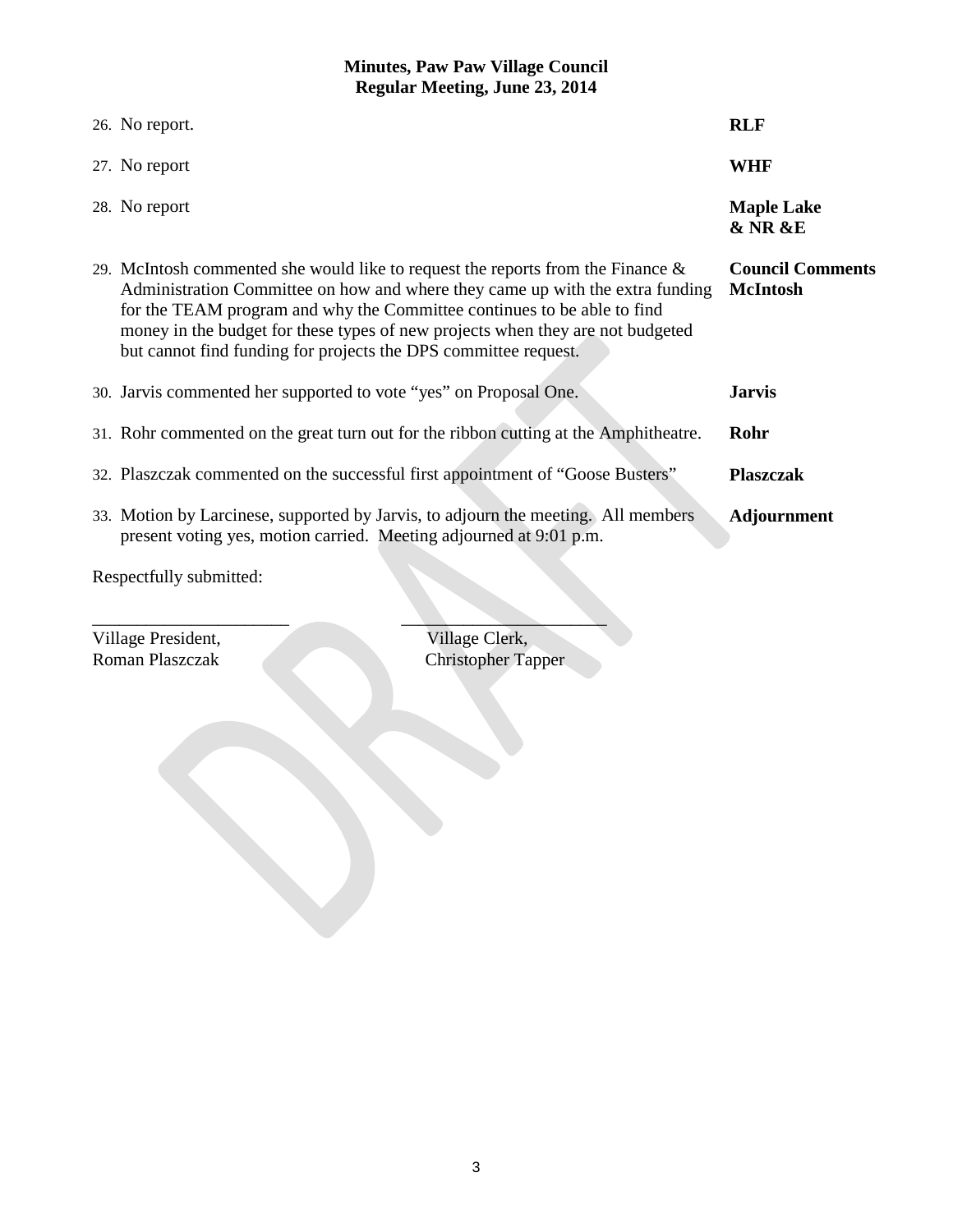### **Minutes, Paw Paw Village Council Regular Meeting, June 23, 2014**

| 26. No report.                                                                                                                                                                                                                                                                                                                                                                                      | <b>RLF</b>                                  |
|-----------------------------------------------------------------------------------------------------------------------------------------------------------------------------------------------------------------------------------------------------------------------------------------------------------------------------------------------------------------------------------------------------|---------------------------------------------|
| 27. No report                                                                                                                                                                                                                                                                                                                                                                                       | <b>WHF</b>                                  |
| 28. No report                                                                                                                                                                                                                                                                                                                                                                                       | <b>Maple Lake</b><br><b>&amp; NR &amp;E</b> |
| 29. McIntosh commented she would like to request the reports from the Finance $\&$<br>Administration Committee on how and where they came up with the extra funding<br>for the TEAM program and why the Committee continues to be able to find<br>money in the budget for these types of new projects when they are not budgeted<br>but cannot find funding for projects the DPS committee request. | <b>Council Comments</b><br><b>McIntosh</b>  |
| 30. Jarvis commented her supported to vote "yes" on Proposal One.                                                                                                                                                                                                                                                                                                                                   | <b>Jarvis</b>                               |
| 31. Rohr commented on the great turn out for the ribbon cutting at the Amphitheatre.                                                                                                                                                                                                                                                                                                                | Rohr                                        |
| 32. Plaszczak commented on the successful first appointment of "Goose Busters"                                                                                                                                                                                                                                                                                                                      | <b>Plaszczak</b>                            |
| 33. Motion by Larcinese, supported by Jarvis, to adjourn the meeting. All members<br>present voting yes, motion carried. Meeting adjourned at 9:01 p.m.                                                                                                                                                                                                                                             | <b>Adjournment</b>                          |

Respectfully submitted:

\_\_\_\_\_\_\_\_\_\_\_\_\_\_\_\_\_\_\_\_\_\_ \_\_\_\_\_\_\_\_\_\_\_\_\_\_\_\_\_\_\_\_\_\_\_ Village President, Village Clerk,

Village Clerk,<br>Christopher Tapper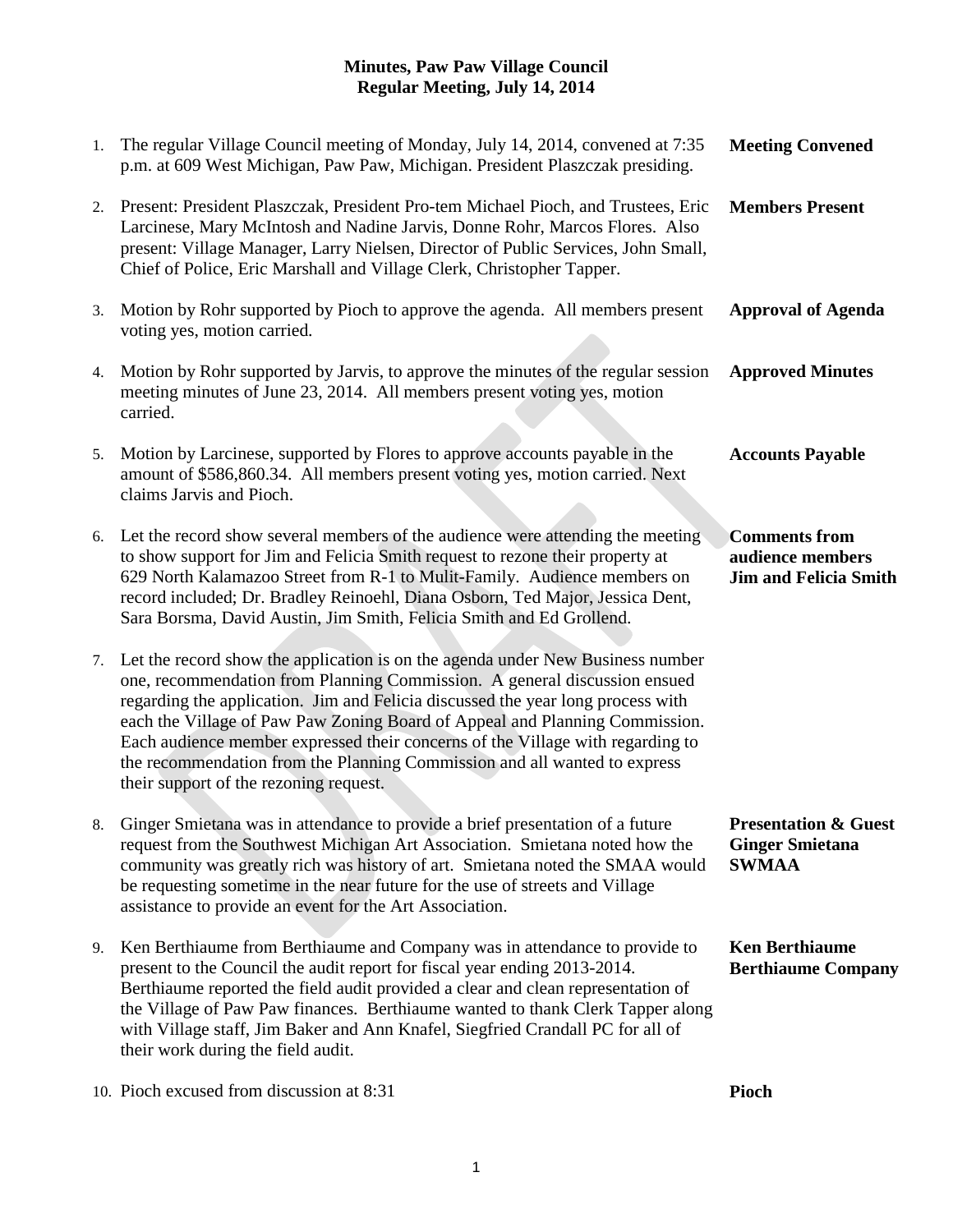### **Minutes, Paw Paw Village Council Regular Meeting, July 14, 2014**

| 1. | The regular Village Council meeting of Monday, July 14, 2014, convened at 7:35<br>p.m. at 609 West Michigan, Paw Paw, Michigan. President Plaszczak presiding.                                                                                                                                                                                                                                                                                                                                                                         | <b>Meeting Convened</b>                                                   |
|----|----------------------------------------------------------------------------------------------------------------------------------------------------------------------------------------------------------------------------------------------------------------------------------------------------------------------------------------------------------------------------------------------------------------------------------------------------------------------------------------------------------------------------------------|---------------------------------------------------------------------------|
| 2. | Present: President Plaszczak, President Pro-tem Michael Pioch, and Trustees, Eric<br>Larcinese, Mary McIntosh and Nadine Jarvis, Donne Rohr, Marcos Flores. Also<br>present: Village Manager, Larry Nielsen, Director of Public Services, John Small,<br>Chief of Police, Eric Marshall and Village Clerk, Christopher Tapper.                                                                                                                                                                                                         | <b>Members Present</b>                                                    |
| 3. | Motion by Rohr supported by Pioch to approve the agenda. All members present<br>voting yes, motion carried.                                                                                                                                                                                                                                                                                                                                                                                                                            | <b>Approval of Agenda</b>                                                 |
| 4. | Motion by Rohr supported by Jarvis, to approve the minutes of the regular session<br>meeting minutes of June 23, 2014. All members present voting yes, motion<br>carried.                                                                                                                                                                                                                                                                                                                                                              | <b>Approved Minutes</b>                                                   |
| 5. | Motion by Larcinese, supported by Flores to approve accounts payable in the<br>amount of \$586,860.34. All members present voting yes, motion carried. Next<br>claims Jarvis and Pioch.                                                                                                                                                                                                                                                                                                                                                | <b>Accounts Payable</b>                                                   |
| 6. | Let the record show several members of the audience were attending the meeting<br>to show support for Jim and Felicia Smith request to rezone their property at<br>629 North Kalamazoo Street from R-1 to Mulit-Family. Audience members on<br>record included; Dr. Bradley Reinoehl, Diana Osborn, Ted Major, Jessica Dent,<br>Sara Borsma, David Austin, Jim Smith, Felicia Smith and Ed Grollend.                                                                                                                                   | <b>Comments from</b><br>audience members<br><b>Jim and Felicia Smith</b>  |
| 7. | Let the record show the application is on the agenda under New Business number<br>one, recommendation from Planning Commission. A general discussion ensued<br>regarding the application. Jim and Felicia discussed the year long process with<br>each the Village of Paw Paw Zoning Board of Appeal and Planning Commission.<br>Each audience member expressed their concerns of the Village with regarding to<br>the recommendation from the Planning Commission and all wanted to express<br>their support of the rezoning request. |                                                                           |
|    | 8. Ginger Smietana was in attendance to provide a brief presentation of a future<br>request from the Southwest Michigan Art Association. Smietana noted how the<br>community was greatly rich was history of art. Smietana noted the SMAA would<br>be requesting sometime in the near future for the use of streets and Village<br>assistance to provide an event for the Art Association.                                                                                                                                             | <b>Presentation &amp; Guest</b><br><b>Ginger Smietana</b><br><b>SWMAA</b> |
| 9. | Ken Berthiaume from Berthiaume and Company was in attendance to provide to<br>present to the Council the audit report for fiscal year ending 2013-2014.<br>Berthiaume reported the field audit provided a clear and clean representation of<br>the Village of Paw Paw finances. Berthiaume wanted to thank Clerk Tapper along<br>with Village staff, Jim Baker and Ann Knafel, Siegfried Crandall PC for all of<br>their work during the field audit.                                                                                  | <b>Ken Berthiaume</b><br><b>Berthiaume Company</b>                        |
|    | 10. Pioch excused from discussion at 8:31                                                                                                                                                                                                                                                                                                                                                                                                                                                                                              | Pioch                                                                     |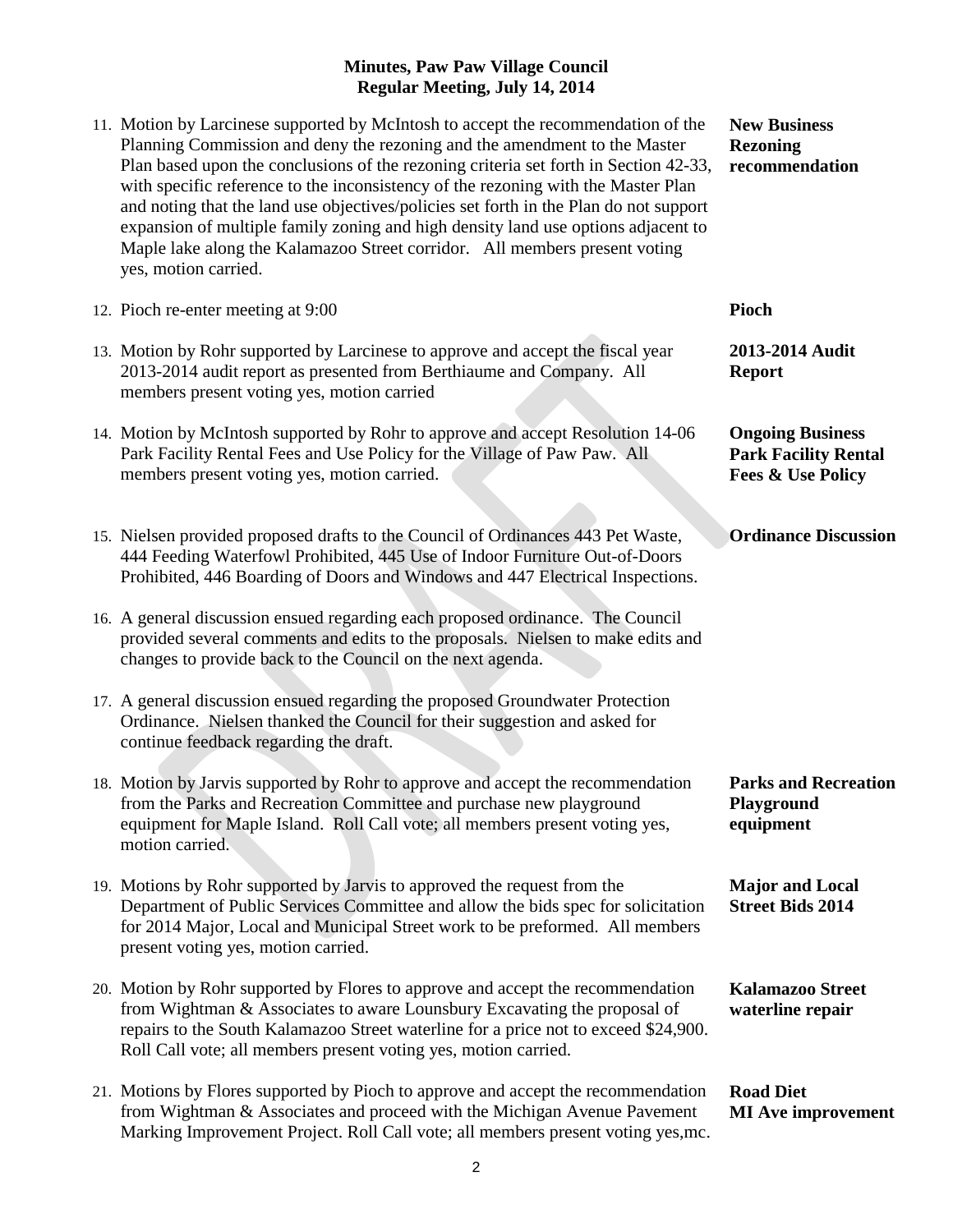### **Minutes, Paw Paw Village Council Regular Meeting, July 14, 2014**

| 11. Motion by Larcinese supported by McIntosh to accept the recommendation of the<br>Planning Commission and deny the rezoning and the amendment to the Master<br>Plan based upon the conclusions of the rezoning criteria set forth in Section 42-33,<br>with specific reference to the inconsistency of the rezoning with the Master Plan<br>and noting that the land use objectives/policies set forth in the Plan do not support<br>expansion of multiple family zoning and high density land use options adjacent to<br>Maple lake along the Kalamazoo Street corridor. All members present voting<br>yes, motion carried. | <b>New Business</b><br><b>Rezoning</b><br>recommendation                               |
|---------------------------------------------------------------------------------------------------------------------------------------------------------------------------------------------------------------------------------------------------------------------------------------------------------------------------------------------------------------------------------------------------------------------------------------------------------------------------------------------------------------------------------------------------------------------------------------------------------------------------------|----------------------------------------------------------------------------------------|
| 12. Pioch re-enter meeting at 9:00                                                                                                                                                                                                                                                                                                                                                                                                                                                                                                                                                                                              | Pioch                                                                                  |
| 13. Motion by Rohr supported by Larcinese to approve and accept the fiscal year<br>2013-2014 audit report as presented from Berthiaume and Company. All<br>members present voting yes, motion carried                                                                                                                                                                                                                                                                                                                                                                                                                           | 2013-2014 Audit<br><b>Report</b>                                                       |
| 14. Motion by McIntosh supported by Rohr to approve and accept Resolution 14-06<br>Park Facility Rental Fees and Use Policy for the Village of Paw Paw. All<br>members present voting yes, motion carried.                                                                                                                                                                                                                                                                                                                                                                                                                      | <b>Ongoing Business</b><br><b>Park Facility Rental</b><br><b>Fees &amp; Use Policy</b> |
| 15. Nielsen provided proposed drafts to the Council of Ordinances 443 Pet Waste,<br>444 Feeding Waterfowl Prohibited, 445 Use of Indoor Furniture Out-of-Doors<br>Prohibited, 446 Boarding of Doors and Windows and 447 Electrical Inspections.                                                                                                                                                                                                                                                                                                                                                                                 | <b>Ordinance Discussion</b>                                                            |
| 16. A general discussion ensued regarding each proposed ordinance. The Council<br>provided several comments and edits to the proposals. Nielsen to make edits and<br>changes to provide back to the Council on the next agenda.                                                                                                                                                                                                                                                                                                                                                                                                 |                                                                                        |
| 17. A general discussion ensued regarding the proposed Groundwater Protection<br>Ordinance. Nielsen thanked the Council for their suggestion and asked for<br>continue feedback regarding the draft.                                                                                                                                                                                                                                                                                                                                                                                                                            |                                                                                        |
| 18. Motion by Jarvis supported by Rohr to approve and accept the recommendation<br>from the Parks and Recreation Committee and purchase new playground<br>equipment for Maple Island. Roll Call vote; all members present voting yes,<br>motion carried.                                                                                                                                                                                                                                                                                                                                                                        | <b>Parks and Recreation</b><br>Playground<br>equipment                                 |
| 19. Motions by Rohr supported by Jarvis to approved the request from the<br>Department of Public Services Committee and allow the bids spec for solicitation<br>for 2014 Major, Local and Municipal Street work to be preformed. All members<br>present voting yes, motion carried.                                                                                                                                                                                                                                                                                                                                             | <b>Major and Local</b><br><b>Street Bids 2014</b>                                      |
| 20. Motion by Rohr supported by Flores to approve and accept the recommendation<br>from Wightman & Associates to aware Lounsbury Excavating the proposal of<br>repairs to the South Kalamazoo Street waterline for a price not to exceed \$24,900.<br>Roll Call vote; all members present voting yes, motion carried.                                                                                                                                                                                                                                                                                                           | <b>Kalamazoo Street</b><br>waterline repair                                            |
| 21. Motions by Flores supported by Pioch to approve and accept the recommendation<br>from Wightman & Associates and proceed with the Michigan Avenue Pavement<br>Marking Improvement Project. Roll Call vote; all members present voting yes, mc.                                                                                                                                                                                                                                                                                                                                                                               | <b>Road Diet</b><br><b>MI</b> Ave improvement                                          |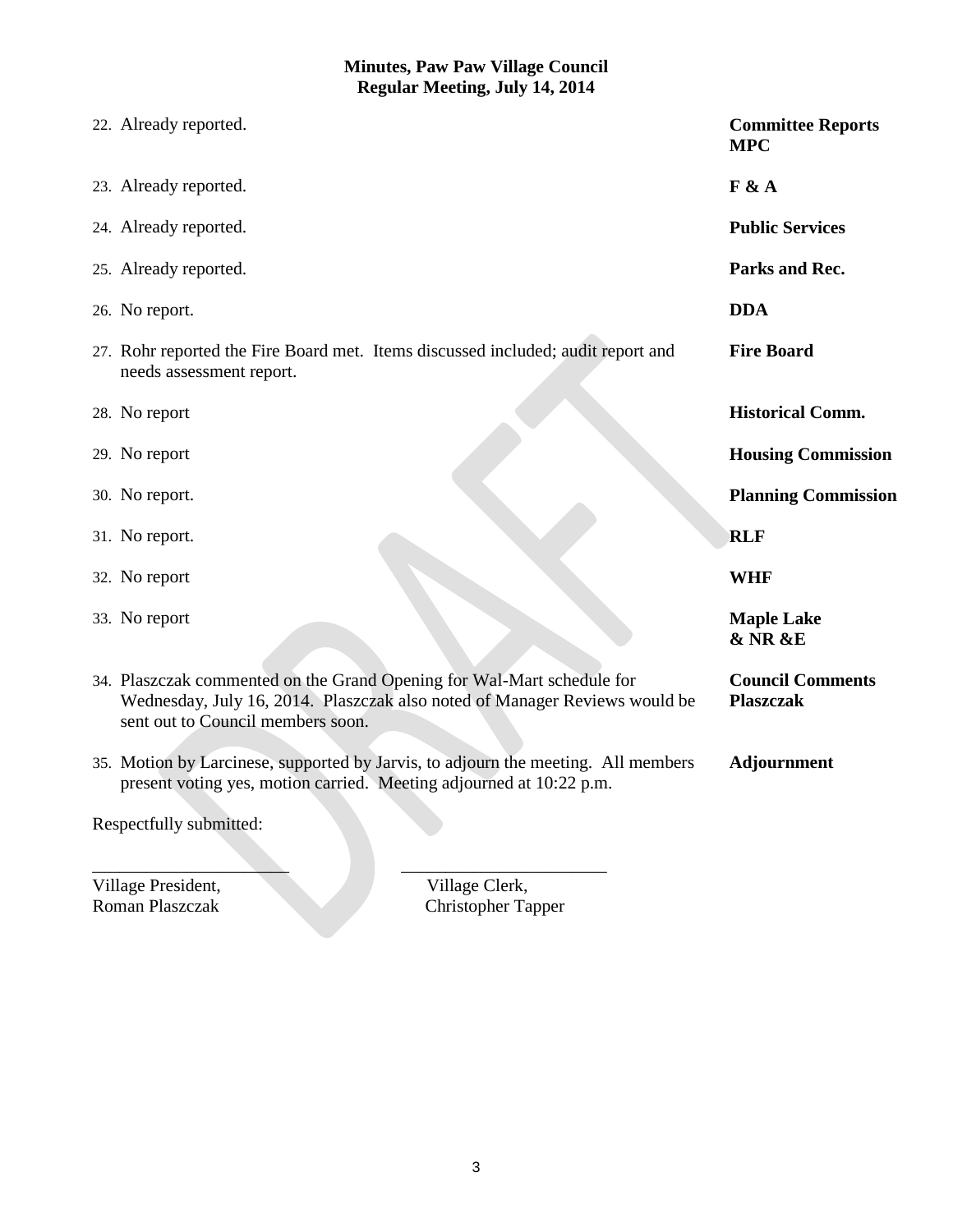### **Minutes, Paw Paw Village Council Regular Meeting, July 14, 2014**

| 22. Already reported.                                                                                                                                                                     | <b>Committee Reports</b><br><b>MPC</b>      |
|-------------------------------------------------------------------------------------------------------------------------------------------------------------------------------------------|---------------------------------------------|
| 23. Already reported.                                                                                                                                                                     | F & A                                       |
| 24. Already reported.                                                                                                                                                                     | <b>Public Services</b>                      |
| 25. Already reported.                                                                                                                                                                     | Parks and Rec.                              |
| 26. No report.                                                                                                                                                                            | <b>DDA</b>                                  |
| 27. Rohr reported the Fire Board met. Items discussed included; audit report and<br>needs assessment report.                                                                              | <b>Fire Board</b>                           |
| 28. No report                                                                                                                                                                             | <b>Historical Comm.</b>                     |
| 29. No report                                                                                                                                                                             | <b>Housing Commission</b>                   |
| 30. No report.                                                                                                                                                                            | <b>Planning Commission</b>                  |
| 31. No report.                                                                                                                                                                            | <b>RLF</b>                                  |
| 32. No report                                                                                                                                                                             | <b>WHF</b>                                  |
| 33. No report                                                                                                                                                                             | <b>Maple Lake</b><br>& NR &E                |
| 34. Plaszczak commented on the Grand Opening for Wal-Mart schedule for<br>Wednesday, July 16, 2014. Plaszczak also noted of Manager Reviews would be<br>sent out to Council members soon. | <b>Council Comments</b><br><b>Plaszczak</b> |
| 35. Motion by Larcinese, supported by Jarvis, to adjourn the meeting. All members<br>present voting yes, motion carried. Meeting adjourned at 10:22 p.m.                                  | <b>Adjournment</b>                          |
| Respectfully submitted:                                                                                                                                                                   |                                             |

Village President,<br>
Roman Plaszczak<br>
Christopher Ta

Christopher Tapper

 $\qquad \qquad \blacksquare$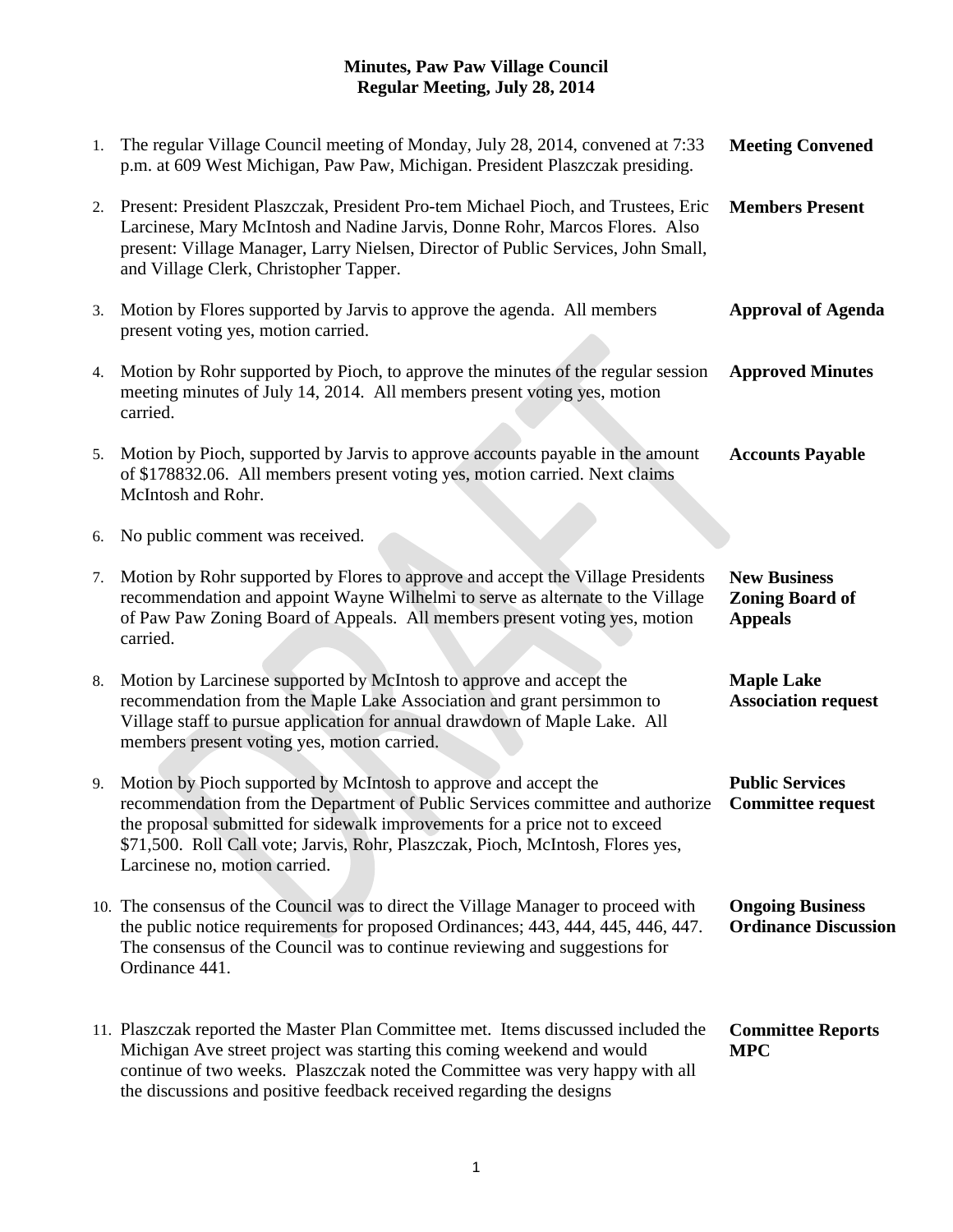### **Minutes, Paw Paw Village Council Regular Meeting, July 28, 2014**

| 1. | The regular Village Council meeting of Monday, July 28, 2014, convened at 7:33<br>p.m. at 609 West Michigan, Paw Paw, Michigan. President Plaszczak presiding.                                                                                                                                                                                     | <b>Meeting Convened</b>                                         |
|----|----------------------------------------------------------------------------------------------------------------------------------------------------------------------------------------------------------------------------------------------------------------------------------------------------------------------------------------------------|-----------------------------------------------------------------|
| 2. | Present: President Plaszczak, President Pro-tem Michael Pioch, and Trustees, Eric<br>Larcinese, Mary McIntosh and Nadine Jarvis, Donne Rohr, Marcos Flores. Also<br>present: Village Manager, Larry Nielsen, Director of Public Services, John Small,<br>and Village Clerk, Christopher Tapper.                                                    | <b>Members Present</b>                                          |
| 3. | Motion by Flores supported by Jarvis to approve the agenda. All members<br>present voting yes, motion carried.                                                                                                                                                                                                                                     | <b>Approval of Agenda</b>                                       |
| 4. | Motion by Rohr supported by Pioch, to approve the minutes of the regular session<br>meeting minutes of July 14, 2014. All members present voting yes, motion<br>carried.                                                                                                                                                                           | <b>Approved Minutes</b>                                         |
| 5. | Motion by Pioch, supported by Jarvis to approve accounts payable in the amount<br>of \$178832.06. All members present voting yes, motion carried. Next claims<br>McIntosh and Rohr.                                                                                                                                                                | <b>Accounts Payable</b>                                         |
| 6. | No public comment was received.                                                                                                                                                                                                                                                                                                                    |                                                                 |
| 7. | Motion by Rohr supported by Flores to approve and accept the Village Presidents<br>recommendation and appoint Wayne Wilhelmi to serve as alternate to the Village<br>of Paw Paw Zoning Board of Appeals. All members present voting yes, motion<br>carried.                                                                                        | <b>New Business</b><br><b>Zoning Board of</b><br><b>Appeals</b> |
| 8. | Motion by Larcinese supported by McIntosh to approve and accept the<br>recommendation from the Maple Lake Association and grant persimmon to<br>Village staff to pursue application for annual drawdown of Maple Lake. All<br>members present voting yes, motion carried.                                                                          | <b>Maple Lake</b><br><b>Association request</b>                 |
| 9. | Motion by Pioch supported by McIntosh to approve and accept the<br>recommendation from the Department of Public Services committee and authorize<br>the proposal submitted for sidewalk improvements for a price not to exceed<br>\$71,500. Roll Call vote; Jarvis, Rohr, Plaszczak, Pioch, McIntosh, Flores yes,<br>Larcinese no, motion carried. | <b>Public Services</b><br><b>Committee request</b>              |
|    | 10. The consensus of the Council was to direct the Village Manager to proceed with<br>the public notice requirements for proposed Ordinances; 443, 444, 445, 446, 447.<br>The consensus of the Council was to continue reviewing and suggestions for<br>Ordinance 441.                                                                             | <b>Ongoing Business</b><br><b>Ordinance Discussion</b>          |
|    | 11. Plaszczak reported the Master Plan Committee met. Items discussed included the<br>Michigan Ave street project was starting this coming weekend and would<br>continue of two weeks. Plaszczak noted the Committee was very happy with all<br>the discussions and positive feedback received regarding the designs                               | <b>Committee Reports</b><br><b>MPC</b>                          |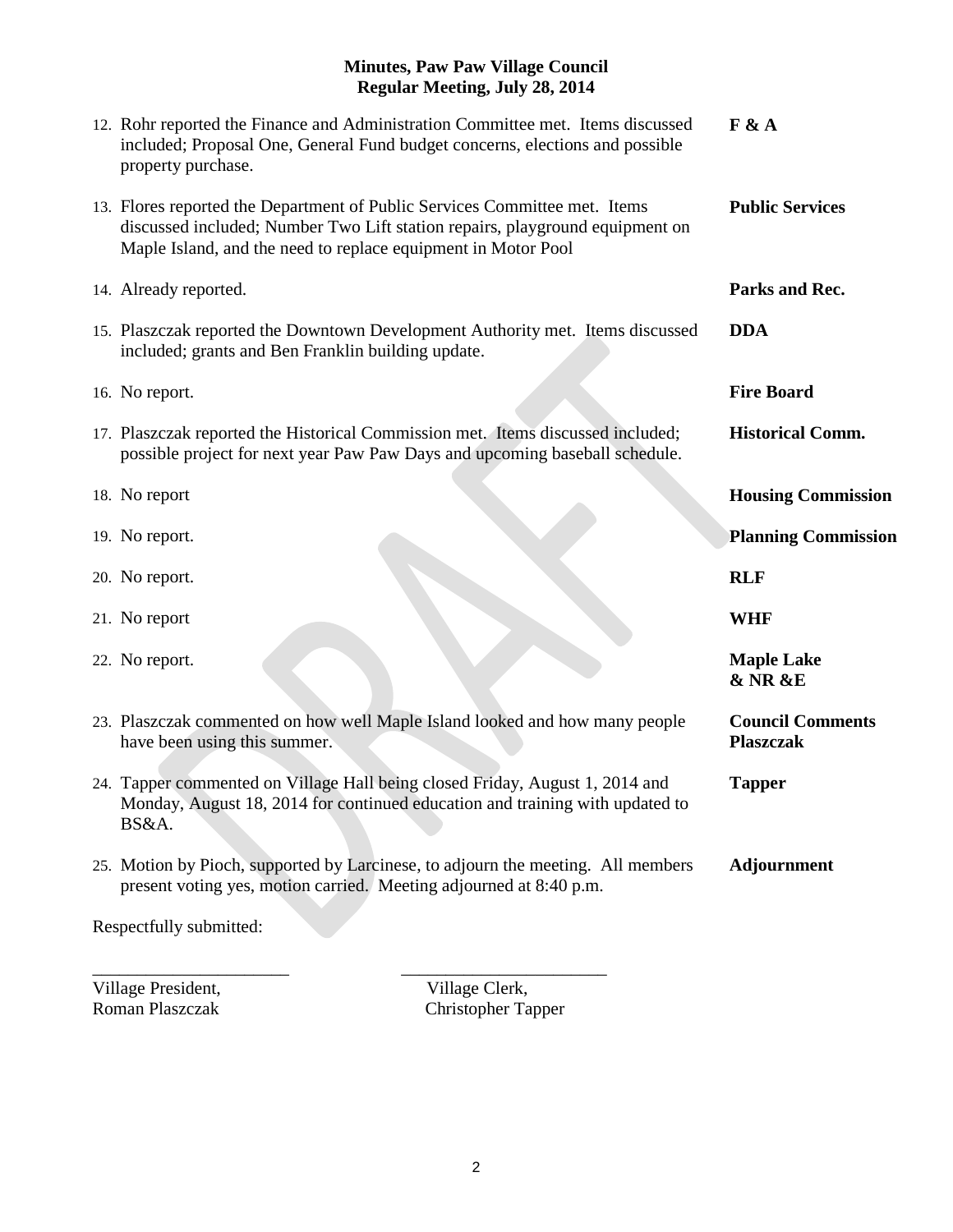### **Minutes, Paw Paw Village Council Regular Meeting, July 28, 2014**

| 12. Rohr reported the Finance and Administration Committee met. Items discussed<br>included; Proposal One, General Fund budget concerns, elections and possible<br>property purchase.                                       | F & A                                       |
|-----------------------------------------------------------------------------------------------------------------------------------------------------------------------------------------------------------------------------|---------------------------------------------|
| 13. Flores reported the Department of Public Services Committee met. Items<br>discussed included; Number Two Lift station repairs, playground equipment on<br>Maple Island, and the need to replace equipment in Motor Pool | <b>Public Services</b>                      |
| 14. Already reported.                                                                                                                                                                                                       | Parks and Rec.                              |
| 15. Plaszczak reported the Downtown Development Authority met. Items discussed<br>included; grants and Ben Franklin building update.                                                                                        | <b>DDA</b>                                  |
| 16. No report.                                                                                                                                                                                                              | <b>Fire Board</b>                           |
| 17. Plaszczak reported the Historical Commission met. Items discussed included;<br>possible project for next year Paw Paw Days and upcoming baseball schedule.                                                              | <b>Historical Comm.</b>                     |
| 18. No report                                                                                                                                                                                                               | <b>Housing Commission</b>                   |
| 19. No report.                                                                                                                                                                                                              | <b>Planning Commission</b>                  |
| 20. No report.                                                                                                                                                                                                              | <b>RLF</b>                                  |
| 21. No report                                                                                                                                                                                                               | <b>WHF</b>                                  |
| 22. No report.                                                                                                                                                                                                              | <b>Maple Lake</b><br><b>&amp; NR &amp;E</b> |
| 23. Plaszczak commented on how well Maple Island looked and how many people<br>have been using this summer.                                                                                                                 | <b>Council Comments</b><br><b>Plaszczak</b> |
| 24. Tapper commented on Village Hall being closed Friday, August 1, 2014 and<br>Monday, August 18, 2014 for continued education and training with updated to<br>BS&A.                                                       | <b>Tapper</b>                               |
| 25. Motion by Pioch, supported by Larcinese, to adjourn the meeting. All members<br>present voting yes, motion carried. Meeting adjourned at 8:40 p.m.                                                                      | <b>Adjournment</b>                          |
| Respectfully submitted:                                                                                                                                                                                                     |                                             |

Village President,<br>
Village Clerk,<br>
Roman Plaszczak<br>
Christopher Ta

Christopher Tapper

\_\_\_\_\_\_\_\_\_\_\_\_\_\_\_\_\_\_\_\_\_\_ \_\_\_\_\_\_\_\_\_\_\_\_\_\_\_\_\_\_\_\_\_\_\_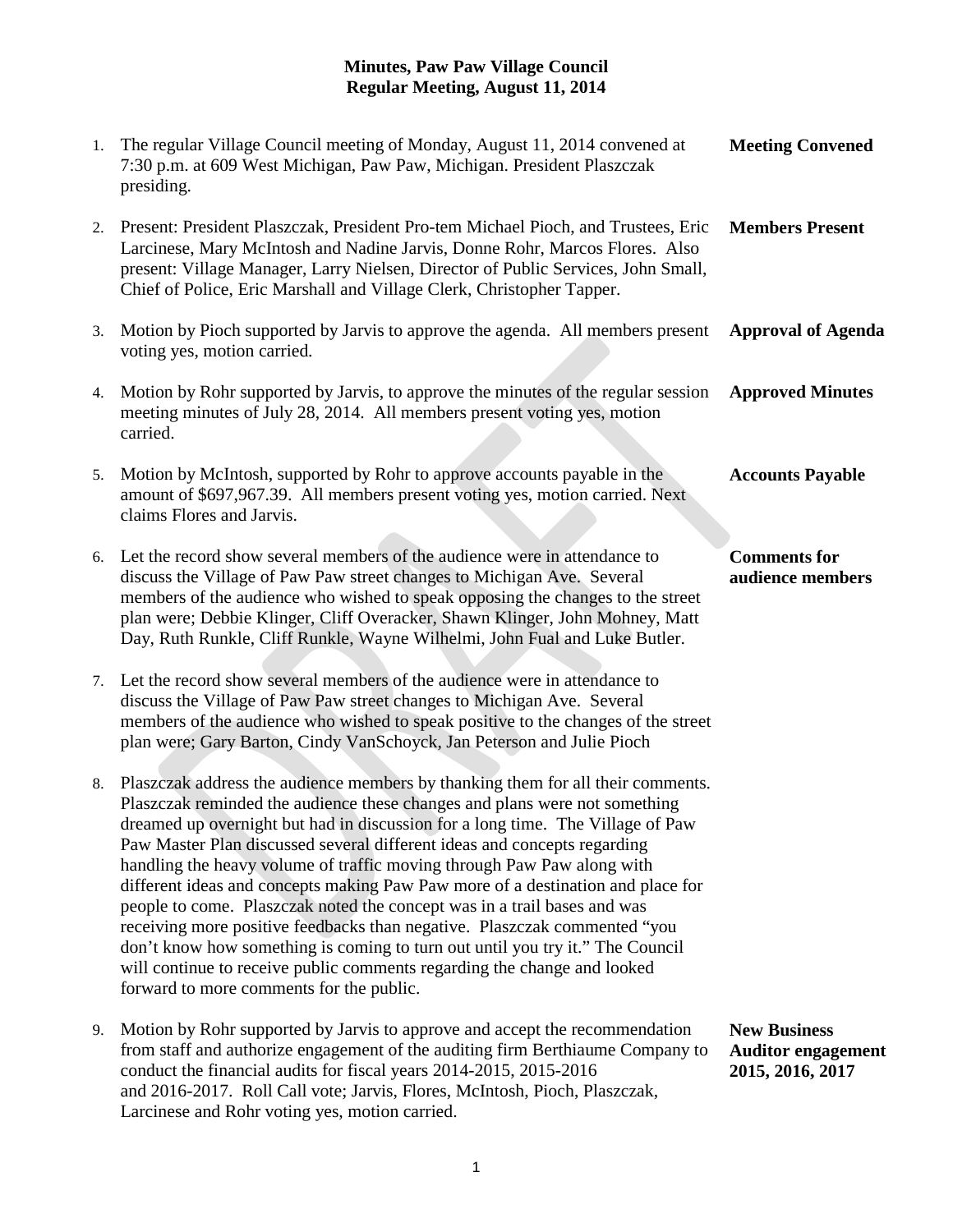### **Minutes, Paw Paw Village Council Regular Meeting, August 11, 2014**

| 1. | The regular Village Council meeting of Monday, August 11, 2014 convened at<br>7:30 p.m. at 609 West Michigan, Paw Paw, Michigan. President Plaszczak<br>presiding.                                                                                                                                                                                                                                                                                                                                                                                                                                                                                                                                                                                                                                                                                            | <b>Meeting Convened</b>                                              |
|----|---------------------------------------------------------------------------------------------------------------------------------------------------------------------------------------------------------------------------------------------------------------------------------------------------------------------------------------------------------------------------------------------------------------------------------------------------------------------------------------------------------------------------------------------------------------------------------------------------------------------------------------------------------------------------------------------------------------------------------------------------------------------------------------------------------------------------------------------------------------|----------------------------------------------------------------------|
| 2. | Present: President Plaszczak, President Pro-tem Michael Pioch, and Trustees, Eric<br>Larcinese, Mary McIntosh and Nadine Jarvis, Donne Rohr, Marcos Flores. Also<br>present: Village Manager, Larry Nielsen, Director of Public Services, John Small,<br>Chief of Police, Eric Marshall and Village Clerk, Christopher Tapper.                                                                                                                                                                                                                                                                                                                                                                                                                                                                                                                                | <b>Members Present</b>                                               |
| 3. | Motion by Pioch supported by Jarvis to approve the agenda. All members present<br>voting yes, motion carried.                                                                                                                                                                                                                                                                                                                                                                                                                                                                                                                                                                                                                                                                                                                                                 | <b>Approval of Agenda</b>                                            |
| 4. | Motion by Rohr supported by Jarvis, to approve the minutes of the regular session<br>meeting minutes of July 28, 2014. All members present voting yes, motion<br>carried.                                                                                                                                                                                                                                                                                                                                                                                                                                                                                                                                                                                                                                                                                     | <b>Approved Minutes</b>                                              |
| 5. | Motion by McIntosh, supported by Rohr to approve accounts payable in the<br>amount of \$697,967.39. All members present voting yes, motion carried. Next<br>claims Flores and Jarvis.                                                                                                                                                                                                                                                                                                                                                                                                                                                                                                                                                                                                                                                                         | <b>Accounts Payable</b>                                              |
| 6. | Let the record show several members of the audience were in attendance to<br>discuss the Village of Paw Paw street changes to Michigan Ave. Several<br>members of the audience who wished to speak opposing the changes to the street<br>plan were; Debbie Klinger, Cliff Overacker, Shawn Klinger, John Mohney, Matt<br>Day, Ruth Runkle, Cliff Runkle, Wayne Wilhelmi, John Fual and Luke Butler.                                                                                                                                                                                                                                                                                                                                                                                                                                                           | <b>Comments for</b><br>audience members                              |
| 7. | Let the record show several members of the audience were in attendance to<br>discuss the Village of Paw Paw street changes to Michigan Ave. Several<br>members of the audience who wished to speak positive to the changes of the street<br>plan were; Gary Barton, Cindy VanSchoyck, Jan Peterson and Julie Pioch                                                                                                                                                                                                                                                                                                                                                                                                                                                                                                                                            |                                                                      |
|    | 8. Plaszczak address the audience members by thanking them for all their comments.<br>Plaszczak reminded the audience these changes and plans were not something<br>dreamed up overnight but had in discussion for a long time. The Village of Paw<br>Paw Master Plan discussed several different ideas and concepts regarding<br>handling the heavy volume of traffic moving through Paw Paw along with<br>different ideas and concepts making Paw Paw more of a destination and place for<br>people to come. Plaszczak noted the concept was in a trail bases and was<br>receiving more positive feedbacks than negative. Plaszczak commented "you<br>don't know how something is coming to turn out until you try it." The Council<br>will continue to receive public comments regarding the change and looked<br>forward to more comments for the public. |                                                                      |
| 9. | Motion by Rohr supported by Jarvis to approve and accept the recommendation<br>from staff and authorize engagement of the auditing firm Berthiaume Company to<br>conduct the financial audits for fiscal years 2014-2015, 2015-2016                                                                                                                                                                                                                                                                                                                                                                                                                                                                                                                                                                                                                           | <b>New Business</b><br><b>Auditor engagement</b><br>2015, 2016, 2017 |

and 2016-2017. Roll Call vote; Jarvis, Flores, McIntosh, Pioch, Plaszczak,

Larcinese and Rohr voting yes, motion carried.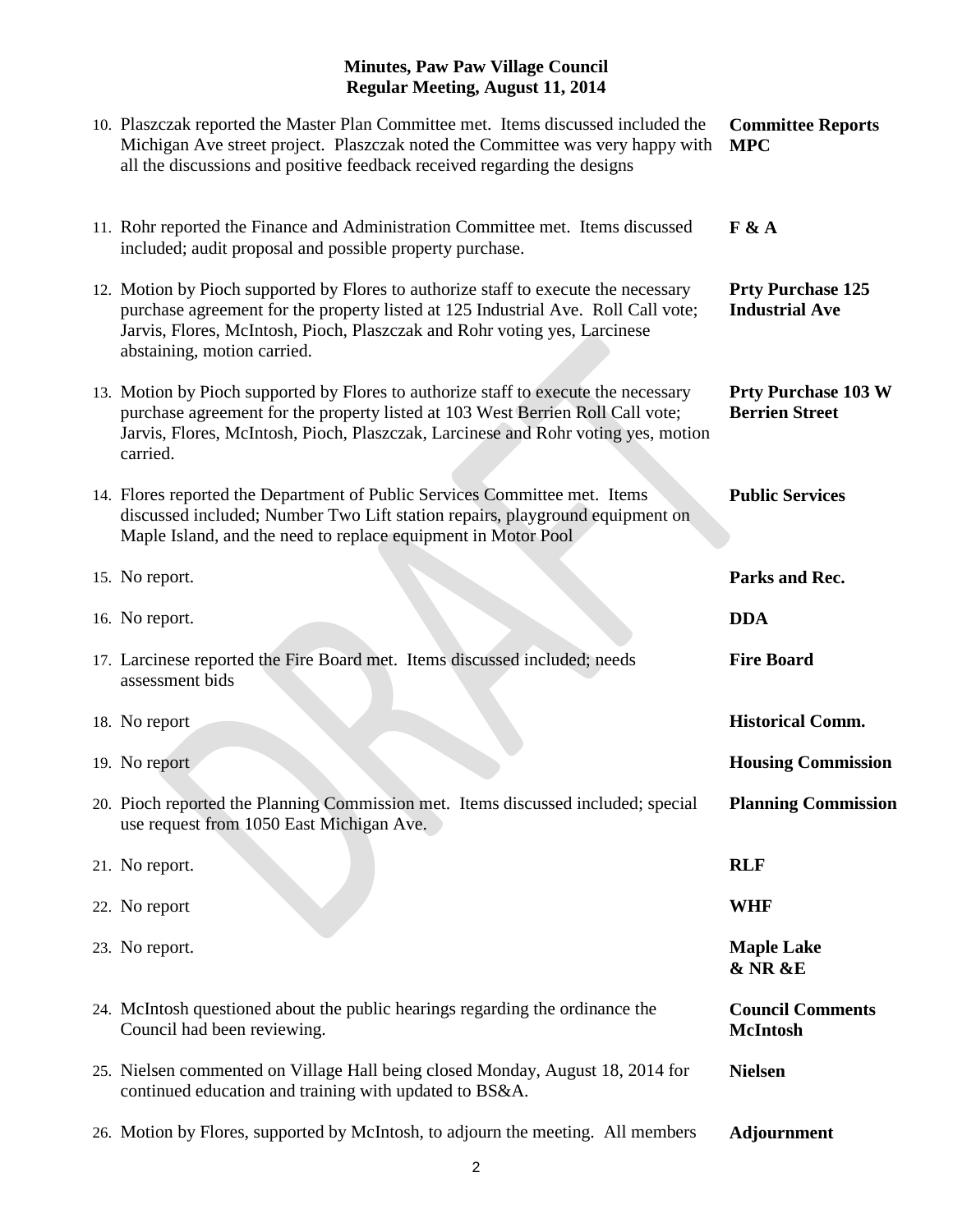### **Minutes, Paw Paw Village Council Regular Meeting, August 11, 2014**

| 10. Plaszczak reported the Master Plan Committee met. Items discussed included the<br>Michigan Ave street project. Plaszczak noted the Committee was very happy with<br>all the discussions and positive feedback received regarding the designs                                     | <b>Committee Reports</b><br><b>MPC</b>              |
|--------------------------------------------------------------------------------------------------------------------------------------------------------------------------------------------------------------------------------------------------------------------------------------|-----------------------------------------------------|
| 11. Rohr reported the Finance and Administration Committee met. Items discussed<br>included; audit proposal and possible property purchase.                                                                                                                                          | F & A                                               |
| 12. Motion by Pioch supported by Flores to authorize staff to execute the necessary<br>purchase agreement for the property listed at 125 Industrial Ave. Roll Call vote;<br>Jarvis, Flores, McIntosh, Pioch, Plaszczak and Rohr voting yes, Larcinese<br>abstaining, motion carried. | <b>Prty Purchase 125</b><br><b>Industrial Ave</b>   |
| 13. Motion by Pioch supported by Flores to authorize staff to execute the necessary<br>purchase agreement for the property listed at 103 West Berrien Roll Call vote;<br>Jarvis, Flores, McIntosh, Pioch, Plaszczak, Larcinese and Rohr voting yes, motion<br>carried.               | <b>Prty Purchase 103 W</b><br><b>Berrien Street</b> |
| 14. Flores reported the Department of Public Services Committee met. Items<br>discussed included; Number Two Lift station repairs, playground equipment on<br>Maple Island, and the need to replace equipment in Motor Pool                                                          | <b>Public Services</b>                              |
| 15. No report.                                                                                                                                                                                                                                                                       | Parks and Rec.                                      |
| 16. No report.                                                                                                                                                                                                                                                                       | <b>DDA</b>                                          |
| 17. Larcinese reported the Fire Board met. Items discussed included; needs<br>assessment bids                                                                                                                                                                                        | <b>Fire Board</b>                                   |
| 18. No report                                                                                                                                                                                                                                                                        | <b>Historical Comm.</b>                             |
| 19. No report                                                                                                                                                                                                                                                                        | <b>Housing Commission</b>                           |
| 20. Pioch reported the Planning Commission met. Items discussed included; special<br>use request from 1050 East Michigan Ave.                                                                                                                                                        | <b>Planning Commission</b>                          |
| 21. No report.                                                                                                                                                                                                                                                                       | <b>RLF</b>                                          |
| 22. No report                                                                                                                                                                                                                                                                        | <b>WHF</b>                                          |
| 23. No report.                                                                                                                                                                                                                                                                       | <b>Maple Lake</b><br><b>&amp; NR &amp;E</b>         |
| 24. McIntosh questioned about the public hearings regarding the ordinance the<br>Council had been reviewing.                                                                                                                                                                         | <b>Council Comments</b><br><b>McIntosh</b>          |
| 25. Nielsen commented on Village Hall being closed Monday, August 18, 2014 for<br>continued education and training with updated to BS&A.                                                                                                                                             | <b>Nielsen</b>                                      |
| 26. Motion by Flores, supported by McIntosh, to adjourn the meeting. All members                                                                                                                                                                                                     | <b>Adjournment</b>                                  |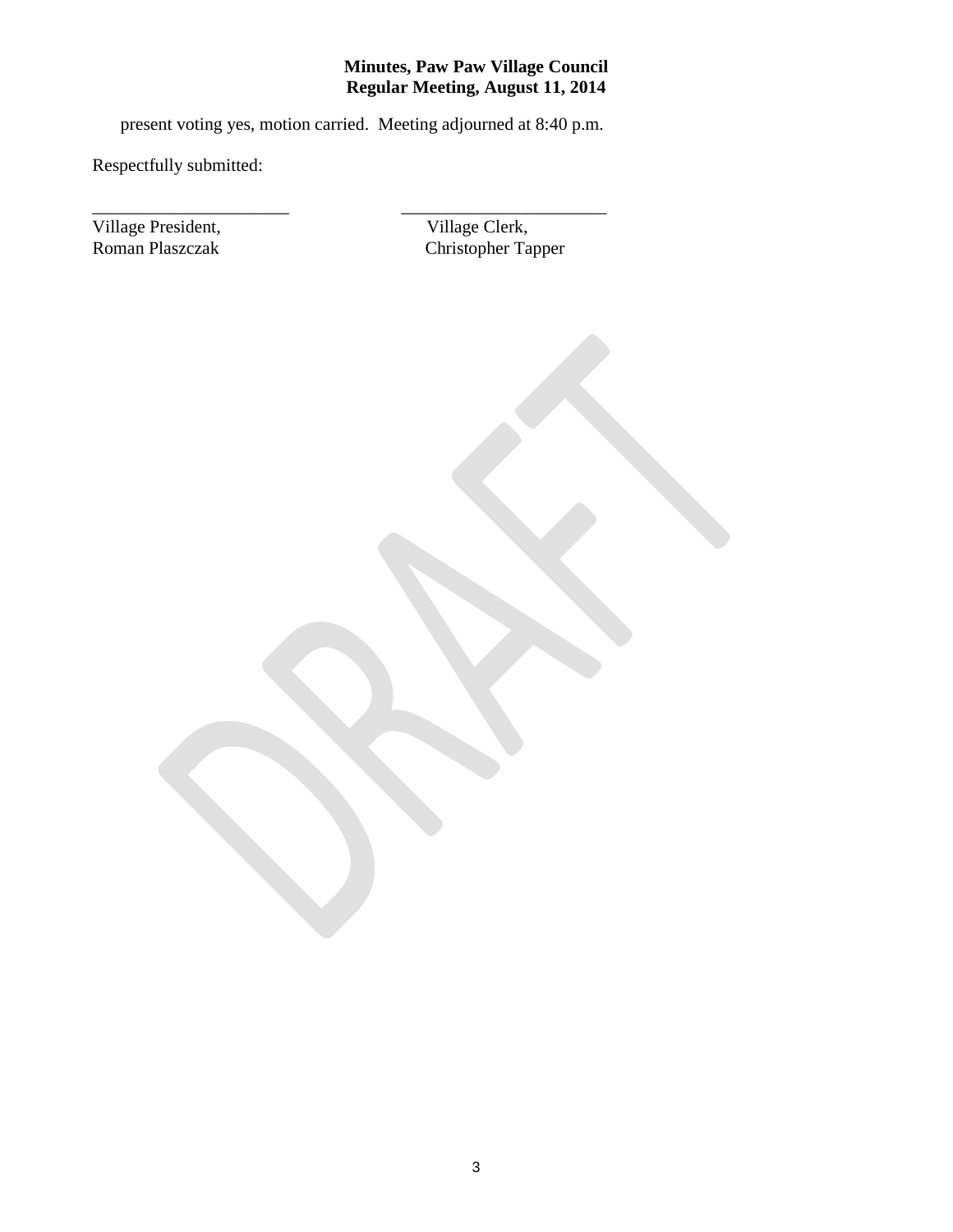### **Minutes, Paw Paw Village Council Regular Meeting, August 11, 2014**

present voting yes, motion carried. Meeting adjourned at 8:40 p.m.

Respectfully submitted:

Village President,<br>
Roman Plaszczak<br>
Christopher Ta

\_\_\_\_\_\_\_\_\_\_\_\_\_\_\_\_\_\_\_\_\_\_ \_\_\_\_\_\_\_\_\_\_\_\_\_\_\_\_\_\_\_\_\_\_\_ Christopher Tapper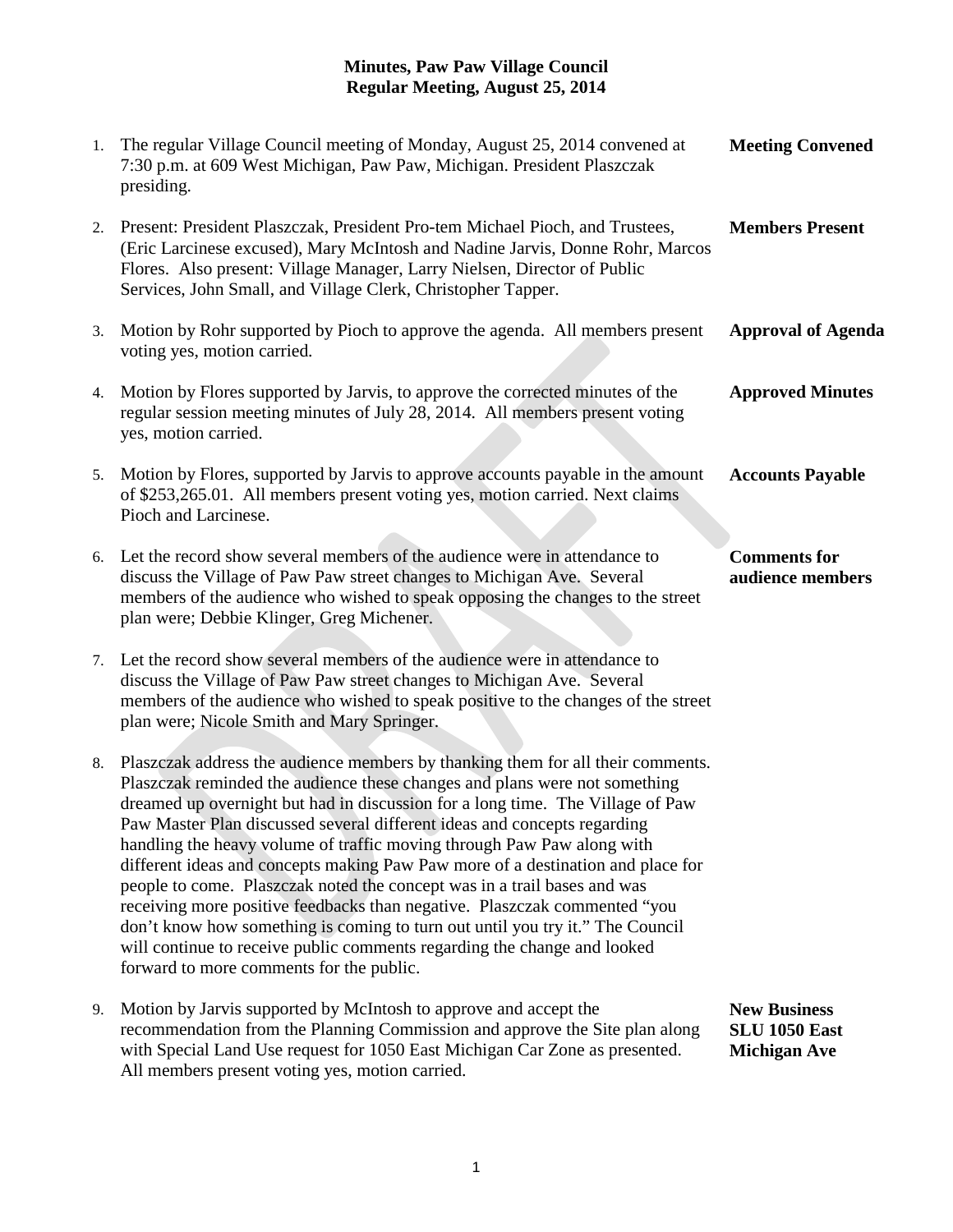#### **Minutes, Paw Paw Village Council Regular Meeting, August 25, 2014**

| 1. | The regular Village Council meeting of Monday, August 25, 2014 convened at<br>7:30 p.m. at 609 West Michigan, Paw Paw, Michigan. President Plaszczak<br>presiding.                                                                                                                                                                                                                                                                                                                                                                                                                                                                                                                                                                                                                                                                                            | <b>Meeting Convened</b>                                            |
|----|---------------------------------------------------------------------------------------------------------------------------------------------------------------------------------------------------------------------------------------------------------------------------------------------------------------------------------------------------------------------------------------------------------------------------------------------------------------------------------------------------------------------------------------------------------------------------------------------------------------------------------------------------------------------------------------------------------------------------------------------------------------------------------------------------------------------------------------------------------------|--------------------------------------------------------------------|
| 2. | Present: President Plaszczak, President Pro-tem Michael Pioch, and Trustees,<br>(Eric Larcinese excused), Mary McIntosh and Nadine Jarvis, Donne Rohr, Marcos<br>Flores. Also present: Village Manager, Larry Nielsen, Director of Public<br>Services, John Small, and Village Clerk, Christopher Tapper.                                                                                                                                                                                                                                                                                                                                                                                                                                                                                                                                                     | <b>Members Present</b>                                             |
| 3. | Motion by Rohr supported by Pioch to approve the agenda. All members present<br>voting yes, motion carried.                                                                                                                                                                                                                                                                                                                                                                                                                                                                                                                                                                                                                                                                                                                                                   | <b>Approval of Agenda</b>                                          |
| 4. | Motion by Flores supported by Jarvis, to approve the corrected minutes of the<br>regular session meeting minutes of July 28, 2014. All members present voting<br>yes, motion carried.                                                                                                                                                                                                                                                                                                                                                                                                                                                                                                                                                                                                                                                                         | <b>Approved Minutes</b>                                            |
| 5. | Motion by Flores, supported by Jarvis to approve accounts payable in the amount<br>of \$253,265.01. All members present voting yes, motion carried. Next claims<br>Pioch and Larcinese.                                                                                                                                                                                                                                                                                                                                                                                                                                                                                                                                                                                                                                                                       | <b>Accounts Payable</b>                                            |
|    | 6. Let the record show several members of the audience were in attendance to<br>discuss the Village of Paw Paw street changes to Michigan Ave. Several<br>members of the audience who wished to speak opposing the changes to the street<br>plan were; Debbie Klinger, Greg Michener.                                                                                                                                                                                                                                                                                                                                                                                                                                                                                                                                                                         | <b>Comments</b> for<br>audience members                            |
| 7. | Let the record show several members of the audience were in attendance to<br>discuss the Village of Paw Paw street changes to Michigan Ave. Several<br>members of the audience who wished to speak positive to the changes of the street<br>plan were; Nicole Smith and Mary Springer.                                                                                                                                                                                                                                                                                                                                                                                                                                                                                                                                                                        |                                                                    |
|    | 8. Plaszczak address the audience members by thanking them for all their comments.<br>Plaszczak reminded the audience these changes and plans were not something<br>dreamed up overnight but had in discussion for a long time. The Village of Paw<br>Paw Master Plan discussed several different ideas and concepts regarding<br>handling the heavy volume of traffic moving through Paw Paw along with<br>different ideas and concepts making Paw Paw more of a destination and place for<br>people to come. Plaszczak noted the concept was in a trail bases and was<br>receiving more positive feedbacks than negative. Plaszczak commented "you<br>don't know how something is coming to turn out until you try it." The Council<br>will continue to receive public comments regarding the change and looked<br>forward to more comments for the public. |                                                                    |
| 9. | Motion by Jarvis supported by McIntosh to approve and accept the<br>recommendation from the Planning Commission and approve the Site plan along<br>with Special Land Use request for 1050 East Michigan Car Zone as presented.                                                                                                                                                                                                                                                                                                                                                                                                                                                                                                                                                                                                                                | <b>New Business</b><br><b>SLU 1050 East</b><br><b>Michigan Ave</b> |

All members present voting yes, motion carried.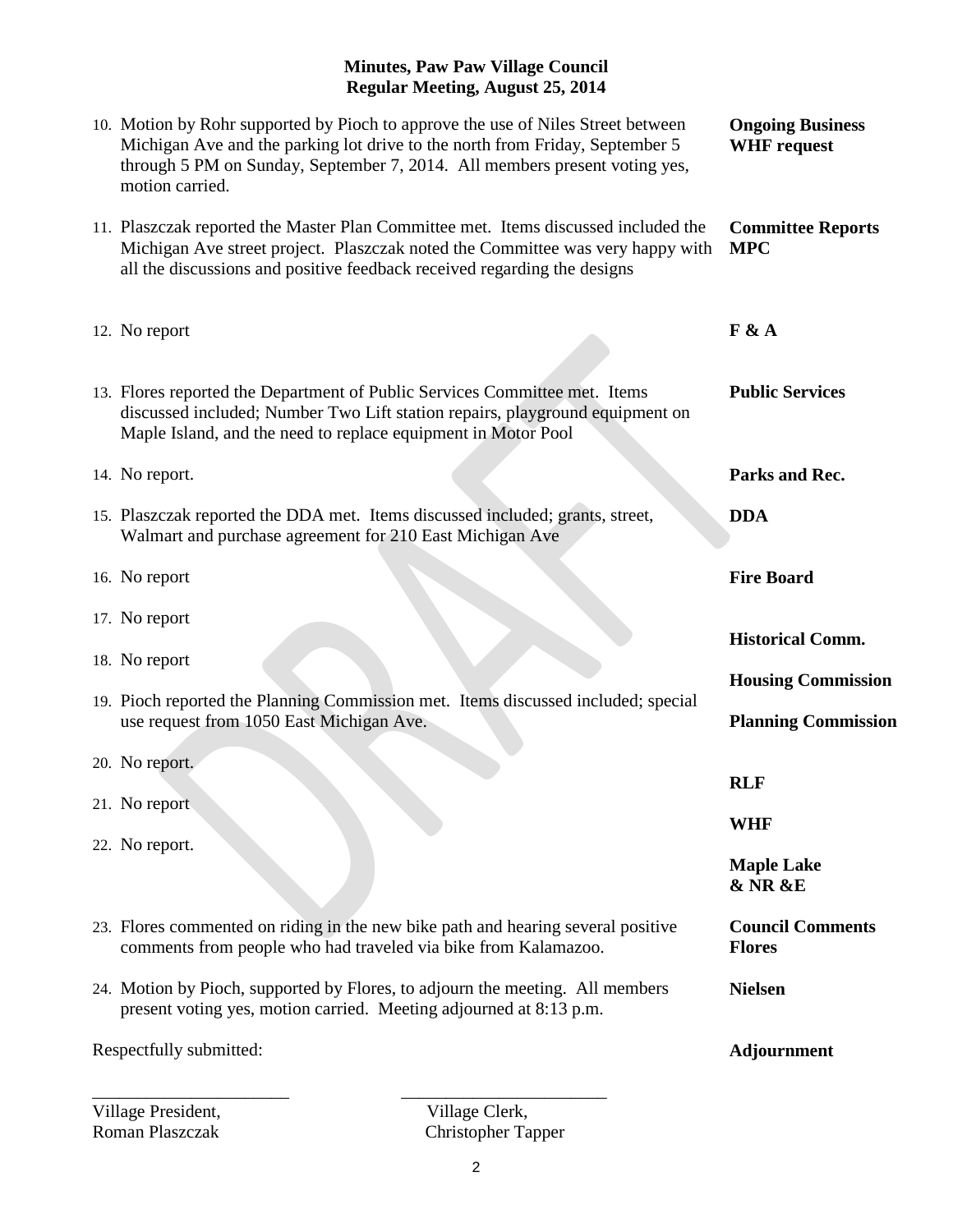### **Minutes, Paw Paw Village Council Regular Meeting, August 25, 2014**

| 10. Motion by Rohr supported by Pioch to approve the use of Niles Street between<br>Michigan Ave and the parking lot drive to the north from Friday, September 5<br>through 5 PM on Sunday, September 7, 2014. All members present voting yes,<br>motion carried. | <b>Ongoing Business</b><br><b>WHF</b> request |
|-------------------------------------------------------------------------------------------------------------------------------------------------------------------------------------------------------------------------------------------------------------------|-----------------------------------------------|
| 11. Plaszczak reported the Master Plan Committee met. Items discussed included the<br>Michigan Ave street project. Plaszczak noted the Committee was very happy with<br>all the discussions and positive feedback received regarding the designs                  | <b>Committee Reports</b><br><b>MPC</b>        |
| 12. No report                                                                                                                                                                                                                                                     | F & A                                         |
| 13. Flores reported the Department of Public Services Committee met. Items<br>discussed included; Number Two Lift station repairs, playground equipment on<br>Maple Island, and the need to replace equipment in Motor Pool                                       | <b>Public Services</b>                        |
| 14. No report.                                                                                                                                                                                                                                                    | Parks and Rec.                                |
| 15. Plaszczak reported the DDA met. Items discussed included; grants, street,<br>Walmart and purchase agreement for 210 East Michigan Ave                                                                                                                         | <b>DDA</b>                                    |
| 16. No report                                                                                                                                                                                                                                                     | <b>Fire Board</b>                             |
| 17. No report                                                                                                                                                                                                                                                     |                                               |
| 18. No report                                                                                                                                                                                                                                                     | <b>Historical Comm.</b>                       |
| 19. Pioch reported the Planning Commission met. Items discussed included; special                                                                                                                                                                                 | <b>Housing Commission</b>                     |
| use request from 1050 East Michigan Ave.                                                                                                                                                                                                                          | <b>Planning Commission</b>                    |
| 20. No report.                                                                                                                                                                                                                                                    |                                               |
| 21. No report                                                                                                                                                                                                                                                     | <b>RLF</b>                                    |
| 22. No report.                                                                                                                                                                                                                                                    | <b>WHF</b>                                    |
|                                                                                                                                                                                                                                                                   | <b>Maple Lake</b><br>& NR &E                  |
| 23. Flores commented on riding in the new bike path and hearing several positive<br>comments from people who had traveled via bike from Kalamazoo.                                                                                                                | <b>Council Comments</b><br><b>Flores</b>      |
| 24. Motion by Pioch, supported by Flores, to adjourn the meeting. All members<br>present voting yes, motion carried. Meeting adjourned at 8:13 p.m.                                                                                                               | <b>Nielsen</b>                                |
| Respectfully submitted:                                                                                                                                                                                                                                           | <b>Adjournment</b>                            |
|                                                                                                                                                                                                                                                                   |                                               |

Village President,<br>
Roman Plaszczak<br>
Christopher Ta Christopher Tapper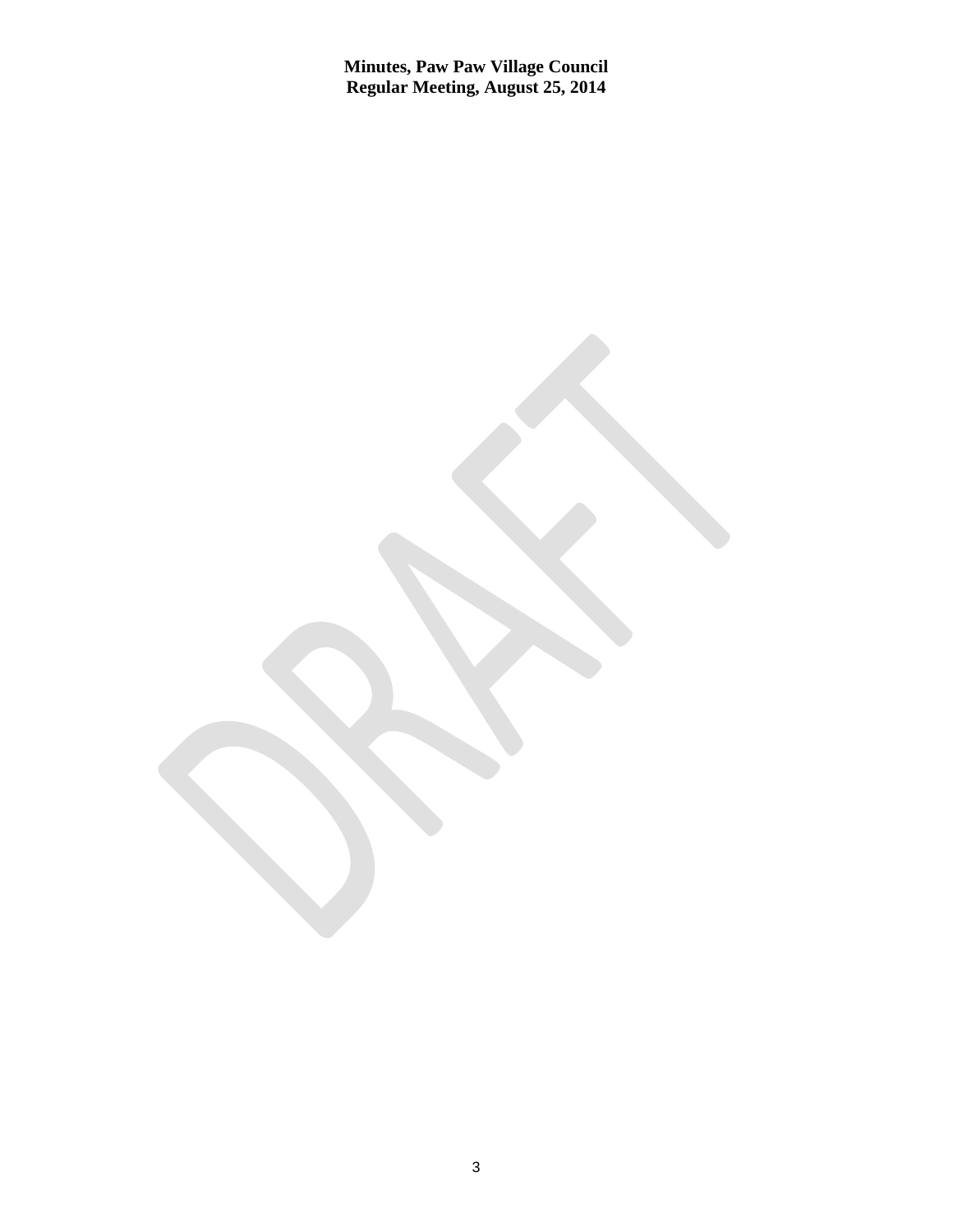**Minutes, Paw Paw Village Council Regular Meeting, August 25, 2014**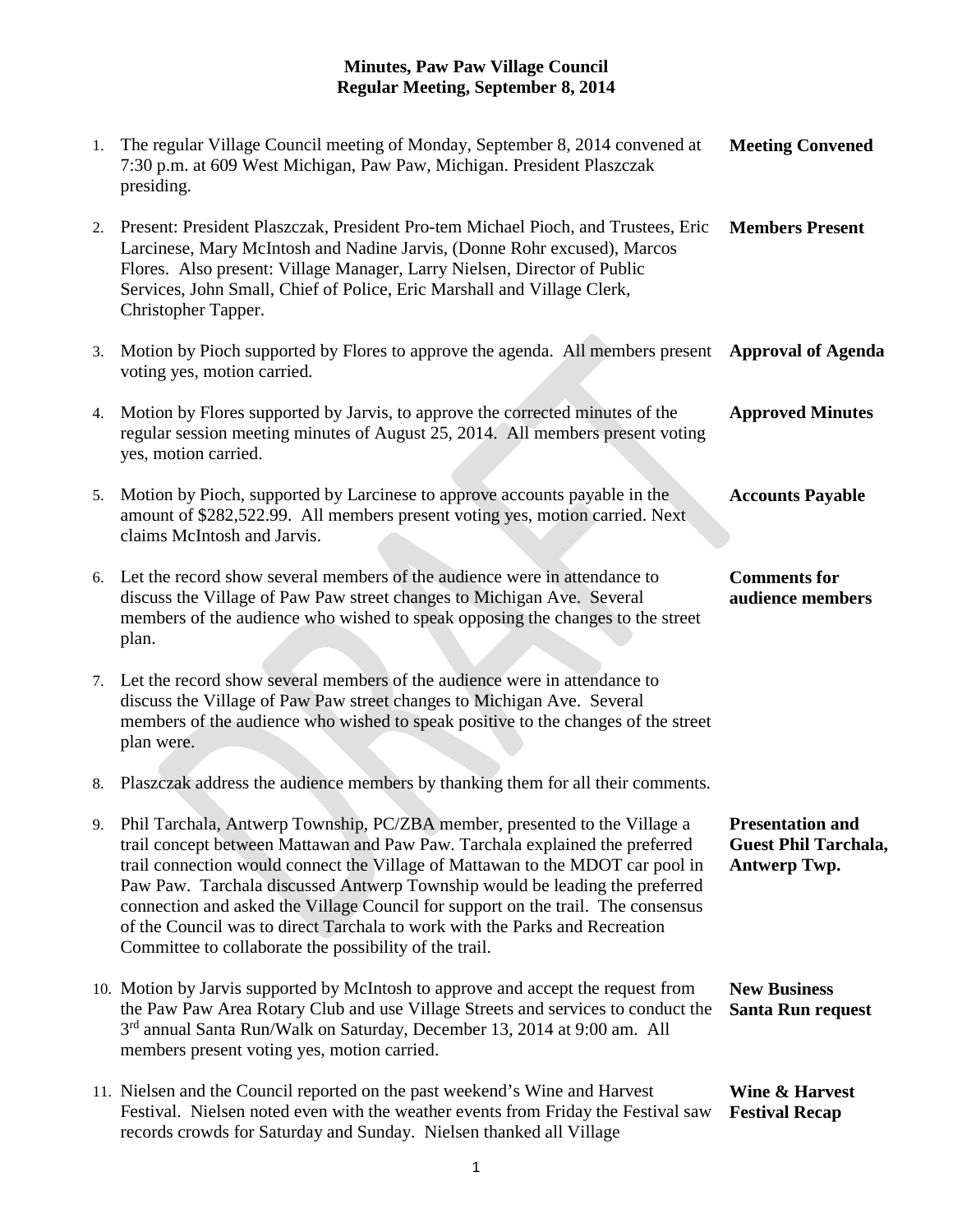### **Minutes, Paw Paw Village Council Regular Meeting, September 8, 2014**

| 1. | The regular Village Council meeting of Monday, September 8, 2014 convened at<br>7:30 p.m. at 609 West Michigan, Paw Paw, Michigan. President Plaszczak<br>presiding.                                                                                                                                                                                                                                                                                                                                                                                        | <b>Meeting Convened</b>                                                       |
|----|-------------------------------------------------------------------------------------------------------------------------------------------------------------------------------------------------------------------------------------------------------------------------------------------------------------------------------------------------------------------------------------------------------------------------------------------------------------------------------------------------------------------------------------------------------------|-------------------------------------------------------------------------------|
|    | 2. Present: President Plaszczak, President Pro-tem Michael Pioch, and Trustees, Eric<br>Larcinese, Mary McIntosh and Nadine Jarvis, (Donne Rohr excused), Marcos<br>Flores. Also present: Village Manager, Larry Nielsen, Director of Public<br>Services, John Small, Chief of Police, Eric Marshall and Village Clerk,<br>Christopher Tapper.                                                                                                                                                                                                              | <b>Members Present</b>                                                        |
| 3. | Motion by Pioch supported by Flores to approve the agenda. All members present <b>Approval of Agenda</b><br>voting yes, motion carried.                                                                                                                                                                                                                                                                                                                                                                                                                     |                                                                               |
| 4. | Motion by Flores supported by Jarvis, to approve the corrected minutes of the<br>regular session meeting minutes of August 25, 2014. All members present voting<br>yes, motion carried.                                                                                                                                                                                                                                                                                                                                                                     | <b>Approved Minutes</b>                                                       |
| 5. | Motion by Pioch, supported by Larcinese to approve accounts payable in the<br>amount of \$282,522.99. All members present voting yes, motion carried. Next<br>claims McIntosh and Jarvis.                                                                                                                                                                                                                                                                                                                                                                   | <b>Accounts Payable</b>                                                       |
|    | 6. Let the record show several members of the audience were in attendance to<br>discuss the Village of Paw Paw street changes to Michigan Ave. Several<br>members of the audience who wished to speak opposing the changes to the street<br>plan.                                                                                                                                                                                                                                                                                                           | <b>Comments for</b><br>audience members                                       |
| 7. | Let the record show several members of the audience were in attendance to<br>discuss the Village of Paw Paw street changes to Michigan Ave. Several<br>members of the audience who wished to speak positive to the changes of the street<br>plan were.                                                                                                                                                                                                                                                                                                      |                                                                               |
|    | 8. Plaszczak address the audience members by thanking them for all their comments.                                                                                                                                                                                                                                                                                                                                                                                                                                                                          |                                                                               |
|    | 9. Phil Tarchala, Antwerp Township, PC/ZBA member, presented to the Village a<br>trail concept between Mattawan and Paw Paw. Tarchala explained the preferred<br>trail connection would connect the Village of Mattawan to the MDOT car pool in<br>Paw Paw. Tarchala discussed Antwerp Township would be leading the preferred<br>connection and asked the Village Council for support on the trail. The consensus<br>of the Council was to direct Tarchala to work with the Parks and Recreation<br>Committee to collaborate the possibility of the trail. | <b>Presentation and</b><br><b>Guest Phil Tarchala,</b><br><b>Antwerp Twp.</b> |
|    | 10. Motion by Jarvis supported by McIntosh to approve and accept the request from<br>the Paw Paw Area Rotary Club and use Village Streets and services to conduct the<br>3 <sup>rd</sup> annual Santa Run/Walk on Saturday, December 13, 2014 at 9:00 am. All<br>members present voting yes, motion carried.                                                                                                                                                                                                                                                | <b>New Business</b><br><b>Santa Run request</b>                               |
|    | 11. Nielsen and the Council reported on the past weekend's Wine and Harvest<br>Festival. Nielsen noted even with the weather events from Friday the Festival saw<br>records crowds for Saturday and Sunday. Nielsen thanked all Village                                                                                                                                                                                                                                                                                                                     | Wine & Harvest<br><b>Festival Recap</b>                                       |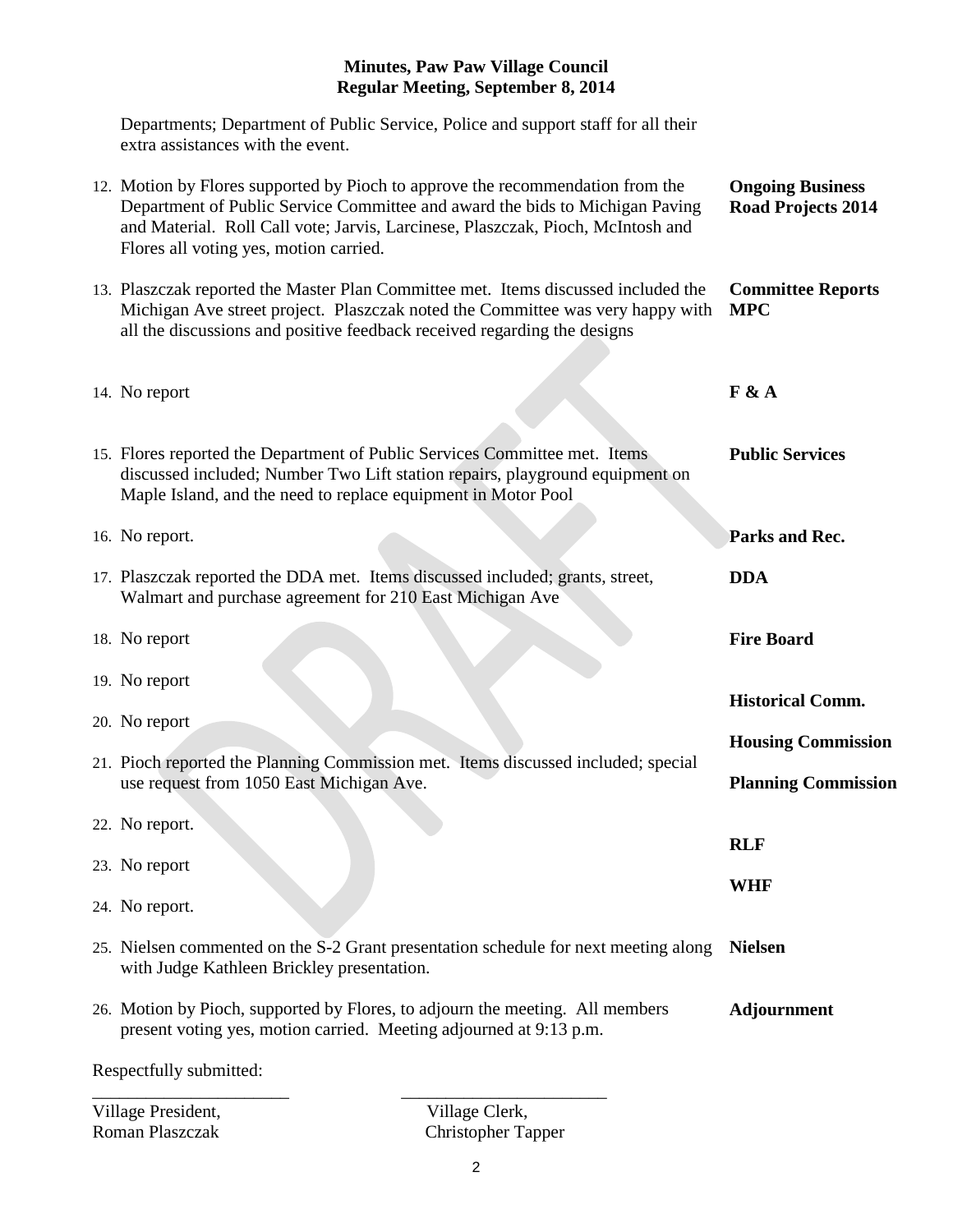### **Minutes, Paw Paw Village Council Regular Meeting, September 8, 2014**

Departments; Department of Public Service, Police and support staff for all their extra assistances with the event.

| 12. Motion by Flores supported by Pioch to approve the recommendation from the<br>Department of Public Service Committee and award the bids to Michigan Paving<br>and Material. Roll Call vote; Jarvis, Larcinese, Plaszczak, Pioch, McIntosh and<br>Flores all voting yes, motion carried. |                                                                                     | <b>Ongoing Business</b><br><b>Road Projects 2014</b> |
|---------------------------------------------------------------------------------------------------------------------------------------------------------------------------------------------------------------------------------------------------------------------------------------------|-------------------------------------------------------------------------------------|------------------------------------------------------|
| 13. Plaszczak reported the Master Plan Committee met. Items discussed included the<br>all the discussions and positive feedback received regarding the designs                                                                                                                              | Michigan Ave street project. Plaszczak noted the Committee was very happy with      | <b>Committee Reports</b><br><b>MPC</b>               |
| 14. No report                                                                                                                                                                                                                                                                               |                                                                                     | F & A                                                |
| 15. Flores reported the Department of Public Services Committee met. Items<br>discussed included; Number Two Lift station repairs, playground equipment on<br>Maple Island, and the need to replace equipment in Motor Pool                                                                 |                                                                                     | <b>Public Services</b>                               |
| 16. No report.                                                                                                                                                                                                                                                                              |                                                                                     | Parks and Rec.                                       |
| 17. Plaszczak reported the DDA met. Items discussed included; grants, street,<br>Walmart and purchase agreement for 210 East Michigan Ave                                                                                                                                                   |                                                                                     | <b>DDA</b>                                           |
| 18. No report                                                                                                                                                                                                                                                                               |                                                                                     | <b>Fire Board</b>                                    |
| 19. No report                                                                                                                                                                                                                                                                               |                                                                                     | <b>Historical Comm.</b>                              |
| 20. No report                                                                                                                                                                                                                                                                               |                                                                                     | <b>Housing Commission</b>                            |
| 21. Pioch reported the Planning Commission met. Items discussed included; special<br>use request from 1050 East Michigan Ave.                                                                                                                                                               |                                                                                     | <b>Planning Commission</b>                           |
| 22. No report.                                                                                                                                                                                                                                                                              |                                                                                     |                                                      |
| 23. No report                                                                                                                                                                                                                                                                               |                                                                                     | <b>RLF</b>                                           |
| 24. No report.                                                                                                                                                                                                                                                                              |                                                                                     | <b>WHF</b>                                           |
| with Judge Kathleen Brickley presentation.                                                                                                                                                                                                                                                  | 25. Nielsen commented on the S-2 Grant presentation schedule for next meeting along | <b>Nielsen</b>                                       |
| 26. Motion by Pioch, supported by Flores, to adjourn the meeting. All members<br>present voting yes, motion carried. Meeting adjourned at 9:13 p.m.                                                                                                                                         |                                                                                     | Adjournment                                          |
| Respectfully submitted:                                                                                                                                                                                                                                                                     |                                                                                     |                                                      |
| Village President,<br>Roman Plaszczak                                                                                                                                                                                                                                                       | Village Clerk,<br><b>Christopher Tapper</b>                                         |                                                      |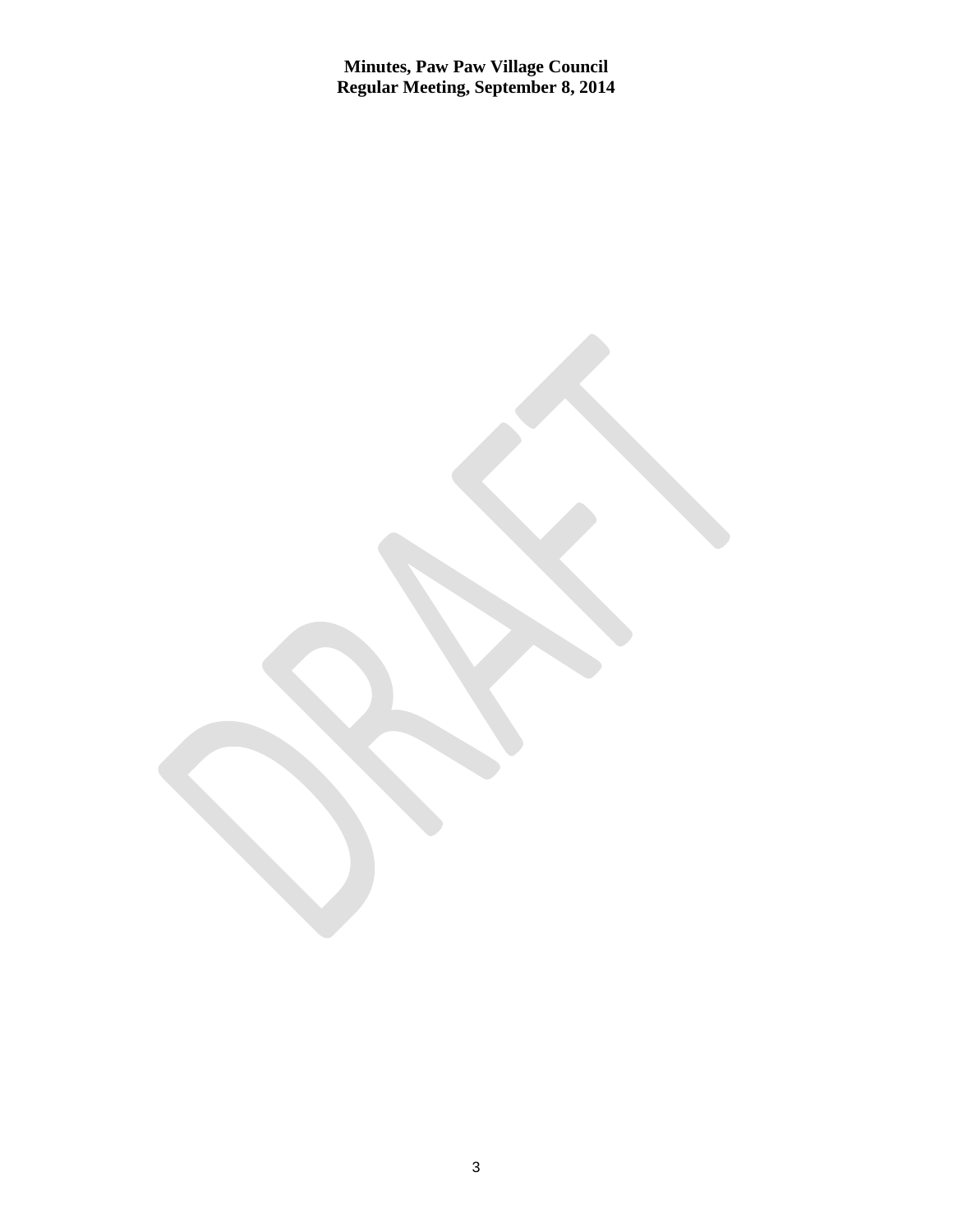**Minutes, Paw Paw Village Council Regular Meeting, September 8, 2014**

3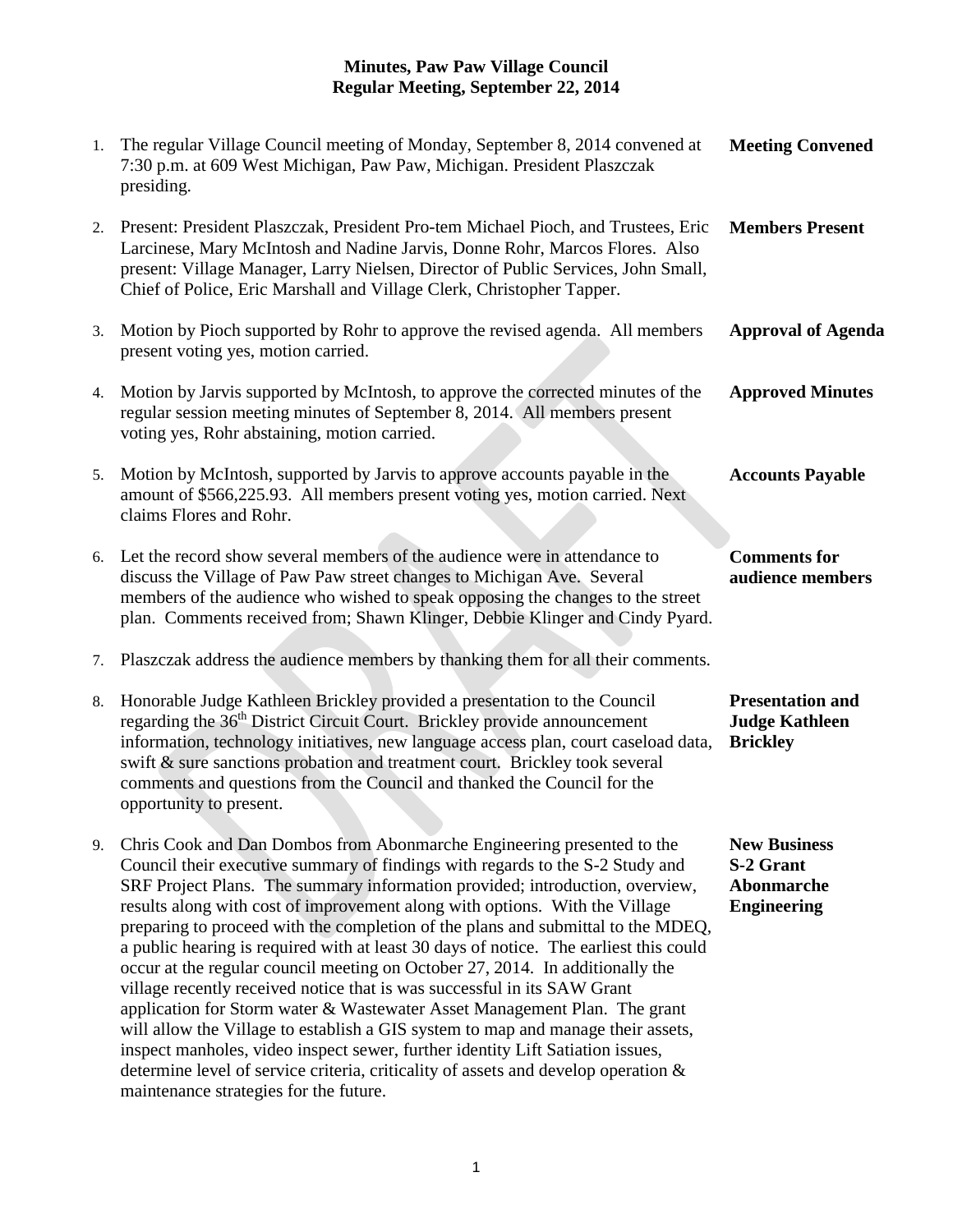#### **Minutes, Paw Paw Village Council Regular Meeting, September 22, 2014**

| 1. | The regular Village Council meeting of Monday, September 8, 2014 convened at<br>7:30 p.m. at 609 West Michigan, Paw Paw, Michigan. President Plaszczak<br>presiding.                                                                                                                                                                                                                                                                                                                                                                                                                                                                                                                                                                                                                                                                                                                                                                                                                                                                                | <b>Meeting Convened</b>                                              |
|----|-----------------------------------------------------------------------------------------------------------------------------------------------------------------------------------------------------------------------------------------------------------------------------------------------------------------------------------------------------------------------------------------------------------------------------------------------------------------------------------------------------------------------------------------------------------------------------------------------------------------------------------------------------------------------------------------------------------------------------------------------------------------------------------------------------------------------------------------------------------------------------------------------------------------------------------------------------------------------------------------------------------------------------------------------------|----------------------------------------------------------------------|
| 2. | Present: President Plaszczak, President Pro-tem Michael Pioch, and Trustees, Eric<br>Larcinese, Mary McIntosh and Nadine Jarvis, Donne Rohr, Marcos Flores. Also<br>present: Village Manager, Larry Nielsen, Director of Public Services, John Small,<br>Chief of Police, Eric Marshall and Village Clerk, Christopher Tapper.                                                                                                                                                                                                                                                                                                                                                                                                                                                                                                                                                                                                                                                                                                                      | <b>Members Present</b>                                               |
| 3. | Motion by Pioch supported by Rohr to approve the revised agenda. All members<br>present voting yes, motion carried.                                                                                                                                                                                                                                                                                                                                                                                                                                                                                                                                                                                                                                                                                                                                                                                                                                                                                                                                 | <b>Approval of Agenda</b>                                            |
| 4. | Motion by Jarvis supported by McIntosh, to approve the corrected minutes of the<br>regular session meeting minutes of September 8, 2014. All members present<br>voting yes, Rohr abstaining, motion carried.                                                                                                                                                                                                                                                                                                                                                                                                                                                                                                                                                                                                                                                                                                                                                                                                                                        | <b>Approved Minutes</b>                                              |
| 5. | Motion by McIntosh, supported by Jarvis to approve accounts payable in the<br>amount of \$566,225.93. All members present voting yes, motion carried. Next<br>claims Flores and Rohr.                                                                                                                                                                                                                                                                                                                                                                                                                                                                                                                                                                                                                                                                                                                                                                                                                                                               | <b>Accounts Payable</b>                                              |
| 6. | Let the record show several members of the audience were in attendance to<br>discuss the Village of Paw Paw street changes to Michigan Ave. Several<br>members of the audience who wished to speak opposing the changes to the street<br>plan. Comments received from; Shawn Klinger, Debbie Klinger and Cindy Pyard.                                                                                                                                                                                                                                                                                                                                                                                                                                                                                                                                                                                                                                                                                                                               | <b>Comments for</b><br>audience members                              |
| 7. | Plaszczak address the audience members by thanking them for all their comments.                                                                                                                                                                                                                                                                                                                                                                                                                                                                                                                                                                                                                                                                                                                                                                                                                                                                                                                                                                     |                                                                      |
| 8. | Honorable Judge Kathleen Brickley provided a presentation to the Council<br>regarding the 36 <sup>th</sup> District Circuit Court. Brickley provide announcement<br>information, technology initiatives, new language access plan, court caseload data,<br>swift & sure sanctions probation and treatment court. Brickley took several<br>comments and questions from the Council and thanked the Council for the<br>opportunity to present.                                                                                                                                                                                                                                                                                                                                                                                                                                                                                                                                                                                                        | <b>Presentation and</b><br><b>Judge Kathleen</b><br><b>Brickley</b>  |
| 9. | Chris Cook and Dan Dombos from Abonmarche Engineering presented to the<br>Council their executive summary of findings with regards to the S-2 Study and<br>SRF Project Plans. The summary information provided; introduction, overview,<br>results along with cost of improvement along with options. With the Village<br>preparing to proceed with the completion of the plans and submittal to the MDEQ,<br>a public hearing is required with at least 30 days of notice. The earliest this could<br>occur at the regular council meeting on October 27, 2014. In additionally the<br>village recently received notice that is was successful in its SAW Grant<br>application for Storm water & Wastewater Asset Management Plan. The grant<br>will allow the Village to establish a GIS system to map and manage their assets,<br>inspect manholes, video inspect sewer, further identity Lift Satiation issues,<br>determine level of service criteria, criticality of assets and develop operation &<br>maintenance strategies for the future. | <b>New Business</b><br>S-2 Grant<br>Abonmarche<br><b>Engineering</b> |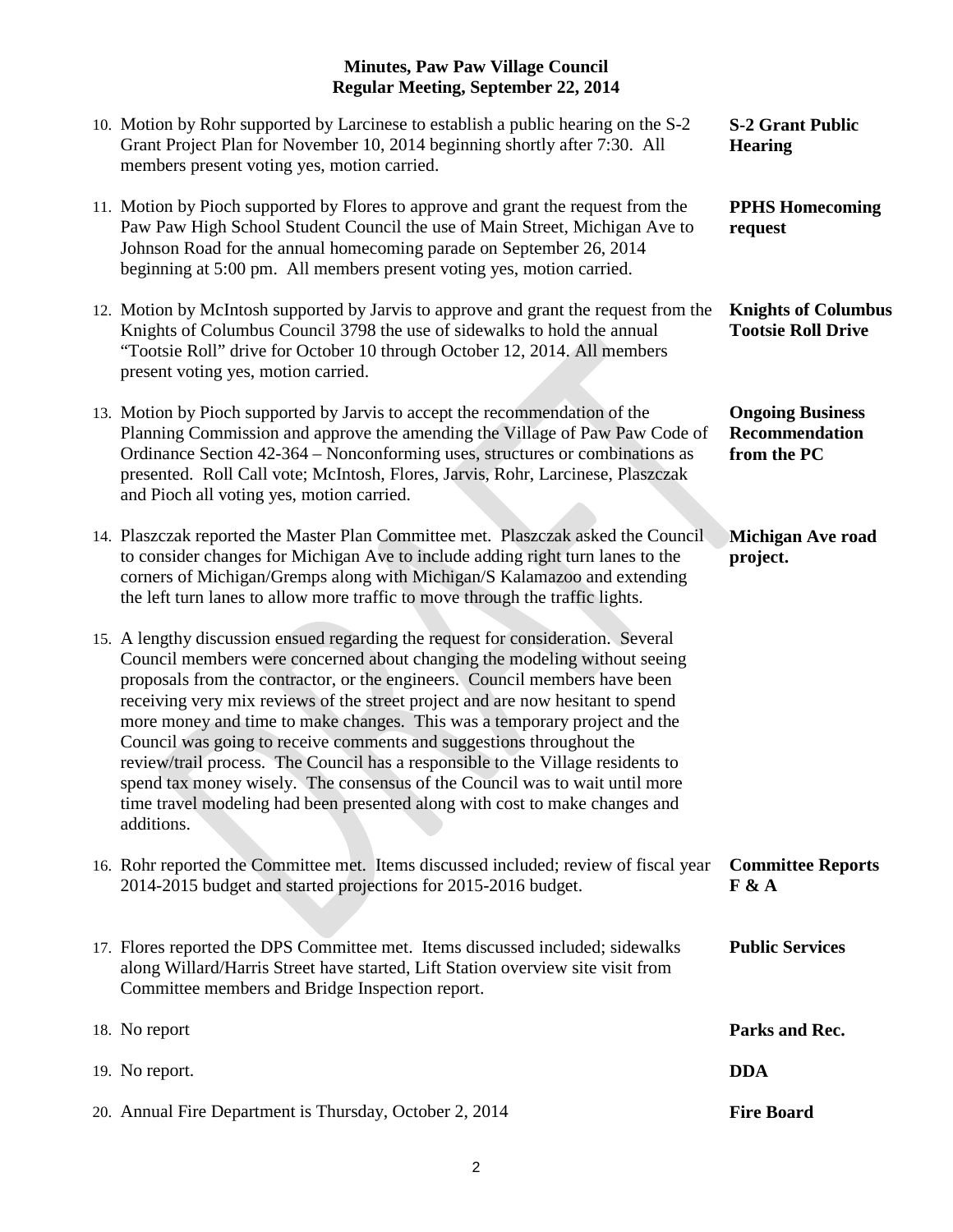### **Minutes, Paw Paw Village Council Regular Meeting, September 22, 2014**

| 10. Motion by Rohr supported by Larcinese to establish a public hearing on the S-2<br>Grant Project Plan for November 10, 2014 beginning shortly after 7:30. All<br>members present voting yes, motion carried.                                                                                                                                                                                                                                                                                                                                                                                                                                                                                                                                   | <b>S-2 Grant Public</b><br><b>Hearing</b>                |
|---------------------------------------------------------------------------------------------------------------------------------------------------------------------------------------------------------------------------------------------------------------------------------------------------------------------------------------------------------------------------------------------------------------------------------------------------------------------------------------------------------------------------------------------------------------------------------------------------------------------------------------------------------------------------------------------------------------------------------------------------|----------------------------------------------------------|
| 11. Motion by Pioch supported by Flores to approve and grant the request from the<br>Paw Paw High School Student Council the use of Main Street, Michigan Ave to<br>Johnson Road for the annual homecoming parade on September 26, 2014<br>beginning at 5:00 pm. All members present voting yes, motion carried.                                                                                                                                                                                                                                                                                                                                                                                                                                  | <b>PPHS Homecoming</b><br>request                        |
| 12. Motion by McIntosh supported by Jarvis to approve and grant the request from the<br>Knights of Columbus Council 3798 the use of sidewalks to hold the annual<br>"Tootsie Roll" drive for October 10 through October 12, 2014. All members<br>present voting yes, motion carried.                                                                                                                                                                                                                                                                                                                                                                                                                                                              | <b>Knights of Columbus</b><br><b>Tootsie Roll Drive</b>  |
| 13. Motion by Pioch supported by Jarvis to accept the recommendation of the<br>Planning Commission and approve the amending the Village of Paw Paw Code of<br>Ordinance Section 42-364 – Nonconforming uses, structures or combinations as<br>presented. Roll Call vote; McIntosh, Flores, Jarvis, Rohr, Larcinese, Plaszczak<br>and Pioch all voting yes, motion carried.                                                                                                                                                                                                                                                                                                                                                                        | <b>Ongoing Business</b><br>Recommendation<br>from the PC |
| 14. Plaszczak reported the Master Plan Committee met. Plaszczak asked the Council<br>to consider changes for Michigan Ave to include adding right turn lanes to the<br>corners of Michigan/Gremps along with Michigan/S Kalamazoo and extending<br>the left turn lanes to allow more traffic to move through the traffic lights.                                                                                                                                                                                                                                                                                                                                                                                                                  | <b>Michigan Ave road</b><br>project.                     |
| 15. A lengthy discussion ensued regarding the request for consideration. Several<br>Council members were concerned about changing the modeling without seeing<br>proposals from the contractor, or the engineers. Council members have been<br>receiving very mix reviews of the street project and are now hesitant to spend<br>more money and time to make changes. This was a temporary project and the<br>Council was going to receive comments and suggestions throughout the<br>review/trail process. The Council has a responsible to the Village residents to<br>spend tax money wisely. The consensus of the Council was to wait until more<br>time travel modeling had been presented along with cost to make changes and<br>additions. |                                                          |
| 16. Rohr reported the Committee met. Items discussed included; review of fiscal year<br>2014-2015 budget and started projections for 2015-2016 budget.                                                                                                                                                                                                                                                                                                                                                                                                                                                                                                                                                                                            | <b>Committee Reports</b><br>F & A                        |
| 17. Flores reported the DPS Committee met. Items discussed included; sidewalks<br>along Willard/Harris Street have started, Lift Station overview site visit from<br>Committee members and Bridge Inspection report.                                                                                                                                                                                                                                                                                                                                                                                                                                                                                                                              | <b>Public Services</b>                                   |
| 18. No report                                                                                                                                                                                                                                                                                                                                                                                                                                                                                                                                                                                                                                                                                                                                     | Parks and Rec.                                           |
| 19. No report.                                                                                                                                                                                                                                                                                                                                                                                                                                                                                                                                                                                                                                                                                                                                    | <b>DDA</b>                                               |
| 20. Annual Fire Department is Thursday, October 2, 2014                                                                                                                                                                                                                                                                                                                                                                                                                                                                                                                                                                                                                                                                                           | <b>Fire Board</b>                                        |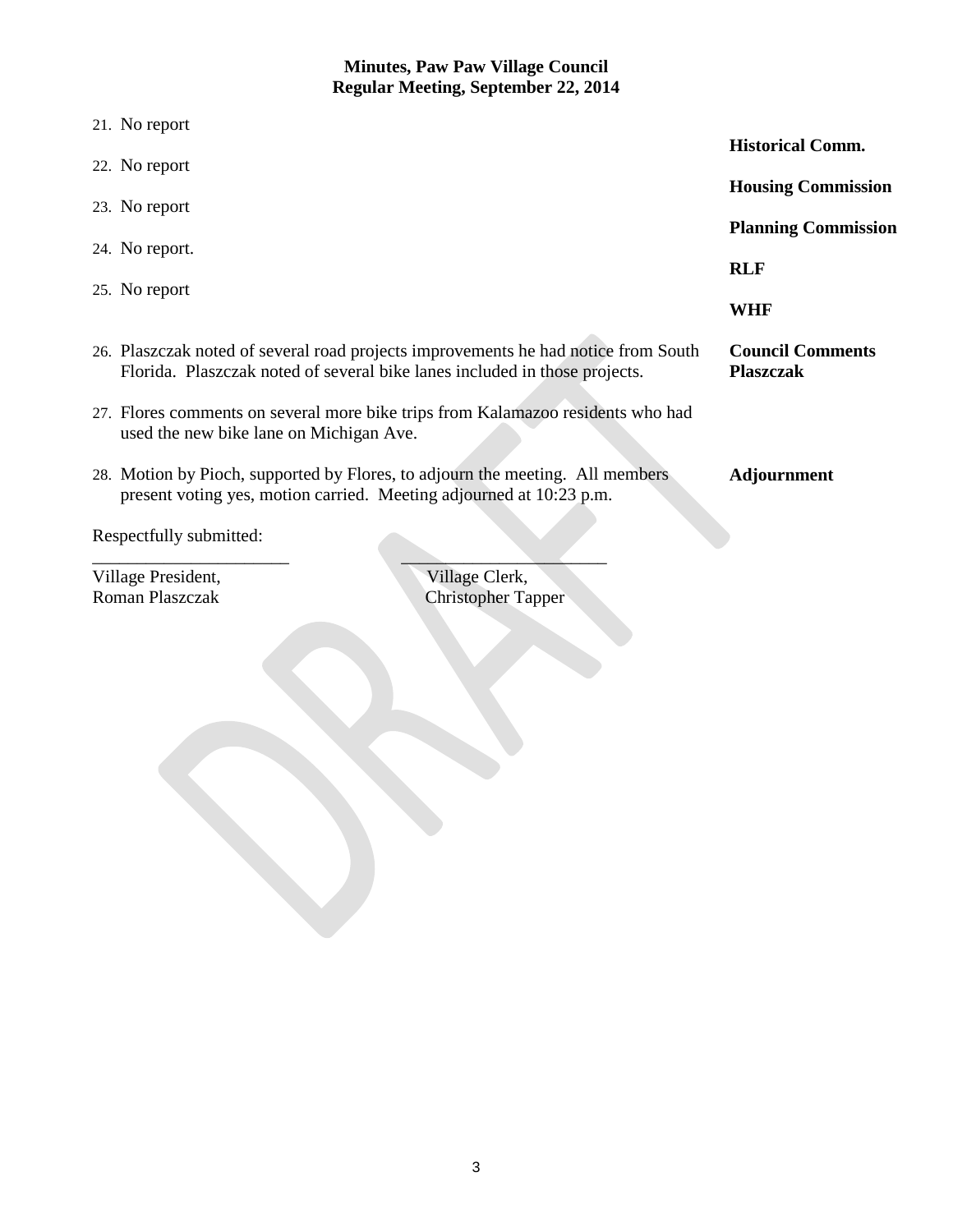### **Minutes, Paw Paw Village Council Regular Meeting, September 22, 2014**

| 21. No report                                                                                                                                                    |                                             |
|------------------------------------------------------------------------------------------------------------------------------------------------------------------|---------------------------------------------|
| 22. No report                                                                                                                                                    | <b>Historical Comm.</b>                     |
|                                                                                                                                                                  | <b>Housing Commission</b>                   |
| 23. No report                                                                                                                                                    | <b>Planning Commission</b>                  |
| 24. No report.                                                                                                                                                   |                                             |
| 25. No report                                                                                                                                                    | <b>RLF</b>                                  |
|                                                                                                                                                                  | <b>WHF</b>                                  |
| 26. Plaszczak noted of several road projects improvements he had notice from South<br>Florida. Plaszczak noted of several bike lanes included in those projects. | <b>Council Comments</b><br><b>Plaszczak</b> |
| 27. Flores comments on several more bike trips from Kalamazoo residents who had<br>used the new bike lane on Michigan Ave.                                       |                                             |
| 28. Motion by Pioch, supported by Flores, to adjourn the meeting. All members<br>present voting yes, motion carried. Meeting adjourned at 10:23 p.m.             | <b>Adjournment</b>                          |
|                                                                                                                                                                  |                                             |

Respectfully submitted:

Village President,<br>Roman Plaszczak

 $\overline{\phantom{a}}$  , and the components of the components of the components of the components of the components of the components of the components of the components of the components of the components of the components of the c Village Clerk,<br>Christopher Tapper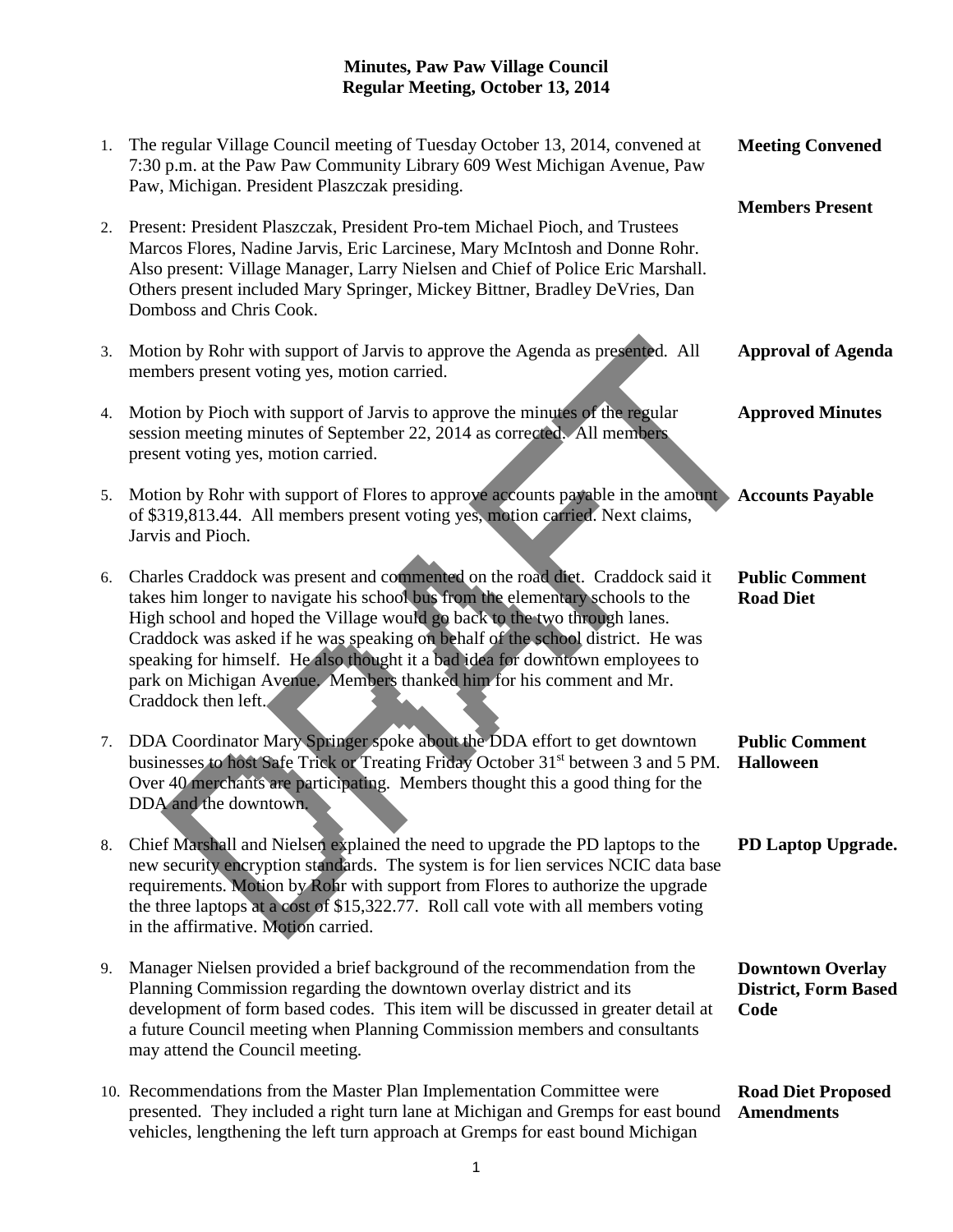### **Minutes, Paw Paw Village Council Regular Meeting, October 13, 2014**

| 1. | The regular Village Council meeting of Tuesday October 13, 2014, convened at<br>7:30 p.m. at the Paw Paw Community Library 609 West Michigan Avenue, Paw<br>Paw, Michigan. President Plaszczak presiding.                                                                                                                                                                                                                                                                                                      | <b>Meeting Convened</b>                                        |
|----|----------------------------------------------------------------------------------------------------------------------------------------------------------------------------------------------------------------------------------------------------------------------------------------------------------------------------------------------------------------------------------------------------------------------------------------------------------------------------------------------------------------|----------------------------------------------------------------|
| 2. | Present: President Plaszczak, President Pro-tem Michael Pioch, and Trustees<br>Marcos Flores, Nadine Jarvis, Eric Larcinese, Mary McIntosh and Donne Rohr.<br>Also present: Village Manager, Larry Nielsen and Chief of Police Eric Marshall.<br>Others present included Mary Springer, Mickey Bittner, Bradley DeVries, Dan<br>Domboss and Chris Cook.                                                                                                                                                        | <b>Members Present</b>                                         |
| 3. | Motion by Rohr with support of Jarvis to approve the Agenda as presented. All<br>members present voting yes, motion carried.                                                                                                                                                                                                                                                                                                                                                                                   | <b>Approval of Agenda</b>                                      |
| 4. | Motion by Pioch with support of Jarvis to approve the minutes of the regular<br>session meeting minutes of September 22, 2014 as corrected. All members<br>present voting yes, motion carried.                                                                                                                                                                                                                                                                                                                 | <b>Approved Minutes</b>                                        |
| 5. | Motion by Rohr with support of Flores to approve accounts payable in the amount<br>of \$319,813.44. All members present voting yes, motion carried. Next claims,<br>Jarvis and Pioch.                                                                                                                                                                                                                                                                                                                          | <b>Accounts Payable</b>                                        |
| 6. | Charles Craddock was present and commented on the road diet. Craddock said it<br>takes him longer to navigate his school bus from the elementary schools to the<br>High school and hoped the Village would go back to the two through lanes.<br>Craddock was asked if he was speaking on behalf of the school district. He was<br>speaking for himself. He also thought it a bad idea for downtown employees to<br>park on Michigan Avenue, Members thanked him for his comment and Mr.<br>Craddock then left. | <b>Public Comment</b><br><b>Road Diet</b>                      |
| 7. | DDA Coordinator Mary Springer spoke about the DDA effort to get downtown<br>businesses to host Safe Trick or Treating Friday October 31 <sup>st</sup> between 3 and 5 PM.<br>Over 40 merchants are participating. Members thought this a good thing for the<br>DDA and the downtown.                                                                                                                                                                                                                           | <b>Public Comment</b><br><b>Halloween</b>                      |
| 8. | Chief Marshall and Nielsen explained the need to upgrade the PD laptops to the<br>new security encryption standards. The system is for lien services NCIC data base<br>requirements. Motion by Rohr with support from Flores to authorize the upgrade<br>the three laptops at a cost of \$15,322.77. Roll call vote with all members voting<br>in the affirmative. Motion carried.                                                                                                                             | PD Laptop Upgrade.                                             |
| 9. | Manager Nielsen provided a brief background of the recommendation from the<br>Planning Commission regarding the downtown overlay district and its<br>development of form based codes. This item will be discussed in greater detail at<br>a future Council meeting when Planning Commission members and consultants<br>may attend the Council meeting.                                                                                                                                                         | <b>Downtown Overlay</b><br><b>District, Form Based</b><br>Code |
|    | 10. Recommendations from the Master Plan Implementation Committee were<br>presented. They included a right turn lane at Michigan and Gremps for east bound<br>vehicles, lengthening the left turn approach at Gremps for east bound Michigan                                                                                                                                                                                                                                                                   | <b>Road Diet Proposed</b><br><b>Amendments</b>                 |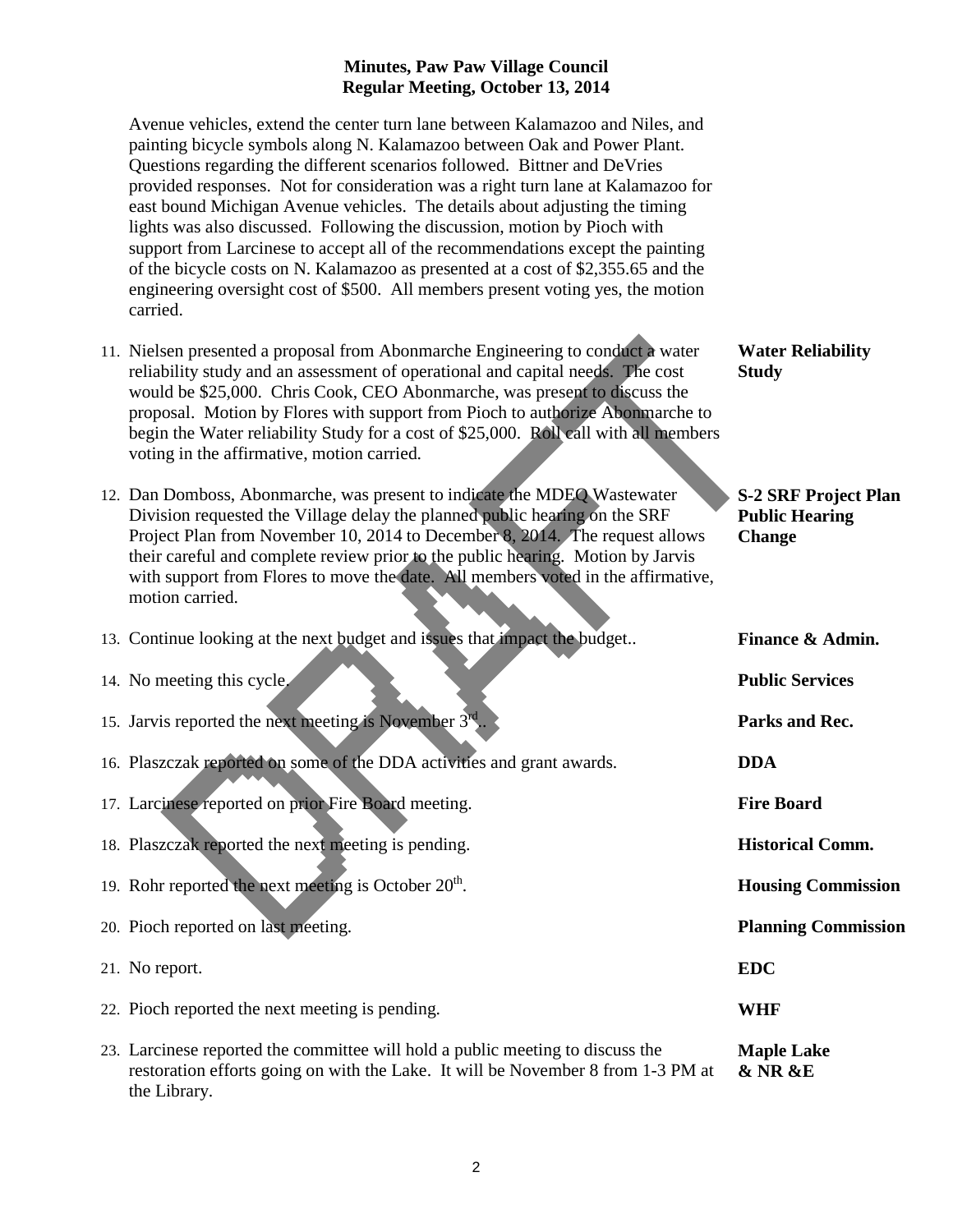#### **Minutes, Paw Paw Village Council Regular Meeting, October 13, 2014**

Avenue vehicles, extend the center turn lane between Kalamazoo and Niles, and painting bicycle symbols along N. Kalamazoo between Oak and Power Plant. Questions regarding the different scenarios followed. Bittner and DeVries provided responses. Not for consideration was a right turn lane at Kalamazoo for east bound Michigan Avenue vehicles. The details about adjusting the timing lights was also discussed. Following the discussion, motion by Pioch with support from Larcinese to accept all of the recommendations except the painting of the bicycle costs on N. Kalamazoo as presented at a cost of \$2,355.65 and the engineering oversight cost of \$500. All members present voting yes, the motion carried.

- 11. Nielsen presented a proposal from Abonmarche Engineering to conduct a water reliability study and an assessment of operational and capital needs. The cost would be \$25,000. Chris Cook, CEO Abonmarche, was present to discuss the proposal. Motion by Flores with support from Pioch to authorize Abonmarche to begin the Water reliability Study for a cost of \$25,000. Roll call with all members voting in the affirmative, motion carried.
- 12. Dan Domboss, Abonmarche, was present to indicate the MDEQ Wastewater Division requested the Village delay the planned public hearing on the SRF Project Plan from November 10, 2014 to December 8, 2014. The request allows their careful and complete review prior to the public hearing. Motion by Jarvis with support from Flores to move the date. All members voted in the affirmative, motion carried.

**Water Reliability Study**

**S-2 SRF Project Plan Public Hearing Change**

| 13. Continue looking at the next budget and issues that impact the budget                                                                                                          | Finance & Admin.                            |
|------------------------------------------------------------------------------------------------------------------------------------------------------------------------------------|---------------------------------------------|
| 14. No meeting this cycle.                                                                                                                                                         | <b>Public Services</b>                      |
| 15. Jarvis reported the next meeting is November $3rd$ .                                                                                                                           | Parks and Rec.                              |
| 16. Plaszczak reported on some of the DDA activities and grant awards.                                                                                                             | <b>DDA</b>                                  |
| 17. Larcinese reported on prior Fire Board meeting.                                                                                                                                | <b>Fire Board</b>                           |
| 18. Plaszczak reported the next meeting is pending.                                                                                                                                | <b>Historical Comm.</b>                     |
| 19. Rohr reported the next meeting is October $20th$ .                                                                                                                             | <b>Housing Commission</b>                   |
| 20. Pioch reported on last meeting.                                                                                                                                                | <b>Planning Commission</b>                  |
| 21. No report.                                                                                                                                                                     | <b>EDC</b>                                  |
| 22. Pioch reported the next meeting is pending.                                                                                                                                    | <b>WHF</b>                                  |
| 23. Larcinese reported the committee will hold a public meeting to discuss the<br>restoration efforts going on with the Lake. It will be November 8 from 1-3 PM at<br>the Library. | <b>Maple Lake</b><br><b>&amp; NR &amp;E</b> |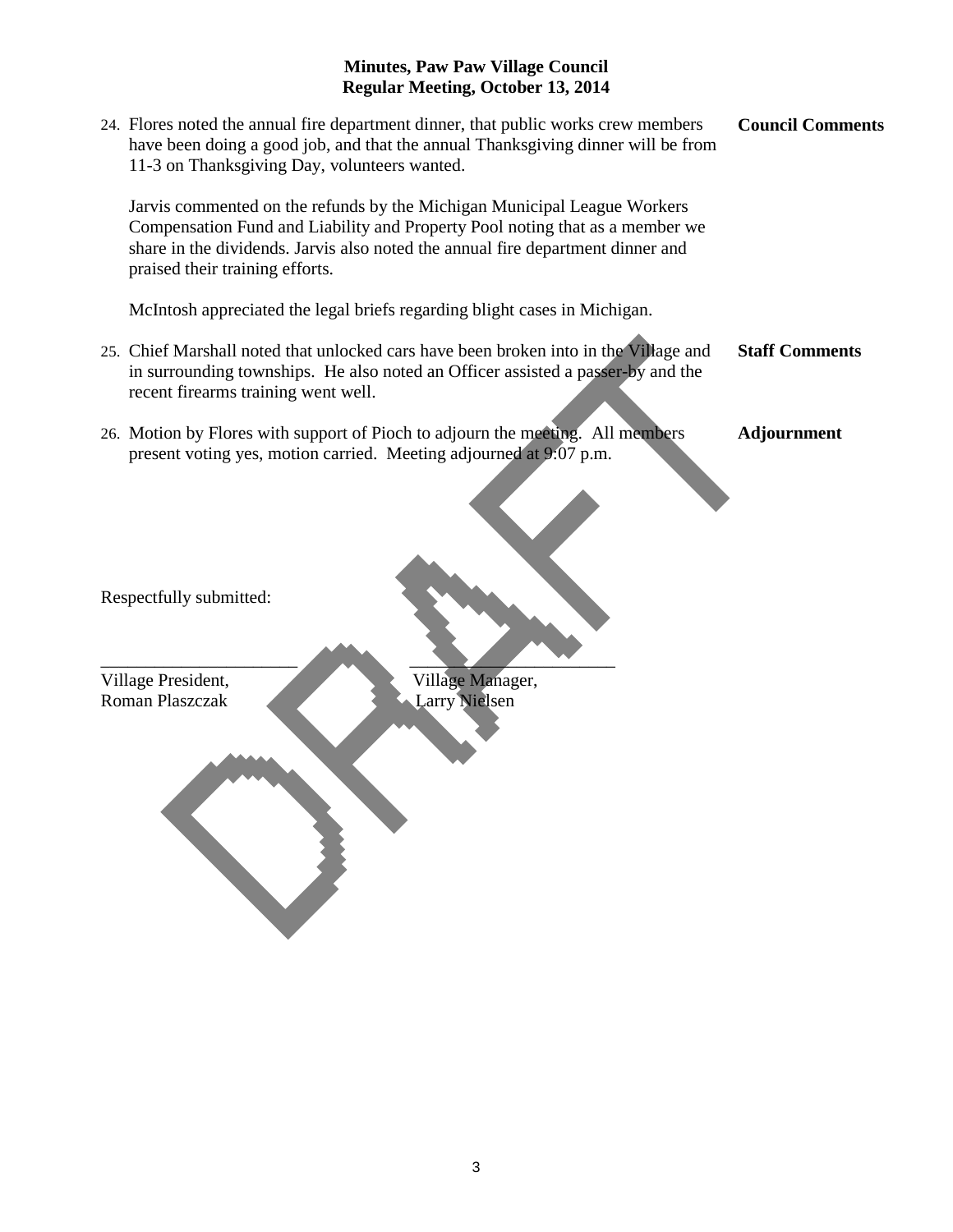### **Minutes, Paw Paw Village Council Regular Meeting, October 13, 2014**

| 24. Flores noted the annual fire department dinner, that public works crew members<br>have been doing a good job, and that the annual Thanksgiving dinner will be from<br>11-3 on Thanksgiving Day, volunteers wanted.                                                         | <b>Council Comments</b> |
|--------------------------------------------------------------------------------------------------------------------------------------------------------------------------------------------------------------------------------------------------------------------------------|-------------------------|
| Jarvis commented on the refunds by the Michigan Municipal League Workers<br>Compensation Fund and Liability and Property Pool noting that as a member we<br>share in the dividends. Jarvis also noted the annual fire department dinner and<br>praised their training efforts. |                         |
| McIntosh appreciated the legal briefs regarding blight cases in Michigan.                                                                                                                                                                                                      |                         |
| 25. Chief Marshall noted that unlocked cars have been broken into in the Village and<br>in surrounding townships. He also noted an Officer assisted a passer-by and the<br>recent firearms training went well.                                                                 | <b>Staff Comments</b>   |
| 26. Motion by Flores with support of Pioch to adjourn the meeting. All members<br>present voting yes, motion carried. Meeting adjourned at 9:07 p.m.                                                                                                                           | <b>Adjournment</b>      |
| Respectfully submitted:                                                                                                                                                                                                                                                        |                         |
| Village President,<br>Village Manager,<br><b>Larry Nielsen</b><br>Roman Plaszczak                                                                                                                                                                                              |                         |
|                                                                                                                                                                                                                                                                                |                         |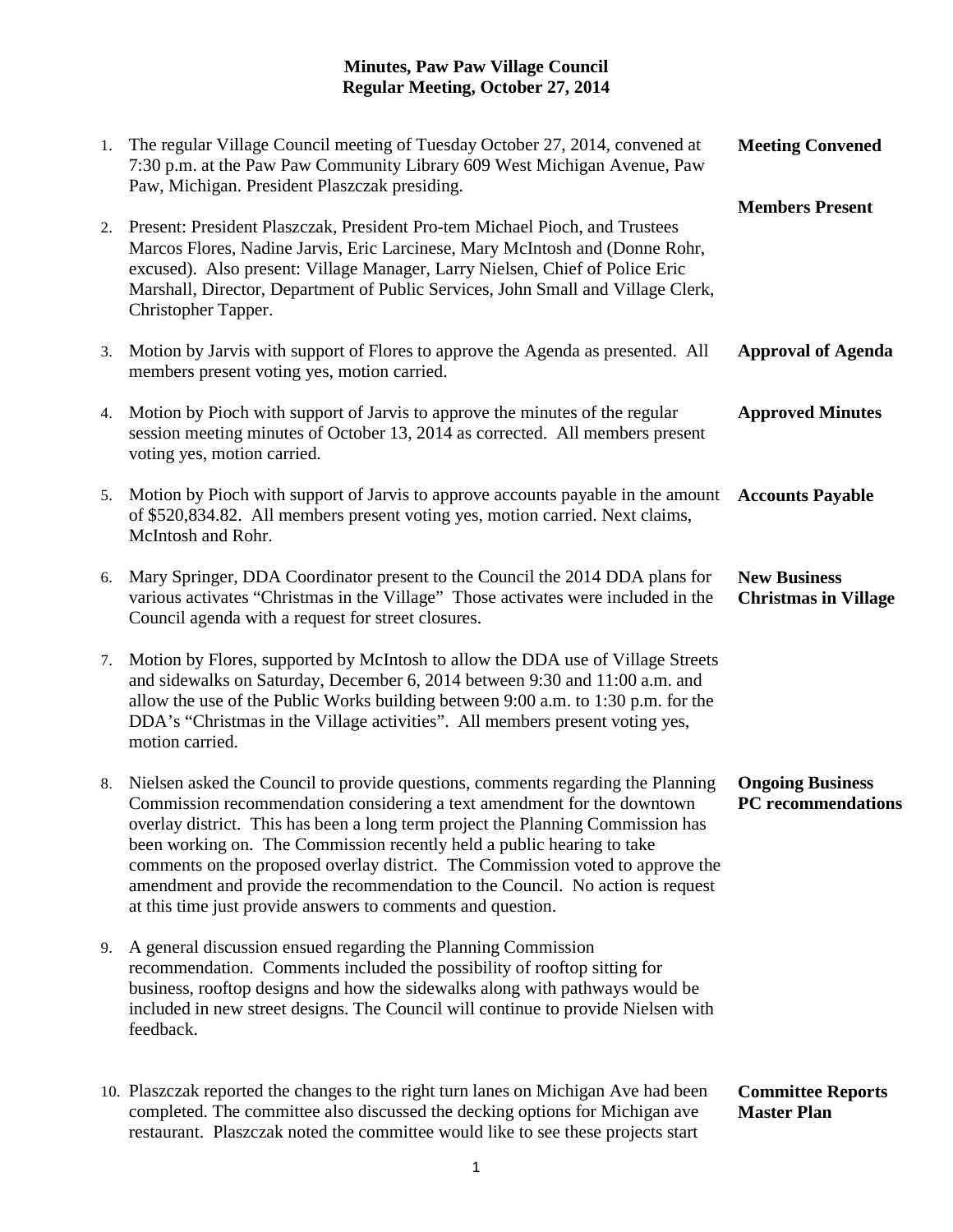### **Minutes, Paw Paw Village Council Regular Meeting, October 27, 2014**

| 1. | The regular Village Council meeting of Tuesday October 27, 2014, convened at<br>7:30 p.m. at the Paw Paw Community Library 609 West Michigan Avenue, Paw<br>Paw, Michigan. President Plaszczak presiding.                                                                                                                                                                                                                                                                                                                                                    | <b>Meeting Convened</b>                              |
|----|--------------------------------------------------------------------------------------------------------------------------------------------------------------------------------------------------------------------------------------------------------------------------------------------------------------------------------------------------------------------------------------------------------------------------------------------------------------------------------------------------------------------------------------------------------------|------------------------------------------------------|
| 2. | Present: President Plaszczak, President Pro-tem Michael Pioch, and Trustees<br>Marcos Flores, Nadine Jarvis, Eric Larcinese, Mary McIntosh and (Donne Rohr,<br>excused). Also present: Village Manager, Larry Nielsen, Chief of Police Eric<br>Marshall, Director, Department of Public Services, John Small and Village Clerk,<br>Christopher Tapper.                                                                                                                                                                                                       | <b>Members Present</b>                               |
| 3. | Motion by Jarvis with support of Flores to approve the Agenda as presented. All<br>members present voting yes, motion carried.                                                                                                                                                                                                                                                                                                                                                                                                                               | <b>Approval of Agenda</b>                            |
| 4. | Motion by Pioch with support of Jarvis to approve the minutes of the regular<br>session meeting minutes of October 13, 2014 as corrected. All members present<br>voting yes, motion carried.                                                                                                                                                                                                                                                                                                                                                                 | <b>Approved Minutes</b>                              |
| 5. | Motion by Pioch with support of Jarvis to approve accounts payable in the amount<br>of \$520,834.82. All members present voting yes, motion carried. Next claims,<br>McIntosh and Rohr.                                                                                                                                                                                                                                                                                                                                                                      | <b>Accounts Payable</b>                              |
| 6. | Mary Springer, DDA Coordinator present to the Council the 2014 DDA plans for<br>various activates "Christmas in the Village" Those activates were included in the<br>Council agenda with a request for street closures.                                                                                                                                                                                                                                                                                                                                      | <b>New Business</b><br><b>Christmas in Village</b>   |
| 7. | Motion by Flores, supported by McIntosh to allow the DDA use of Village Streets<br>and sidewalks on Saturday, December 6, 2014 between 9:30 and 11:00 a.m. and<br>allow the use of the Public Works building between $9:00$ a.m. to $1:30$ p.m. for the<br>DDA's "Christmas in the Village activities". All members present voting yes,<br>motion carried.                                                                                                                                                                                                   |                                                      |
|    | 8. Nielsen asked the Council to provide questions, comments regarding the Planning<br>Commission recommendation considering a text amendment for the downtown<br>overlay district. This has been a long term project the Planning Commission has<br>been working on. The Commission recently held a public hearing to take<br>comments on the proposed overlay district. The Commission voted to approve the<br>amendment and provide the recommendation to the Council. No action is request<br>at this time just provide answers to comments and question. | <b>Ongoing Business</b><br><b>PC</b> recommendations |
| 9. | A general discussion ensued regarding the Planning Commission<br>recommendation. Comments included the possibility of rooftop sitting for<br>business, rooftop designs and how the sidewalks along with pathways would be<br>included in new street designs. The Council will continue to provide Nielsen with<br>feedback.                                                                                                                                                                                                                                  |                                                      |
|    | 10. Plaszczak reported the changes to the right turn lanes on Michigan Ave had been<br>completed. The committee also discussed the decking options for Michigan ave<br>restaurant. Plaszczak noted the committee would like to see these projects start                                                                                                                                                                                                                                                                                                      | <b>Committee Reports</b><br><b>Master Plan</b>       |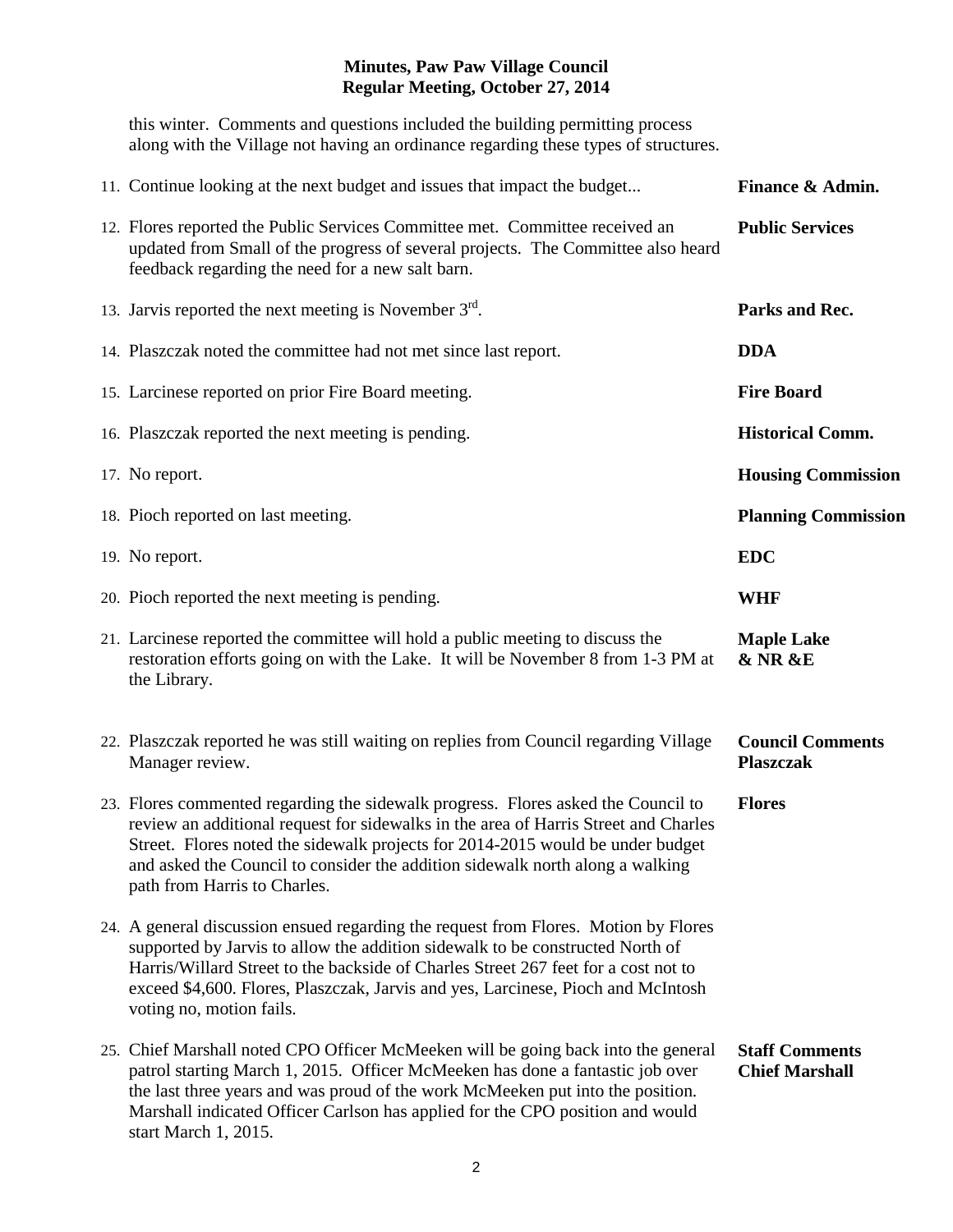### **Minutes, Paw Paw Village Council Regular Meeting, October 27, 2014**

this winter. Comments and questions included the building permitting process along with the Village not having an ordinance regarding these types of structures.

| 11. Continue looking at the next budget and issues that impact the budget                                                                                                                                                                                                                                                                                                   | Finance & Admin.                               |
|-----------------------------------------------------------------------------------------------------------------------------------------------------------------------------------------------------------------------------------------------------------------------------------------------------------------------------------------------------------------------------|------------------------------------------------|
| 12. Flores reported the Public Services Committee met. Committee received an<br>updated from Small of the progress of several projects. The Committee also heard<br>feedback regarding the need for a new salt barn.                                                                                                                                                        | <b>Public Services</b>                         |
| 13. Jarvis reported the next meeting is November $3rd$ .                                                                                                                                                                                                                                                                                                                    | Parks and Rec.                                 |
| 14. Plaszczak noted the committee had not met since last report.                                                                                                                                                                                                                                                                                                            | <b>DDA</b>                                     |
| 15. Larcinese reported on prior Fire Board meeting.                                                                                                                                                                                                                                                                                                                         | <b>Fire Board</b>                              |
| 16. Plaszczak reported the next meeting is pending.                                                                                                                                                                                                                                                                                                                         | <b>Historical Comm.</b>                        |
| 17. No report.                                                                                                                                                                                                                                                                                                                                                              | <b>Housing Commission</b>                      |
| 18. Pioch reported on last meeting.                                                                                                                                                                                                                                                                                                                                         | <b>Planning Commission</b>                     |
| 19. No report.                                                                                                                                                                                                                                                                                                                                                              | <b>EDC</b>                                     |
| 20. Pioch reported the next meeting is pending.                                                                                                                                                                                                                                                                                                                             | <b>WHF</b>                                     |
| 21. Larcinese reported the committee will hold a public meeting to discuss the<br>restoration efforts going on with the Lake. It will be November 8 from 1-3 PM at<br>the Library.                                                                                                                                                                                          | <b>Maple Lake</b><br>& NR &E                   |
| 22. Plaszczak reported he was still waiting on replies from Council regarding Village<br>Manager review.                                                                                                                                                                                                                                                                    | <b>Council Comments</b><br><b>Plaszczak</b>    |
| 23. Flores commented regarding the sidewalk progress. Flores asked the Council to<br>review an additional request for sidewalks in the area of Harris Street and Charles<br>Street. Flores noted the sidewalk projects for 2014-2015 would be under budget<br>and asked the Council to consider the addition sidewalk north along a walking<br>path from Harris to Charles. | <b>Flores</b>                                  |
| 24. A general discussion ensued regarding the request from Flores. Motion by Flores<br>supported by Jarvis to allow the addition sidewalk to be constructed North of<br>Harris/Willard Street to the backside of Charles Street 267 feet for a cost not to<br>exceed \$4,600. Flores, Plaszczak, Jarvis and yes, Larcinese, Pioch and McIntosh<br>voting no, motion fails.  |                                                |
| 25. Chief Marshall noted CPO Officer McMeeken will be going back into the general<br>patrol starting March 1, 2015. Officer McMeeken has done a fantastic job over<br>the last three years and was proud of the work McMeeken put into the position.<br>Marshall indicated Officer Carlson has applied for the CPO position and would<br>start March 1, 2015.               | <b>Staff Comments</b><br><b>Chief Marshall</b> |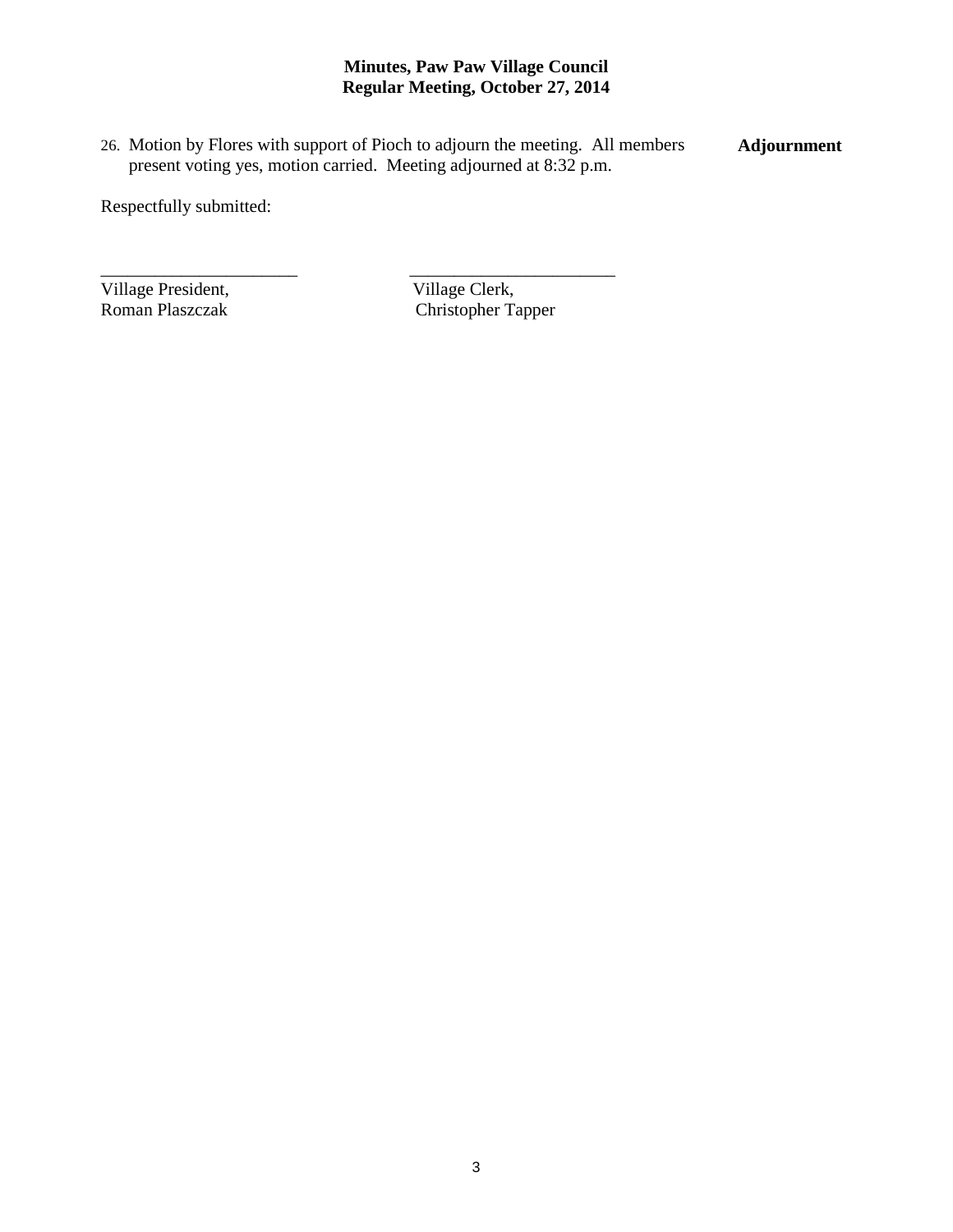### **Minutes, Paw Paw Village Council Regular Meeting, October 27, 2014**

26. Motion by Flores with support of Pioch to adjourn the meeting. All members present voting yes, motion carried. Meeting adjourned at 8:32 p.m. **Adjournment**

Respectfully submitted:

Village President,<br>
Roman Plaszczak<br>
Christopher Ta

\_\_\_\_\_\_\_\_\_\_\_\_\_\_\_\_\_\_\_\_\_\_ \_\_\_\_\_\_\_\_\_\_\_\_\_\_\_\_\_\_\_\_\_\_\_ Christopher Tapper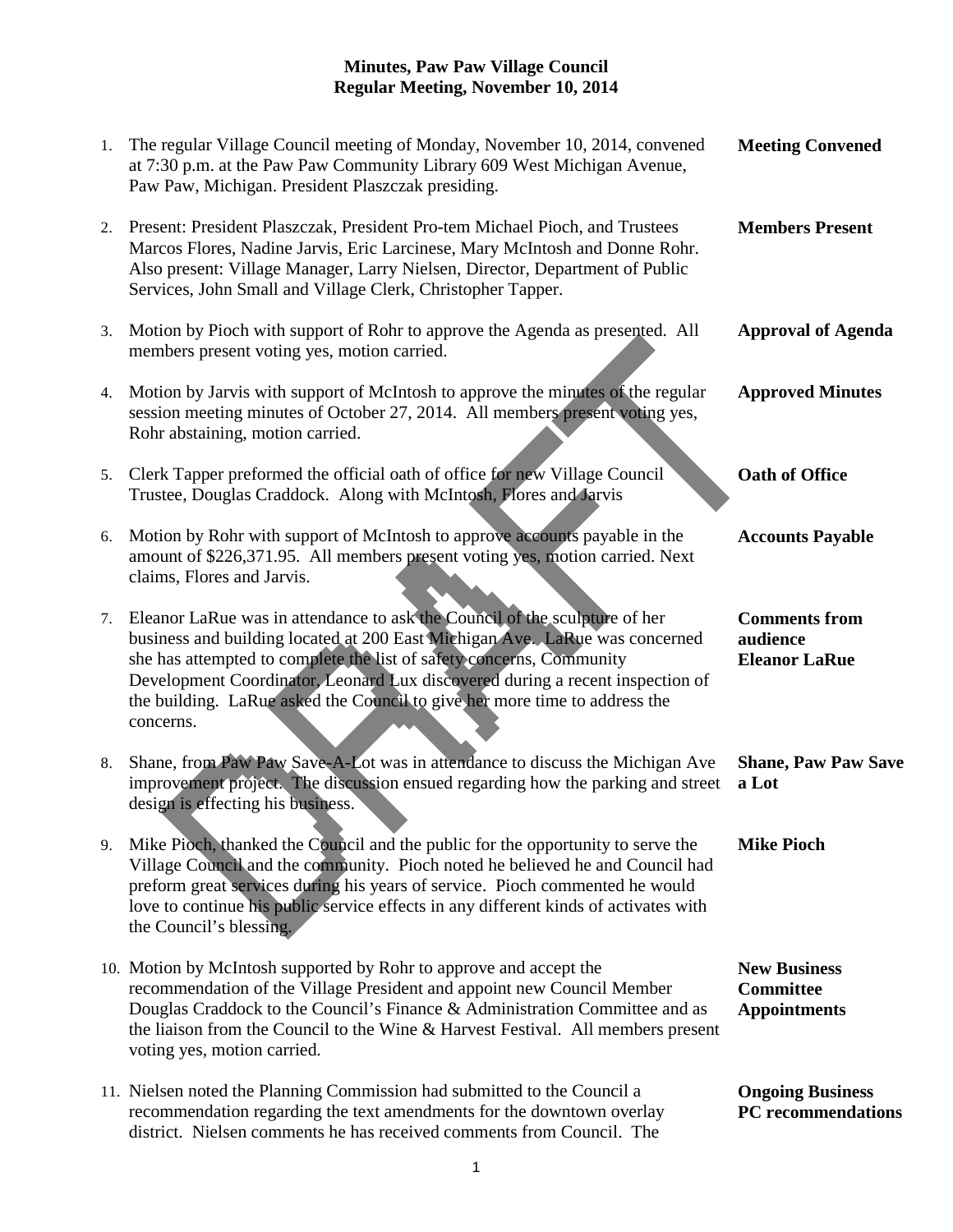### **Minutes, Paw Paw Village Council Regular Meeting, November 10, 2014**

| 1. | The regular Village Council meeting of Monday, November 10, 2014, convened<br>at 7:30 p.m. at the Paw Paw Community Library 609 West Michigan Avenue,<br>Paw Paw, Michigan. President Plaszczak presiding.                                                                                                                                                                                                     | <b>Meeting Convened</b>                                        |
|----|----------------------------------------------------------------------------------------------------------------------------------------------------------------------------------------------------------------------------------------------------------------------------------------------------------------------------------------------------------------------------------------------------------------|----------------------------------------------------------------|
| 2. | Present: President Plaszczak, President Pro-tem Michael Pioch, and Trustees<br>Marcos Flores, Nadine Jarvis, Eric Larcinese, Mary McIntosh and Donne Rohr.<br>Also present: Village Manager, Larry Nielsen, Director, Department of Public<br>Services, John Small and Village Clerk, Christopher Tapper.                                                                                                      | <b>Members Present</b>                                         |
| 3. | Motion by Pioch with support of Rohr to approve the Agenda as presented. All<br>members present voting yes, motion carried.                                                                                                                                                                                                                                                                                    | <b>Approval of Agenda</b>                                      |
| 4. | Motion by Jarvis with support of McIntosh to approve the minutes of the regular<br>session meeting minutes of October 27, 2014. All members present voting yes,<br>Rohr abstaining, motion carried.                                                                                                                                                                                                            | <b>Approved Minutes</b>                                        |
| 5. | Clerk Tapper preformed the official oath of office for new Village Council<br>Trustee, Douglas Craddock. Along with McIntosh, Flores and Jarvis                                                                                                                                                                                                                                                                | <b>Oath of Office</b>                                          |
| 6. | Motion by Rohr with support of McIntosh to approve accounts payable in the<br>amount of \$226,371.95. All members present voting yes, motion carried. Next<br>claims, Flores and Jarvis.                                                                                                                                                                                                                       | <b>Accounts Payable</b>                                        |
| 7. | Eleanor LaRue was in attendance to ask the Council of the sculpture of her<br>business and building located at 200 East Michigan Ave., LaRue was concerned<br>she has attempted to complete the list of safety concerns, Community<br>Development Coordinator, Leonard Lux discovered during a recent inspection of<br>the building. LaRue asked the Council to give her more time to address the<br>concerns. | <b>Comments from</b><br>audience<br><b>Eleanor LaRue</b>       |
| 8. | Shane, from Paw Paw Save-A-Lot was in attendance to discuss the Michigan Ave<br>improvement project. The discussion ensued regarding how the parking and street<br>design is effecting his business.                                                                                                                                                                                                           | <b>Shane, Paw Paw Save</b><br>a Lot                            |
| 9. | Mike Pioch, thanked the Council and the public for the opportunity to serve the<br>Village Council and the community. Pioch noted he believed he and Council had<br>preform great services during his years of service. Pioch commented he would<br>love to continue his public service effects in any different kinds of activates with<br>the Council's blessing.                                            | <b>Mike Pioch</b>                                              |
|    | 10. Motion by McIntosh supported by Rohr to approve and accept the<br>recommendation of the Village President and appoint new Council Member<br>Douglas Craddock to the Council's Finance & Administration Committee and as<br>the liaison from the Council to the Wine & Harvest Festival. All members present<br>voting yes, motion carried.                                                                 | <b>New Business</b><br><b>Committee</b><br><b>Appointments</b> |
|    | 11. Nielsen noted the Planning Commission had submitted to the Council a<br>recommendation regarding the text amendments for the downtown overlay<br>district. Nielsen comments he has received comments from Council. The                                                                                                                                                                                     | <b>Ongoing Business</b><br><b>PC</b> recommendations           |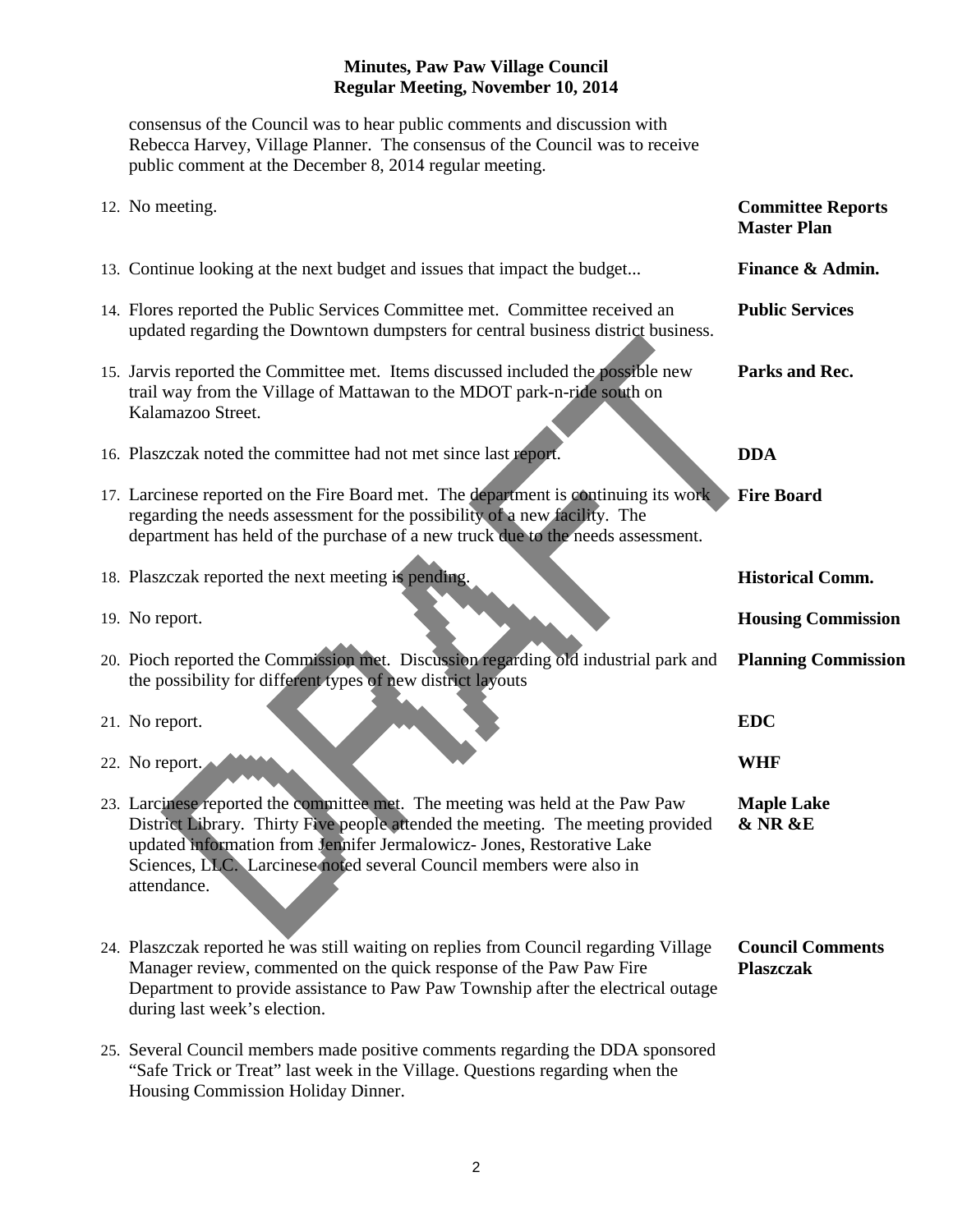#### **Minutes, Paw Paw Village Council Regular Meeting, November 10, 2014**

consensus of the Council was to hear public comments and discussion with Rebecca Harvey, Village Planner. The consensus of the Council was to receive public comment at the December 8, 2014 regular meeting.

| 12. No meeting.                                                                                                                                                                                                                                                                                                                  | <b>Committee Reports</b><br><b>Master Plan</b> |
|----------------------------------------------------------------------------------------------------------------------------------------------------------------------------------------------------------------------------------------------------------------------------------------------------------------------------------|------------------------------------------------|
| 13. Continue looking at the next budget and issues that impact the budget                                                                                                                                                                                                                                                        | Finance & Admin.                               |
| 14. Flores reported the Public Services Committee met. Committee received an<br>updated regarding the Downtown dumpsters for central business district business.                                                                                                                                                                 | <b>Public Services</b>                         |
| 15. Jarvis reported the Committee met. Items discussed included the possible new<br>trail way from the Village of Mattawan to the MDOT park-n-ride south on<br>Kalamazoo Street.                                                                                                                                                 | Parks and Rec.                                 |
| 16. Plaszczak noted the committee had not met since last report                                                                                                                                                                                                                                                                  | <b>DDA</b>                                     |
| 17. Larcinese reported on the Fire Board met. The department is continuing its work<br>regarding the needs assessment for the possibility of a new facility. The<br>department has held of the purchase of a new truck due to the needs assessment.                                                                              | <b>Fire Board</b>                              |
| 18. Plaszczak reported the next meeting is pending.                                                                                                                                                                                                                                                                              | <b>Historical Comm.</b>                        |
| 19. No report.                                                                                                                                                                                                                                                                                                                   | <b>Housing Commission</b>                      |
| 20. Pioch reported the Commission met. Discussion regarding old industrial park and<br>the possibility for different types of new district layouts                                                                                                                                                                               | <b>Planning Commission</b>                     |
| 21. No report.                                                                                                                                                                                                                                                                                                                   | <b>EDC</b>                                     |
| 22. No report.                                                                                                                                                                                                                                                                                                                   | <b>WHF</b>                                     |
| 23. Larcinese reported the committee met. The meeting was held at the Paw Paw<br>District Library. Thirty Five people attended the meeting. The meeting provided<br>updated information from Jennifer Jermalowicz- Jones, Restorative Lake<br>Sciences, LLC. Larcinese noted several Council members were also in<br>attendance. | <b>Maple Lake</b><br>& NR &E                   |
| 24. Plaszczak reported he was still waiting on replies from Council regarding Village<br>Manager review, commented on the quick response of the Paw Paw Fire<br>Department to provide assistance to Paw Paw Township after the electrical outage<br>during last week's election.                                                 | <b>Council Comments</b><br><b>Plaszczak</b>    |
| 25. Several Council members made positive comments regarding the DDA sponsored<br>"Safe Trick or Treat" last week in the Village. Questions regarding when the                                                                                                                                                                   |                                                |

Housing Commission Holiday Dinner.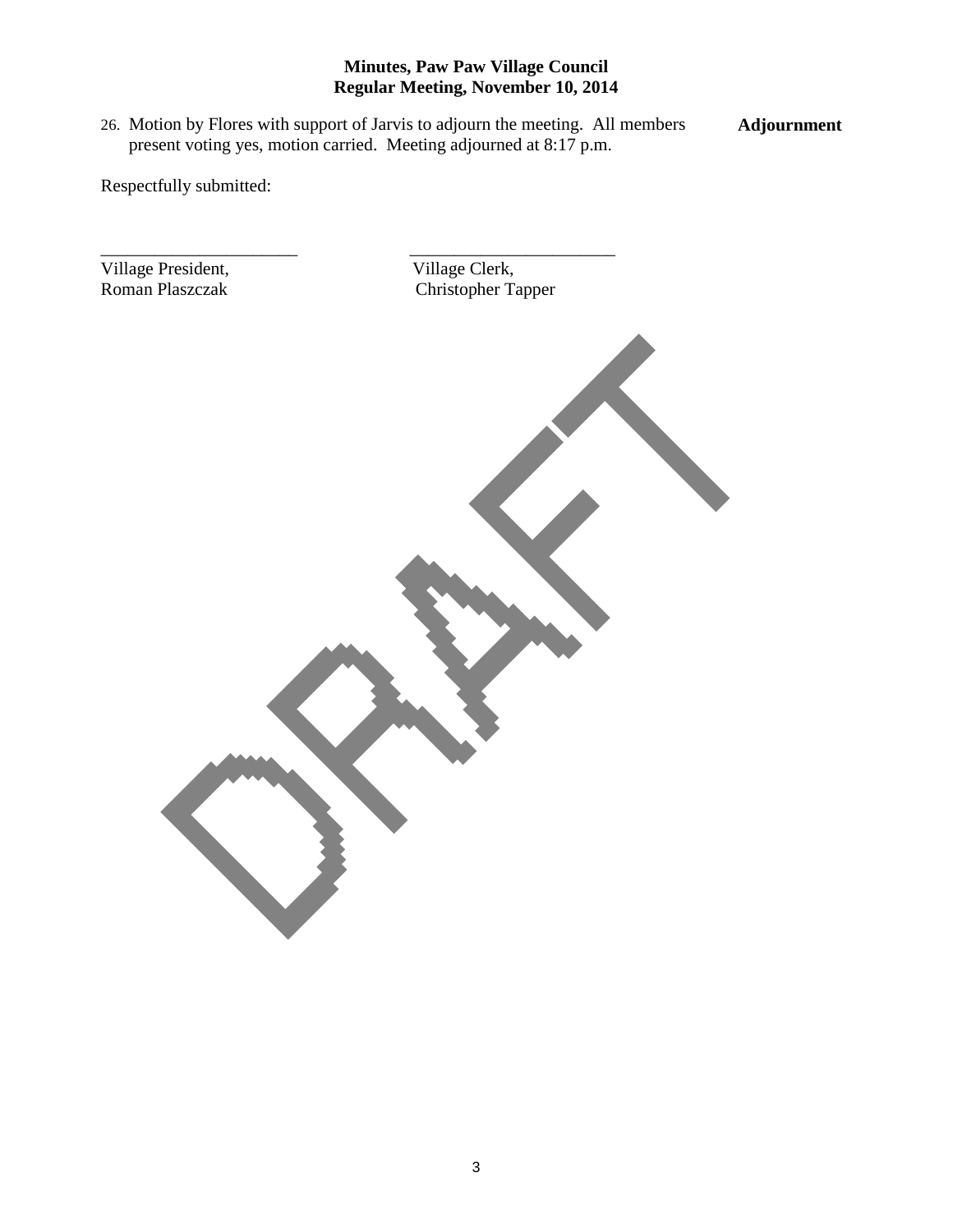#### **Minutes, Paw Paw Village Council Regular Meeting, November 10, 2014**

26. Motion by Flores with support of Jarvis to adjourn the meeting. All members present voting yes, motion carried. Meeting adjourned at 8:17 p.m.

\_\_\_\_\_\_\_\_\_\_\_\_\_\_\_\_\_\_\_\_\_\_ \_\_\_\_\_\_\_\_\_\_\_\_\_\_\_\_\_\_\_\_\_\_\_

**Adjournment**

Respectfully submitted:

Village President, Village Clerk,

Roman Plaszczak Christopher Tapper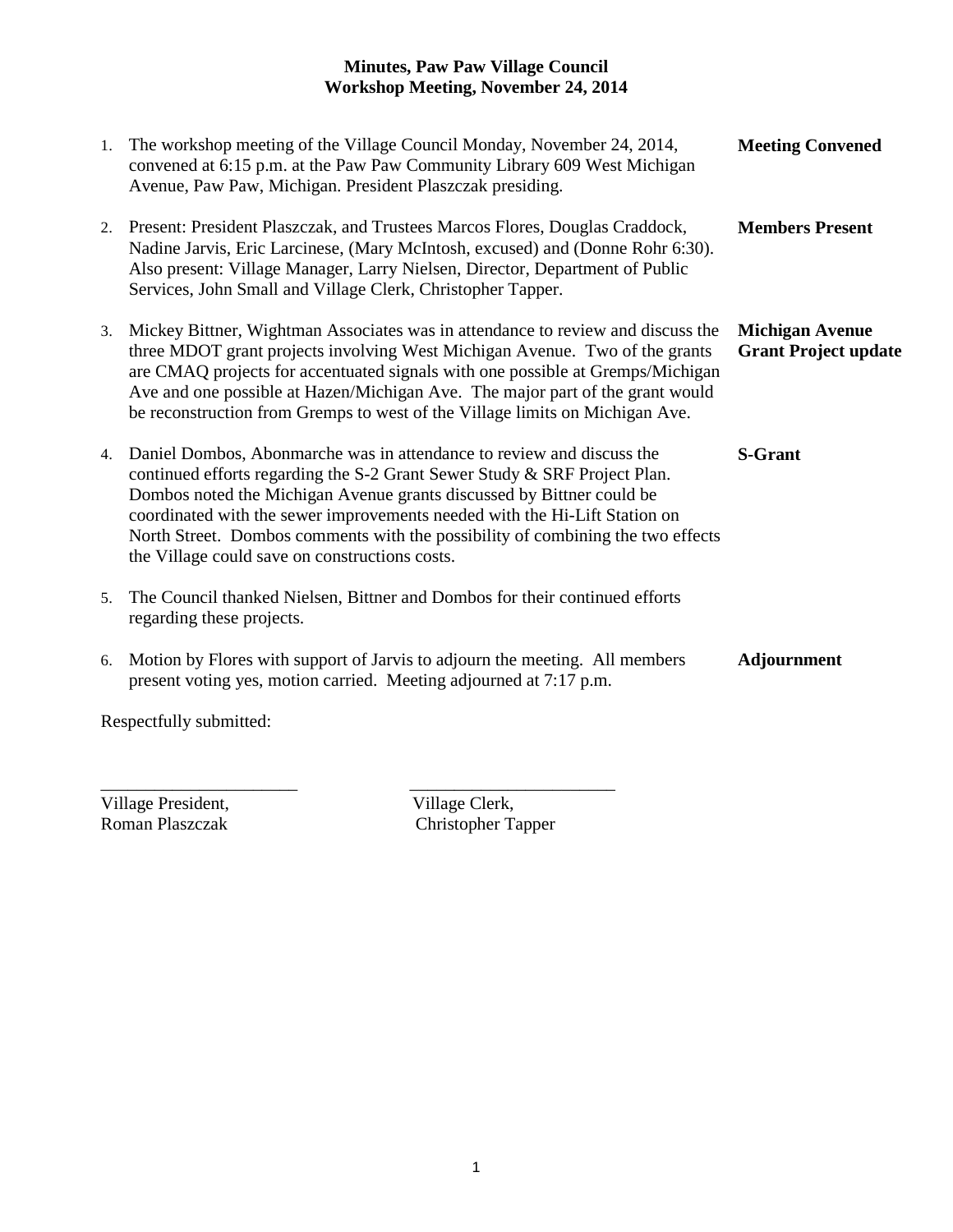### **Minutes, Paw Paw Village Council Workshop Meeting, November 24, 2014**

| 1. | The workshop meeting of the Village Council Monday, November 24, 2014,<br>convened at 6:15 p.m. at the Paw Paw Community Library 609 West Michigan<br>Avenue, Paw Paw, Michigan. President Plaszczak presiding.                                                                                                                                                                                                                                | <b>Meeting Convened</b>                               |
|----|------------------------------------------------------------------------------------------------------------------------------------------------------------------------------------------------------------------------------------------------------------------------------------------------------------------------------------------------------------------------------------------------------------------------------------------------|-------------------------------------------------------|
| 2. | Present: President Plaszczak, and Trustees Marcos Flores, Douglas Craddock,<br>Nadine Jarvis, Eric Larcinese, (Mary McIntosh, excused) and (Donne Rohr 6:30).<br>Also present: Village Manager, Larry Nielsen, Director, Department of Public<br>Services, John Small and Village Clerk, Christopher Tapper.                                                                                                                                   | <b>Members Present</b>                                |
| 3. | Mickey Bittner, Wightman Associates was in attendance to review and discuss the<br>three MDOT grant projects involving West Michigan Avenue. Two of the grants<br>are CMAQ projects for accentuated signals with one possible at Gremps/Michigan<br>Ave and one possible at Hazen/Michigan Ave. The major part of the grant would<br>be reconstruction from Gremps to west of the Village limits on Michigan Ave.                              | <b>Michigan Avenue</b><br><b>Grant Project update</b> |
| 4. | Daniel Dombos, Abonmarche was in attendance to review and discuss the<br>continued efforts regarding the S-2 Grant Sewer Study & SRF Project Plan.<br>Dombos noted the Michigan Avenue grants discussed by Bittner could be<br>coordinated with the sewer improvements needed with the Hi-Lift Station on<br>North Street. Dombos comments with the possibility of combining the two effects<br>the Village could save on constructions costs. | <b>S-Grant</b>                                        |
| 5. | The Council thanked Nielsen, Bittner and Dombos for their continued efforts<br>regarding these projects.                                                                                                                                                                                                                                                                                                                                       |                                                       |
| 6. | Motion by Flores with support of Jarvis to adjourn the meeting. All members<br>present voting yes, motion carried. Meeting adjourned at 7:17 p.m.                                                                                                                                                                                                                                                                                              | <b>Adjournment</b>                                    |
|    | Respectfully submitted:                                                                                                                                                                                                                                                                                                                                                                                                                        |                                                       |

Village President,<br>Roman Plaszczak

\_\_\_\_\_\_\_\_\_\_\_\_\_\_\_\_\_\_\_\_\_\_ \_\_\_\_\_\_\_\_\_\_\_\_\_\_\_\_\_\_\_\_\_\_\_ Village Clerk,<br>Christopher Tapper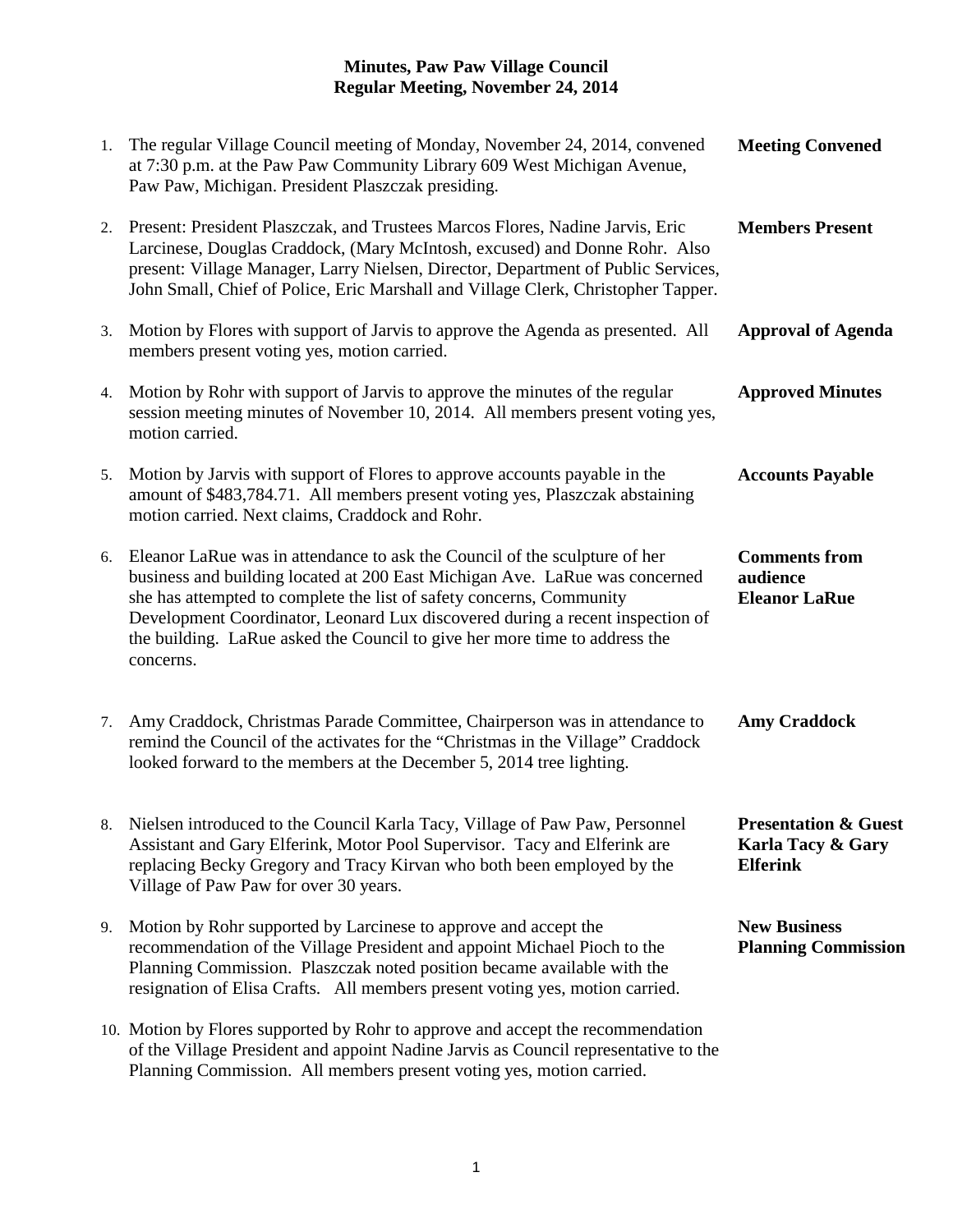### **Minutes, Paw Paw Village Council Regular Meeting, November 24, 2014**

| 1. | The regular Village Council meeting of Monday, November 24, 2014, convened<br>at 7:30 p.m. at the Paw Paw Community Library 609 West Michigan Avenue,<br>Paw Paw, Michigan. President Plaszczak presiding.                                                                                                                                                                                                    | <b>Meeting Convened</b>                                                 |
|----|---------------------------------------------------------------------------------------------------------------------------------------------------------------------------------------------------------------------------------------------------------------------------------------------------------------------------------------------------------------------------------------------------------------|-------------------------------------------------------------------------|
| 2. | Present: President Plaszczak, and Trustees Marcos Flores, Nadine Jarvis, Eric<br>Larcinese, Douglas Craddock, (Mary McIntosh, excused) and Donne Rohr. Also<br>present: Village Manager, Larry Nielsen, Director, Department of Public Services,<br>John Small, Chief of Police, Eric Marshall and Village Clerk, Christopher Tapper.                                                                         | <b>Members Present</b>                                                  |
| 3. | Motion by Flores with support of Jarvis to approve the Agenda as presented. All<br>members present voting yes, motion carried.                                                                                                                                                                                                                                                                                | <b>Approval of Agenda</b>                                               |
| 4. | Motion by Rohr with support of Jarvis to approve the minutes of the regular<br>session meeting minutes of November 10, 2014. All members present voting yes,<br>motion carried.                                                                                                                                                                                                                               | <b>Approved Minutes</b>                                                 |
| 5. | Motion by Jarvis with support of Flores to approve accounts payable in the<br>amount of \$483,784.71. All members present voting yes, Plaszczak abstaining<br>motion carried. Next claims, Craddock and Rohr.                                                                                                                                                                                                 | <b>Accounts Payable</b>                                                 |
| 6. | Eleanor LaRue was in attendance to ask the Council of the sculpture of her<br>business and building located at 200 East Michigan Ave. LaRue was concerned<br>she has attempted to complete the list of safety concerns, Community<br>Development Coordinator, Leonard Lux discovered during a recent inspection of<br>the building. LaRue asked the Council to give her more time to address the<br>concerns. | <b>Comments from</b><br>audience<br><b>Eleanor LaRue</b>                |
| 7. | Amy Craddock, Christmas Parade Committee, Chairperson was in attendance to<br>remind the Council of the activates for the "Christmas in the Village" Craddock<br>looked forward to the members at the December 5, 2014 tree lighting.                                                                                                                                                                         | <b>Amy Craddock</b>                                                     |
| 8. | Nielsen introduced to the Council Karla Tacy, Village of Paw Paw, Personnel<br>Assistant and Gary Elferink, Motor Pool Supervisor. Tacy and Elferink are<br>replacing Becky Gregory and Tracy Kirvan who both been employed by the<br>Village of Paw Paw for over 30 years.                                                                                                                                   | <b>Presentation &amp; Guest</b><br>Karla Tacy & Gary<br><b>Elferink</b> |
| 9. | Motion by Rohr supported by Larcinese to approve and accept the<br>recommendation of the Village President and appoint Michael Pioch to the<br>Planning Commission. Plaszczak noted position became available with the<br>resignation of Elisa Crafts. All members present voting yes, motion carried.                                                                                                        | <b>New Business</b><br><b>Planning Commission</b>                       |
|    | 10. Motion by Flores supported by Rohr to approve and accept the recommendation<br>of the Village President and appoint Nadine Jarvis as Council representative to the<br>Planning Commission. All members present voting yes, motion carried.                                                                                                                                                                |                                                                         |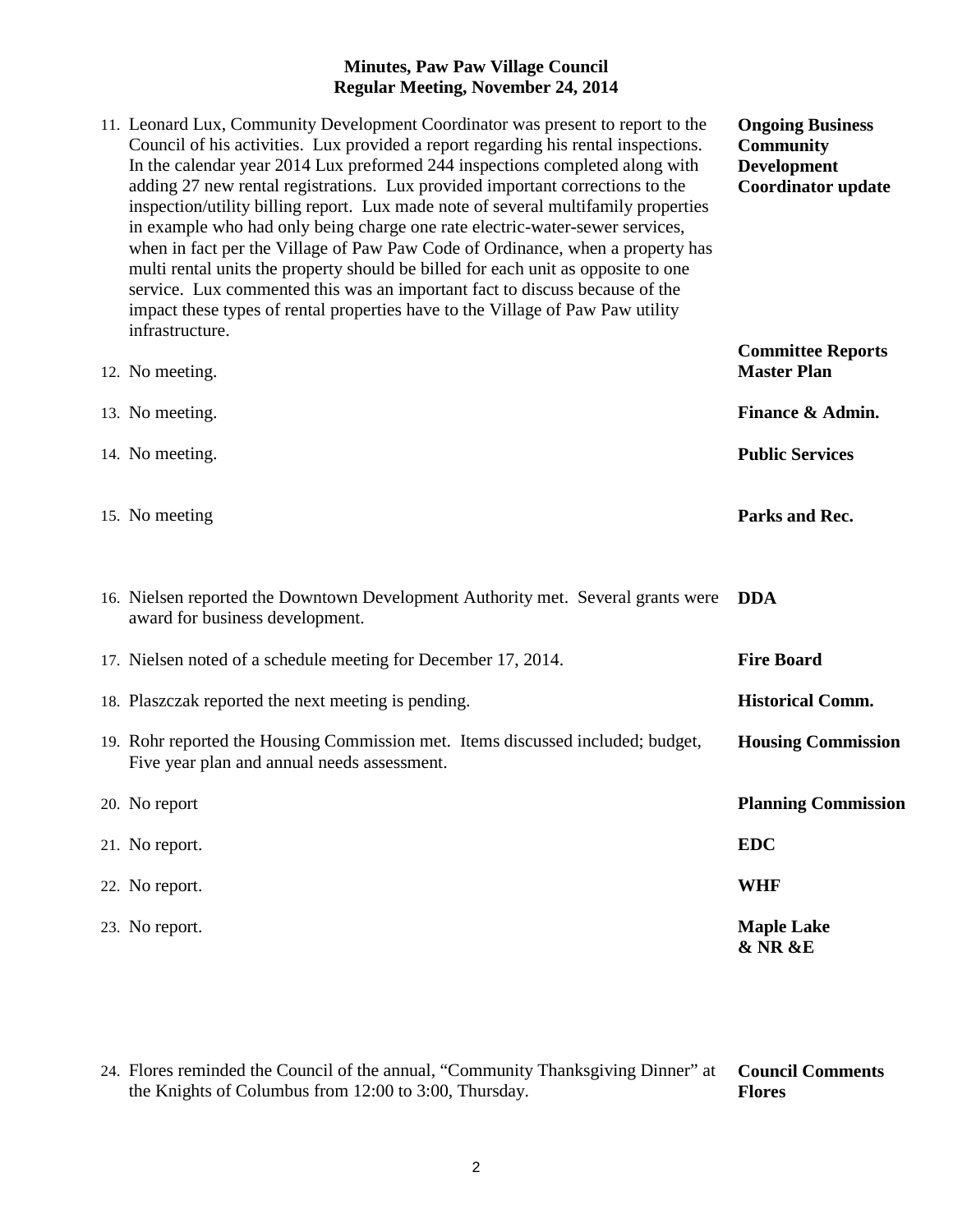### **Minutes, Paw Paw Village Council Regular Meeting, November 24, 2014**

| 11. Leonard Lux, Community Development Coordinator was present to report to the<br>Council of his activities. Lux provided a report regarding his rental inspections.<br>In the calendar year 2014 Lux preformed 244 inspections completed along with<br>adding 27 new rental registrations. Lux provided important corrections to the<br>inspection/utility billing report. Lux made note of several multifamily properties<br>in example who had only being charge one rate electric-water-sewer services,<br>when in fact per the Village of Paw Paw Code of Ordinance, when a property has<br>multi rental units the property should be billed for each unit as opposite to one<br>service. Lux commented this was an important fact to discuss because of the<br>impact these types of rental properties have to the Village of Paw Paw utility<br>infrastructure. | <b>Ongoing Business</b><br><b>Community</b><br><b>Development</b><br><b>Coordinator update</b> |
|-------------------------------------------------------------------------------------------------------------------------------------------------------------------------------------------------------------------------------------------------------------------------------------------------------------------------------------------------------------------------------------------------------------------------------------------------------------------------------------------------------------------------------------------------------------------------------------------------------------------------------------------------------------------------------------------------------------------------------------------------------------------------------------------------------------------------------------------------------------------------|------------------------------------------------------------------------------------------------|
| 12. No meeting.                                                                                                                                                                                                                                                                                                                                                                                                                                                                                                                                                                                                                                                                                                                                                                                                                                                         | <b>Committee Reports</b><br><b>Master Plan</b>                                                 |
| 13. No meeting.                                                                                                                                                                                                                                                                                                                                                                                                                                                                                                                                                                                                                                                                                                                                                                                                                                                         | Finance & Admin.                                                                               |
| 14. No meeting.                                                                                                                                                                                                                                                                                                                                                                                                                                                                                                                                                                                                                                                                                                                                                                                                                                                         | <b>Public Services</b>                                                                         |
| 15. No meeting                                                                                                                                                                                                                                                                                                                                                                                                                                                                                                                                                                                                                                                                                                                                                                                                                                                          | Parks and Rec.                                                                                 |
| 16. Nielsen reported the Downtown Development Authority met. Several grants were<br>award for business development.                                                                                                                                                                                                                                                                                                                                                                                                                                                                                                                                                                                                                                                                                                                                                     | <b>DDA</b>                                                                                     |
| 17. Nielsen noted of a schedule meeting for December 17, 2014.                                                                                                                                                                                                                                                                                                                                                                                                                                                                                                                                                                                                                                                                                                                                                                                                          | <b>Fire Board</b>                                                                              |
| 18. Plaszczak reported the next meeting is pending.                                                                                                                                                                                                                                                                                                                                                                                                                                                                                                                                                                                                                                                                                                                                                                                                                     | <b>Historical Comm.</b>                                                                        |
| 19. Rohr reported the Housing Commission met. Items discussed included; budget,<br>Five year plan and annual needs assessment.                                                                                                                                                                                                                                                                                                                                                                                                                                                                                                                                                                                                                                                                                                                                          | <b>Housing Commission</b>                                                                      |
| 20. No report                                                                                                                                                                                                                                                                                                                                                                                                                                                                                                                                                                                                                                                                                                                                                                                                                                                           | <b>Planning Commission</b>                                                                     |
| 21. No report.                                                                                                                                                                                                                                                                                                                                                                                                                                                                                                                                                                                                                                                                                                                                                                                                                                                          | <b>EDC</b>                                                                                     |
| 22. No report.                                                                                                                                                                                                                                                                                                                                                                                                                                                                                                                                                                                                                                                                                                                                                                                                                                                          | <b>WHF</b>                                                                                     |
| 23. No report.                                                                                                                                                                                                                                                                                                                                                                                                                                                                                                                                                                                                                                                                                                                                                                                                                                                          | <b>Maple Lake</b><br><b>&amp; NR &amp;E</b>                                                    |

24. Flores reminded the Council of the annual, "Community Thanksgiving Dinner" at the Knights of Columbus from 12:00 to 3:00, Thursday. **Council Comments Flores**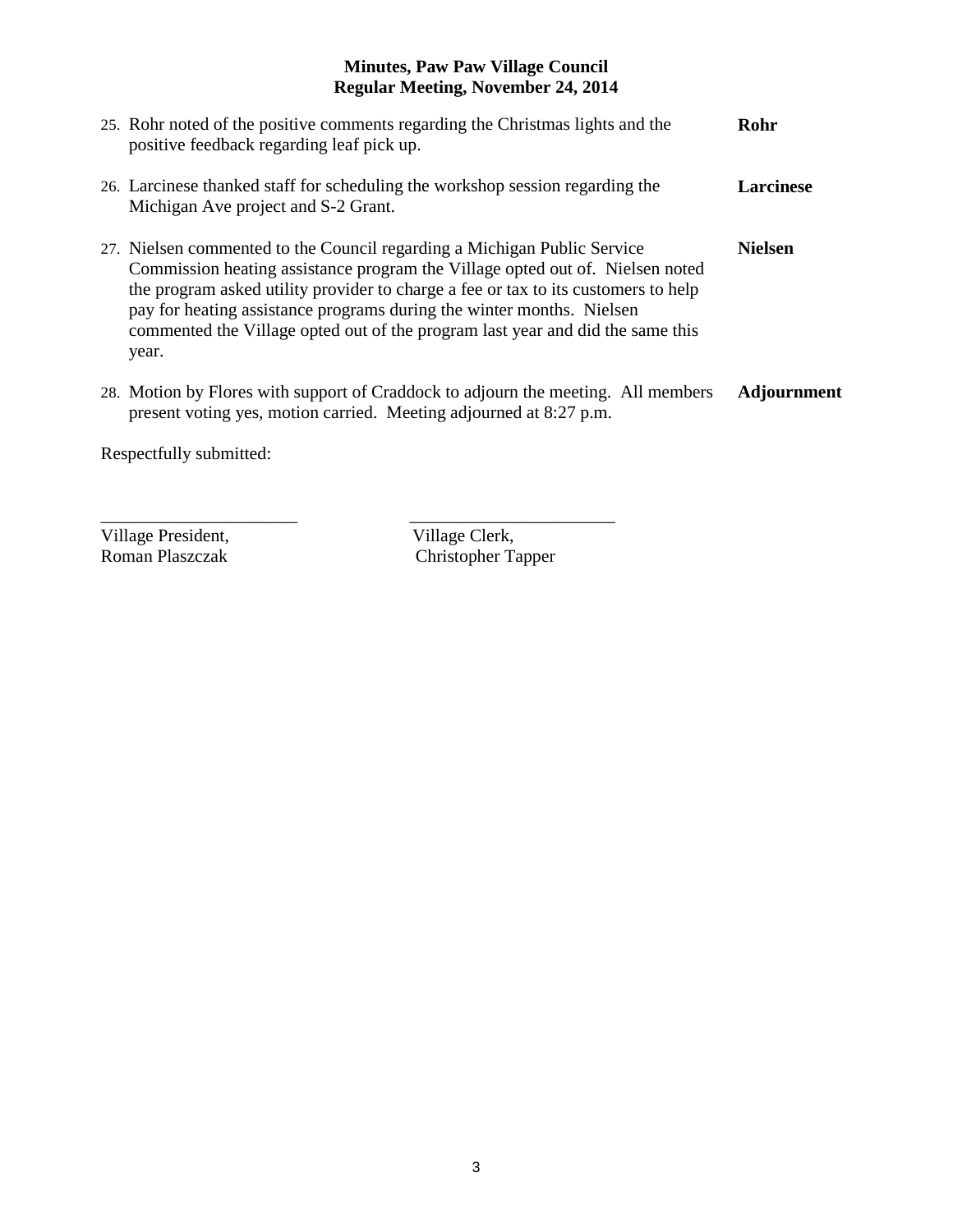### **Minutes, Paw Paw Village Council Regular Meeting, November 24, 2014**

| 25. Rohr noted of the positive comments regarding the Christmas lights and the<br>positive feedback regarding leaf pick up.                                                                                                                                                                                                                                                                                         | Rohr               |
|---------------------------------------------------------------------------------------------------------------------------------------------------------------------------------------------------------------------------------------------------------------------------------------------------------------------------------------------------------------------------------------------------------------------|--------------------|
| 26. Larcinese thanked staff for scheduling the workshop session regarding the<br>Michigan Ave project and S-2 Grant.                                                                                                                                                                                                                                                                                                | <b>Larcinese</b>   |
| 27. Nielsen commented to the Council regarding a Michigan Public Service<br>Commission heating assistance program the Village opted out of. Nielsen noted<br>the program asked utility provider to charge a fee or tax to its customers to help<br>pay for heating assistance programs during the winter months. Nielsen<br>commented the Village opted out of the program last year and did the same this<br>year. | <b>Nielsen</b>     |
| 28. Motion by Flores with support of Craddock to adjourn the meeting. All members<br>present voting yes, motion carried. Meeting adjourned at 8:27 p.m.                                                                                                                                                                                                                                                             | <b>Adjournment</b> |

Respectfully submitted:

Village President, Village Clerk,

\_\_\_\_\_\_\_\_\_\_\_\_\_\_\_\_\_\_\_\_\_\_ \_\_\_\_\_\_\_\_\_\_\_\_\_\_\_\_\_\_\_\_\_\_\_ Roman Plaszczak Christopher Tapper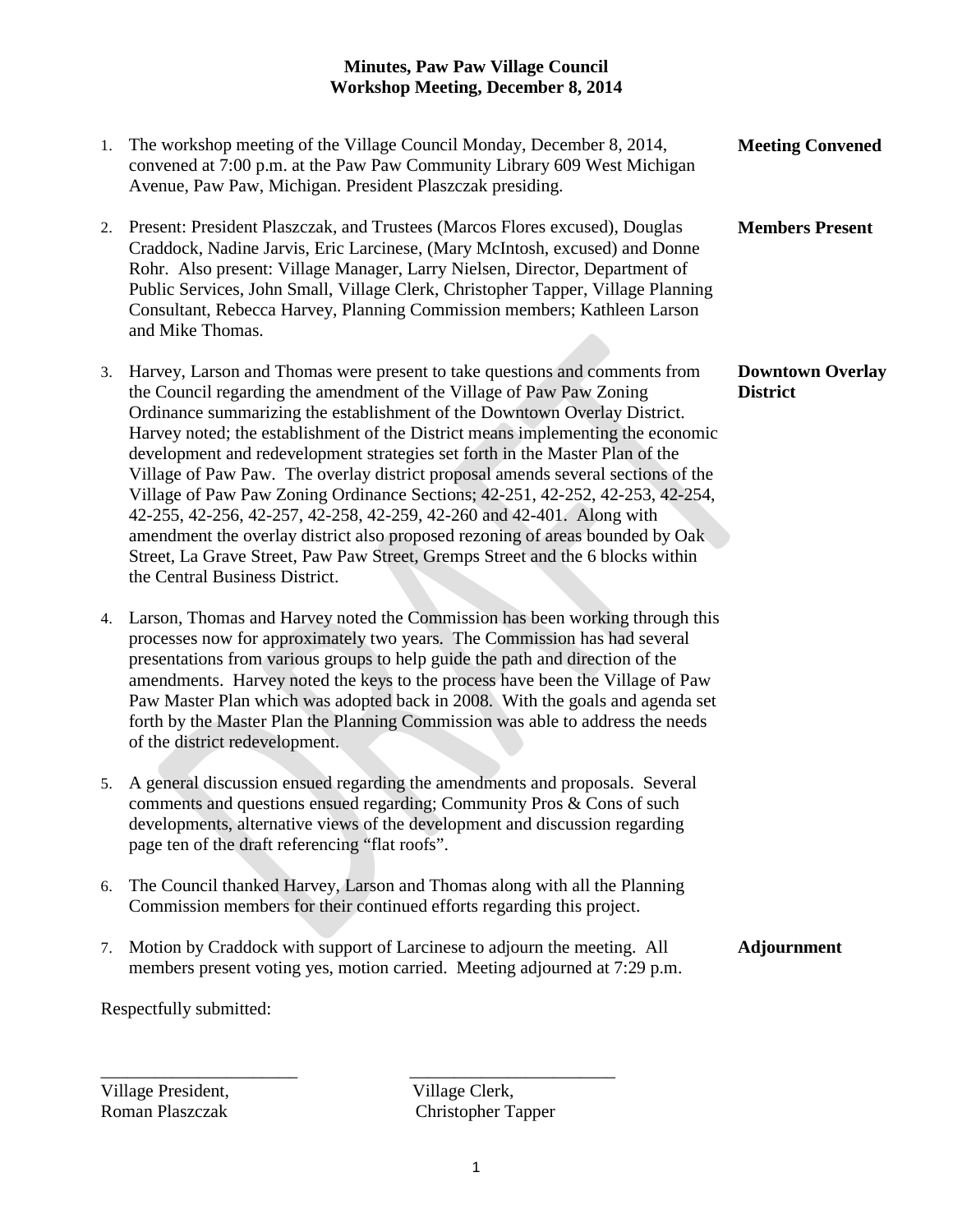#### **Minutes, Paw Paw Village Council Workshop Meeting, December 8, 2014**

- 1. The workshop meeting of the Village Council Monday, December 8, 2014, convened at 7:00 p.m. at the Paw Paw Community Library 609 West Michigan Avenue, Paw Paw, Michigan. President Plaszczak presiding. **Meeting Convened**
- 2. Present: President Plaszczak, and Trustees (Marcos Flores excused), Douglas Craddock, Nadine Jarvis, Eric Larcinese, (Mary McIntosh, excused) and Donne Rohr. Also present: Village Manager, Larry Nielsen, Director, Department of Public Services, John Small, Village Clerk, Christopher Tapper, Village Planning Consultant, Rebecca Harvey, Planning Commission members; Kathleen Larson and Mike Thomas.
- 3. Harvey, Larson and Thomas were present to take questions and comments from the Council regarding the amendment of the Village of Paw Paw Zoning Ordinance summarizing the establishment of the Downtown Overlay District. Harvey noted; the establishment of the District means implementing the economic development and redevelopment strategies set forth in the Master Plan of the Village of Paw Paw. The overlay district proposal amends several sections of the Village of Paw Paw Zoning Ordinance Sections; 42-251, 42-252, 42-253, 42-254, 42-255, 42-256, 42-257, 42-258, 42-259, 42-260 and 42-401. Along with amendment the overlay district also proposed rezoning of areas bounded by Oak Street, La Grave Street, Paw Paw Street, Gremps Street and the 6 blocks within the Central Business District.
- 4. Larson, Thomas and Harvey noted the Commission has been working through this processes now for approximately two years. The Commission has had several presentations from various groups to help guide the path and direction of the amendments. Harvey noted the keys to the process have been the Village of Paw Paw Master Plan which was adopted back in 2008. With the goals and agenda set forth by the Master Plan the Planning Commission was able to address the needs of the district redevelopment.
- 5. A general discussion ensued regarding the amendments and proposals. Several comments and questions ensued regarding; Community Pros & Cons of such developments, alternative views of the development and discussion regarding page ten of the draft referencing "flat roofs".
- 6. The Council thanked Harvey, Larson and Thomas along with all the Planning Commission members for their continued efforts regarding this project.

\_\_\_\_\_\_\_\_\_\_\_\_\_\_\_\_\_\_\_\_\_\_ \_\_\_\_\_\_\_\_\_\_\_\_\_\_\_\_\_\_\_\_\_\_\_

7. Motion by Craddock with support of Larcinese to adjourn the meeting. All members present voting yes, motion carried. Meeting adjourned at 7:29 p.m. **Adjournment**

Respectfully submitted:

Village President, Village Clerk, Village Clerk, Village Clerk, Village Clerk, Village Clerk, Village Clerk, Village Clerk, Village Clerk, Village Clerk, Village Clerk, Village Clerk, Village Clerk, Village Clerk, Village

Christopher Tapper

#### **Members Present**

**Downtown Overlay District**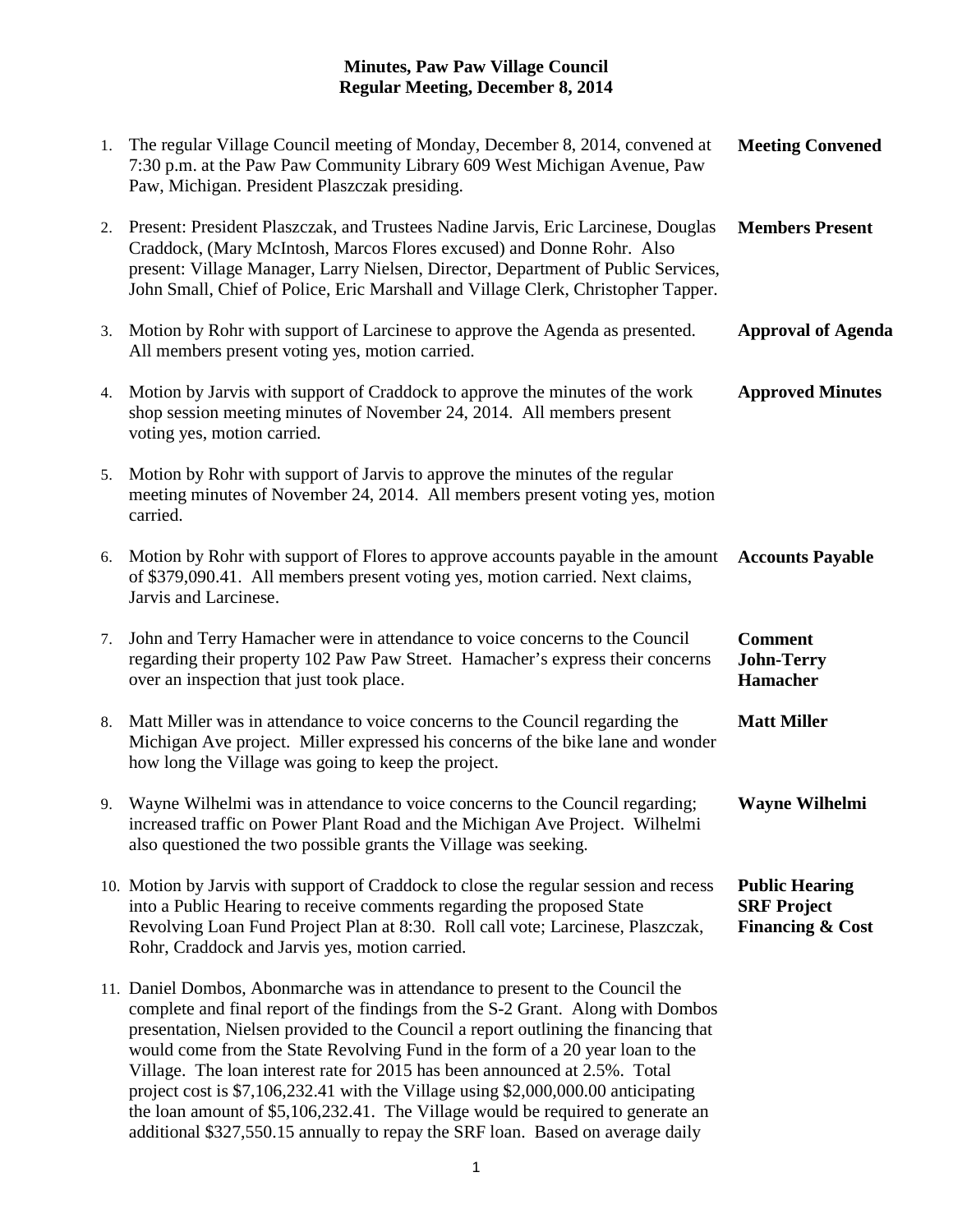#### **Minutes, Paw Paw Village Council Regular Meeting, December 8, 2014**

| 1. | The regular Village Council meeting of Monday, December 8, 2014, convened at<br>7:30 p.m. at the Paw Paw Community Library 609 West Michigan Avenue, Paw<br>Paw, Michigan. President Plaszczak presiding.                                                                                                                                                                                                                                                                                                                                                                                                                                                                        | <b>Meeting Convened</b>                                                    |
|----|----------------------------------------------------------------------------------------------------------------------------------------------------------------------------------------------------------------------------------------------------------------------------------------------------------------------------------------------------------------------------------------------------------------------------------------------------------------------------------------------------------------------------------------------------------------------------------------------------------------------------------------------------------------------------------|----------------------------------------------------------------------------|
| 2. | Present: President Plaszczak, and Trustees Nadine Jarvis, Eric Larcinese, Douglas<br>Craddock, (Mary McIntosh, Marcos Flores excused) and Donne Rohr. Also<br>present: Village Manager, Larry Nielsen, Director, Department of Public Services,<br>John Small, Chief of Police, Eric Marshall and Village Clerk, Christopher Tapper.                                                                                                                                                                                                                                                                                                                                             | <b>Members Present</b>                                                     |
| 3. | Motion by Rohr with support of Larcinese to approve the Agenda as presented.<br>All members present voting yes, motion carried.                                                                                                                                                                                                                                                                                                                                                                                                                                                                                                                                                  | <b>Approval of Agenda</b>                                                  |
| 4. | Motion by Jarvis with support of Craddock to approve the minutes of the work<br>shop session meeting minutes of November 24, 2014. All members present<br>voting yes, motion carried.                                                                                                                                                                                                                                                                                                                                                                                                                                                                                            | <b>Approved Minutes</b>                                                    |
| 5. | Motion by Rohr with support of Jarvis to approve the minutes of the regular<br>meeting minutes of November 24, 2014. All members present voting yes, motion<br>carried.                                                                                                                                                                                                                                                                                                                                                                                                                                                                                                          |                                                                            |
| 6. | Motion by Rohr with support of Flores to approve accounts payable in the amount<br>of \$379,090.41. All members present voting yes, motion carried. Next claims,<br>Jarvis and Larcinese.                                                                                                                                                                                                                                                                                                                                                                                                                                                                                        | <b>Accounts Payable</b>                                                    |
| 7. | John and Terry Hamacher were in attendance to voice concerns to the Council<br>regarding their property 102 Paw Paw Street. Hamacher's express their concerns<br>over an inspection that just took place.                                                                                                                                                                                                                                                                                                                                                                                                                                                                        | <b>Comment</b><br><b>John-Terry</b><br>Hamacher                            |
| 8. | Matt Miller was in attendance to voice concerns to the Council regarding the<br>Michigan Ave project. Miller expressed his concerns of the bike lane and wonder<br>how long the Village was going to keep the project.                                                                                                                                                                                                                                                                                                                                                                                                                                                           | <b>Matt Miller</b>                                                         |
| 9. | Wayne Wilhelmi was in attendance to voice concerns to the Council regarding;<br>increased traffic on Power Plant Road and the Michigan Ave Project. Wilhelmi<br>also questioned the two possible grants the Village was seeking.                                                                                                                                                                                                                                                                                                                                                                                                                                                 | <b>Wayne Wilhelmi</b>                                                      |
|    | 10. Motion by Jarvis with support of Craddock to close the regular session and recess<br>into a Public Hearing to receive comments regarding the proposed State<br>Revolving Loan Fund Project Plan at 8:30. Roll call vote; Larcinese, Plaszczak,<br>Rohr, Craddock and Jarvis yes, motion carried.                                                                                                                                                                                                                                                                                                                                                                             | <b>Public Hearing</b><br><b>SRF Project</b><br><b>Financing &amp; Cost</b> |
|    | 11. Daniel Dombos, Abonmarche was in attendance to present to the Council the<br>complete and final report of the findings from the S-2 Grant. Along with Dombos<br>presentation, Nielsen provided to the Council a report outlining the financing that<br>would come from the State Revolving Fund in the form of a 20 year loan to the<br>Village. The loan interest rate for 2015 has been announced at 2.5%. Total<br>project cost is \$7,106,232.41 with the Village using \$2,000,000.00 anticipating<br>the loan amount of \$5,106,232.41. The Village would be required to generate an<br>additional \$327,550.15 annually to repay the SRF loan. Based on average daily |                                                                            |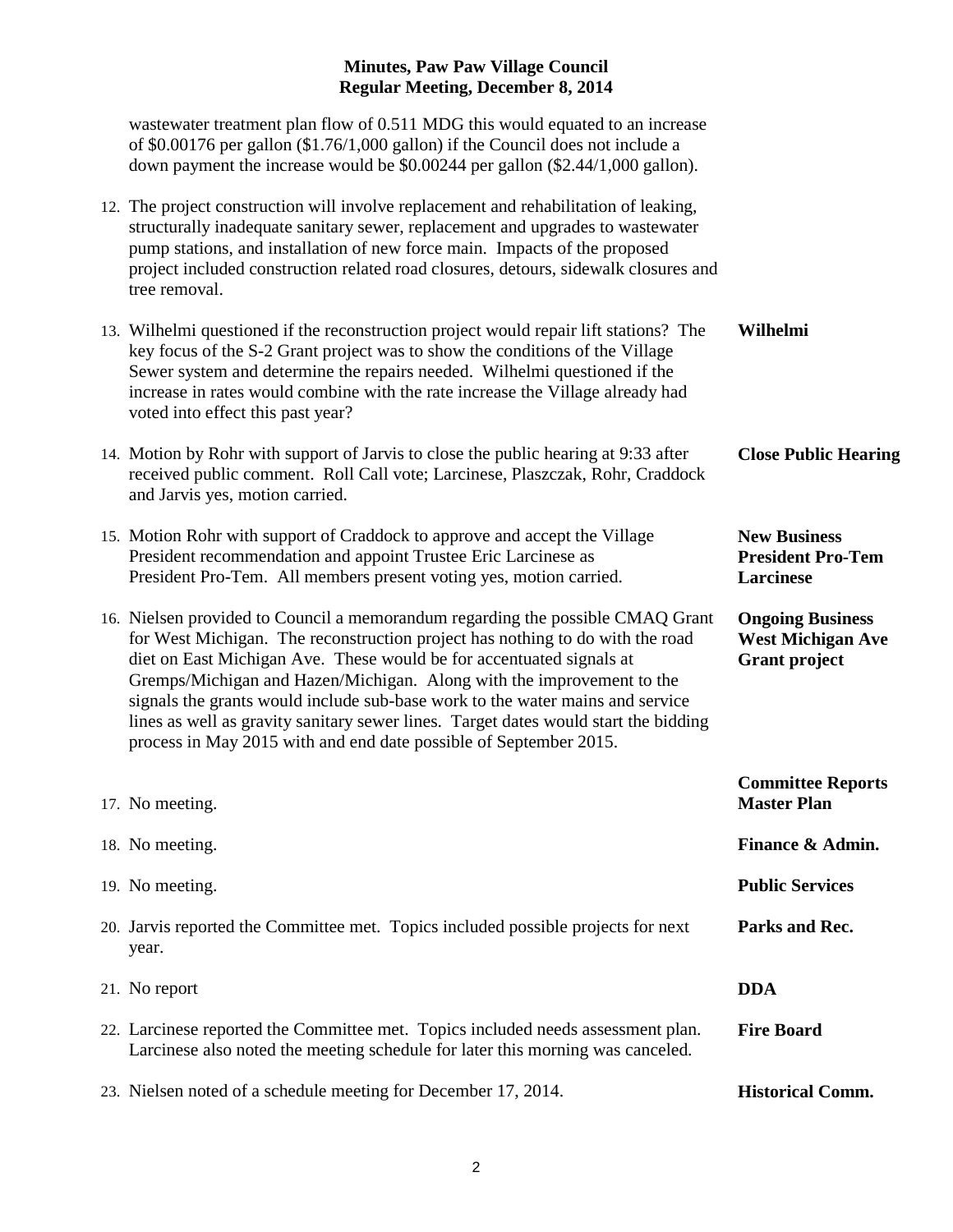### **Minutes, Paw Paw Village Council Regular Meeting, December 8, 2014**

| was tewater treatment plan flow of 0.511 MDG this would equated to an increase<br>of \$0.00176 per gallon (\$1.76/1,000 gallon) if the Council does not include a<br>down payment the increase would be \$0.00244 per gallon (\$2.44/1,000 gallon).                                                                                                                                                                                                                                                                                                           |                                                                             |
|---------------------------------------------------------------------------------------------------------------------------------------------------------------------------------------------------------------------------------------------------------------------------------------------------------------------------------------------------------------------------------------------------------------------------------------------------------------------------------------------------------------------------------------------------------------|-----------------------------------------------------------------------------|
| 12. The project construction will involve replacement and rehabilitation of leaking,<br>structurally inadequate sanitary sewer, replacement and upgrades to wastewater<br>pump stations, and installation of new force main. Impacts of the proposed<br>project included construction related road closures, detours, sidewalk closures and<br>tree removal.                                                                                                                                                                                                  |                                                                             |
| 13. Wilhelmi questioned if the reconstruction project would repair lift stations? The<br>key focus of the S-2 Grant project was to show the conditions of the Village<br>Sewer system and determine the repairs needed. Wilhelmi questioned if the<br>increase in rates would combine with the rate increase the Village already had<br>voted into effect this past year?                                                                                                                                                                                     | Wilhelmi                                                                    |
| 14. Motion by Rohr with support of Jarvis to close the public hearing at 9:33 after<br>received public comment. Roll Call vote; Larcinese, Plaszczak, Rohr, Craddock<br>and Jarvis yes, motion carried.                                                                                                                                                                                                                                                                                                                                                       | <b>Close Public Hearing</b>                                                 |
| 15. Motion Rohr with support of Craddock to approve and accept the Village<br>President recommendation and appoint Trustee Eric Larcinese as<br>President Pro-Tem. All members present voting yes, motion carried.                                                                                                                                                                                                                                                                                                                                            | <b>New Business</b><br><b>President Pro-Tem</b><br>Larcinese                |
| 16. Nielsen provided to Council a memorandum regarding the possible CMAQ Grant<br>for West Michigan. The reconstruction project has nothing to do with the road<br>diet on East Michigan Ave. These would be for accentuated signals at<br>Gremps/Michigan and Hazen/Michigan. Along with the improvement to the<br>signals the grants would include sub-base work to the water mains and service<br>lines as well as gravity sanitary sewer lines. Target dates would start the bidding<br>process in May 2015 with and end date possible of September 2015. | <b>Ongoing Business</b><br><b>West Michigan Ave</b><br><b>Grant project</b> |
| 17. No meeting.                                                                                                                                                                                                                                                                                                                                                                                                                                                                                                                                               | <b>Committee Reports</b><br><b>Master Plan</b>                              |
| 18. No meeting.                                                                                                                                                                                                                                                                                                                                                                                                                                                                                                                                               | Finance & Admin.                                                            |
| 19. No meeting.                                                                                                                                                                                                                                                                                                                                                                                                                                                                                                                                               | <b>Public Services</b>                                                      |
| 20. Jarvis reported the Committee met. Topics included possible projects for next<br>year.                                                                                                                                                                                                                                                                                                                                                                                                                                                                    | Parks and Rec.                                                              |
| 21. No report                                                                                                                                                                                                                                                                                                                                                                                                                                                                                                                                                 | <b>DDA</b>                                                                  |
| 22. Larcinese reported the Committee met. Topics included needs assessment plan.<br>Larcinese also noted the meeting schedule for later this morning was canceled.                                                                                                                                                                                                                                                                                                                                                                                            | <b>Fire Board</b>                                                           |
| 23. Nielsen noted of a schedule meeting for December 17, 2014.                                                                                                                                                                                                                                                                                                                                                                                                                                                                                                | <b>Historical Comm.</b>                                                     |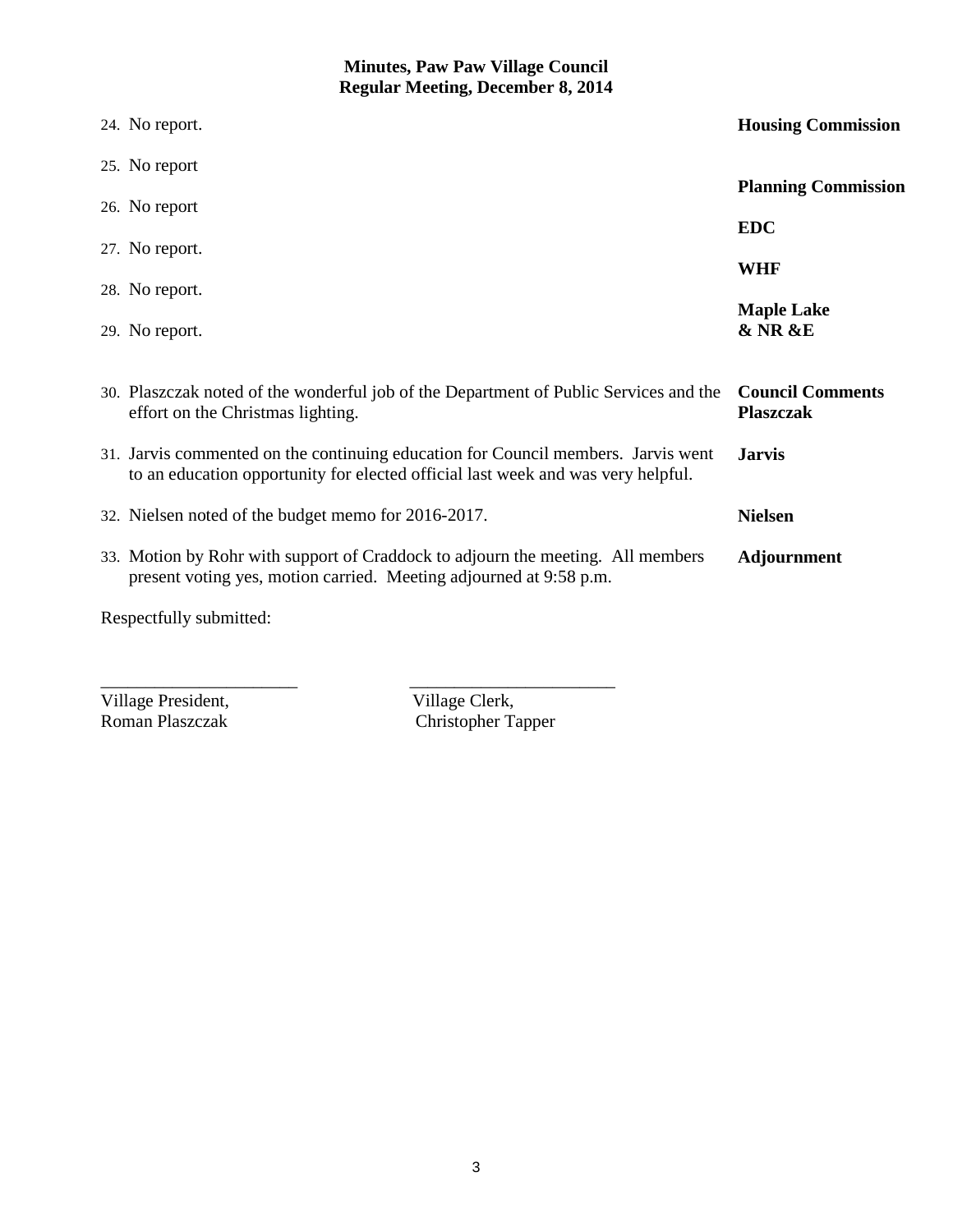### **Minutes, Paw Paw Village Council Regular Meeting, December 8, 2014**

| 24. No report.                                                                                                                                                        | <b>Housing Commission</b>                   |
|-----------------------------------------------------------------------------------------------------------------------------------------------------------------------|---------------------------------------------|
| 25. No report                                                                                                                                                         | <b>Planning Commission</b>                  |
| 26. No report                                                                                                                                                         |                                             |
| 27. No report.                                                                                                                                                        | <b>EDC</b>                                  |
| 28. No report.                                                                                                                                                        | <b>WHF</b>                                  |
| 29. No report.                                                                                                                                                        | <b>Maple Lake</b><br>& NR &E                |
| 30. Plaszczak noted of the wonderful job of the Department of Public Services and the<br>effort on the Christmas lighting.                                            | <b>Council Comments</b><br><b>Plaszczak</b> |
| 31. Jarvis commented on the continuing education for Council members. Jarvis went<br>to an education opportunity for elected official last week and was very helpful. | <b>Jarvis</b>                               |
| 32. Nielsen noted of the budget memo for 2016-2017.                                                                                                                   | <b>Nielsen</b>                              |
| 33. Motion by Rohr with support of Craddock to adjourn the meeting. All members<br>present voting yes, motion carried. Meeting adjourned at 9:58 p.m.                 | <b>Adjournment</b>                          |
|                                                                                                                                                                       |                                             |

Respectfully submitted:

Village President,<br>Roman Plaszczak

\_\_\_\_\_\_\_\_\_\_\_\_\_\_\_\_\_\_\_\_\_\_ \_\_\_\_\_\_\_\_\_\_\_\_\_\_\_\_\_\_\_\_\_\_\_ Roman Plaszczak Christopher Tapper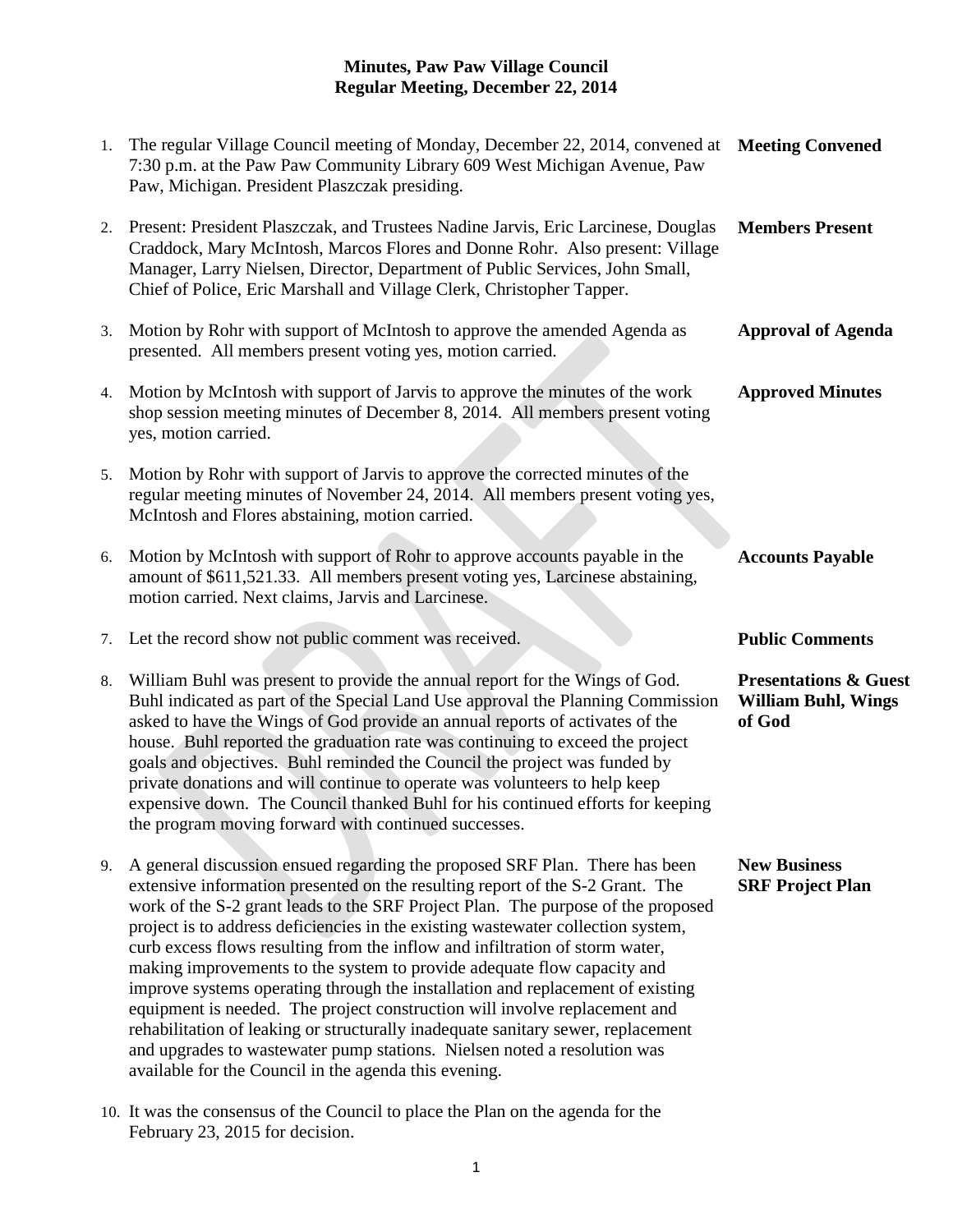### **Minutes, Paw Paw Village Council Regular Meeting, December 22, 2014**

| 1. | The regular Village Council meeting of Monday, December 22, 2014, convened at Meeting Convened<br>7:30 p.m. at the Paw Paw Community Library 609 West Michigan Avenue, Paw<br>Paw, Michigan. President Plaszczak presiding.                                                                                                                                                                                                                                                                                                                                                                                                          |                                                                          |
|----|--------------------------------------------------------------------------------------------------------------------------------------------------------------------------------------------------------------------------------------------------------------------------------------------------------------------------------------------------------------------------------------------------------------------------------------------------------------------------------------------------------------------------------------------------------------------------------------------------------------------------------------|--------------------------------------------------------------------------|
| 2. | Present: President Plaszczak, and Trustees Nadine Jarvis, Eric Larcinese, Douglas<br>Craddock, Mary McIntosh, Marcos Flores and Donne Rohr. Also present: Village<br>Manager, Larry Nielsen, Director, Department of Public Services, John Small,<br>Chief of Police, Eric Marshall and Village Clerk, Christopher Tapper.                                                                                                                                                                                                                                                                                                           | <b>Members Present</b>                                                   |
| 3. | Motion by Rohr with support of McIntosh to approve the amended Agenda as<br>presented. All members present voting yes, motion carried.                                                                                                                                                                                                                                                                                                                                                                                                                                                                                               | <b>Approval of Agenda</b>                                                |
| 4. | Motion by McIntosh with support of Jarvis to approve the minutes of the work<br>shop session meeting minutes of December 8, 2014. All members present voting<br>yes, motion carried.                                                                                                                                                                                                                                                                                                                                                                                                                                                 | <b>Approved Minutes</b>                                                  |
| 5. | Motion by Rohr with support of Jarvis to approve the corrected minutes of the<br>regular meeting minutes of November 24, 2014. All members present voting yes,<br>McIntosh and Flores abstaining, motion carried.                                                                                                                                                                                                                                                                                                                                                                                                                    |                                                                          |
| 6. | Motion by McIntosh with support of Rohr to approve accounts payable in the<br>amount of \$611,521.33. All members present voting yes, Larcinese abstaining,<br>motion carried. Next claims, Jarvis and Larcinese.                                                                                                                                                                                                                                                                                                                                                                                                                    | <b>Accounts Payable</b>                                                  |
| 7. | Let the record show not public comment was received.                                                                                                                                                                                                                                                                                                                                                                                                                                                                                                                                                                                 | <b>Public Comments</b>                                                   |
|    |                                                                                                                                                                                                                                                                                                                                                                                                                                                                                                                                                                                                                                      |                                                                          |
| 8. | William Buhl was present to provide the annual report for the Wings of God.<br>Buhl indicated as part of the Special Land Use approval the Planning Commission<br>asked to have the Wings of God provide an annual reports of activates of the<br>house. Buhl reported the graduation rate was continuing to exceed the project<br>goals and objectives. Buhl reminded the Council the project was funded by<br>private donations and will continue to operate was volunteers to help keep<br>expensive down. The Council thanked Buhl for his continued efforts for keeping<br>the program moving forward with continued successes. | <b>Presentations &amp; Guest</b><br><b>William Buhl, Wings</b><br>of God |

10. It was the consensus of the Council to place the Plan on the agenda for the February 23, 2015 for decision.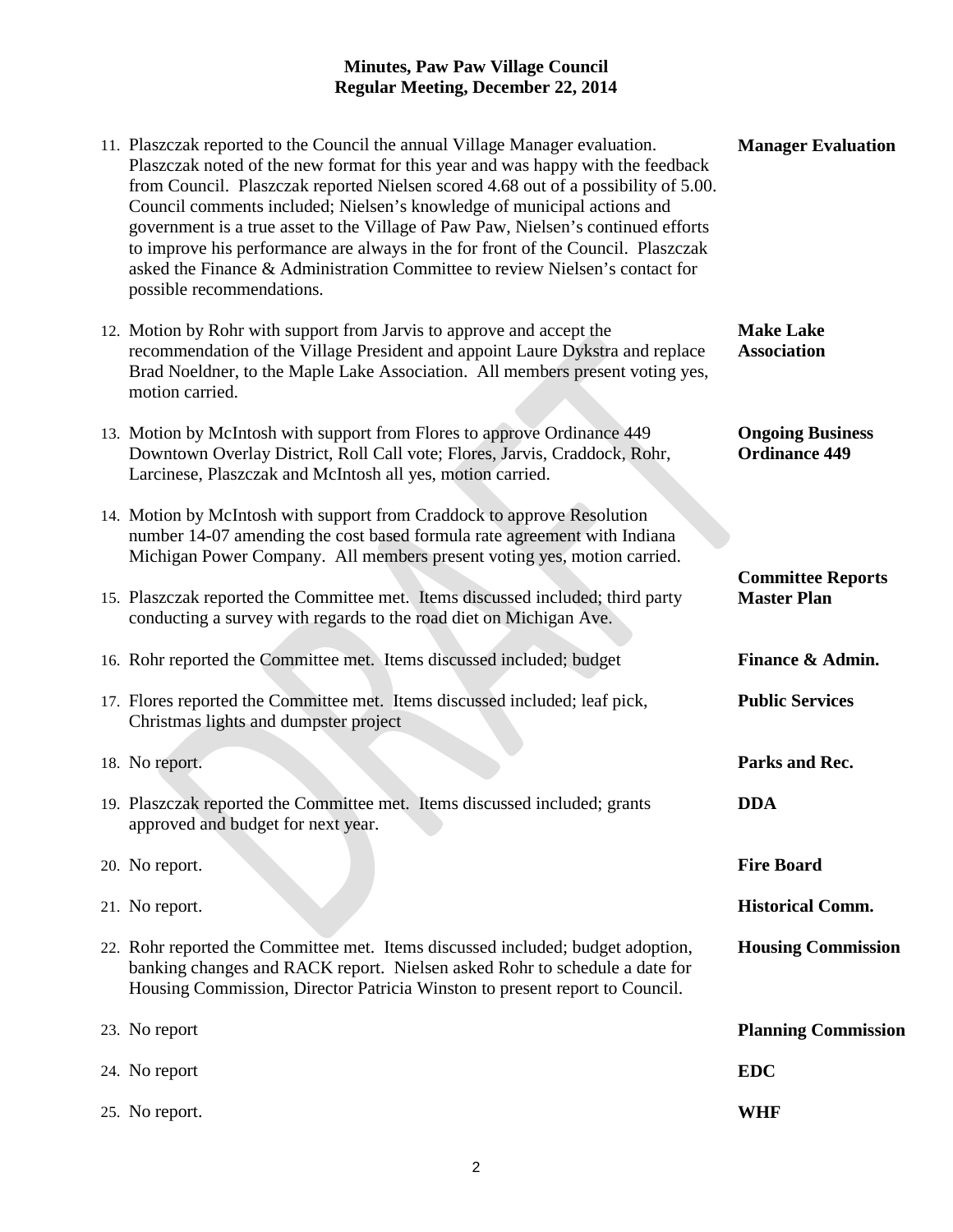#### **Minutes, Paw Paw Village Council Regular Meeting, December 22, 2014**

| 11. Plaszczak reported to the Council the annual Village Manager evaluation.<br>Plaszczak noted of the new format for this year and was happy with the feedback<br>from Council. Plaszczak reported Nielsen scored 4.68 out of a possibility of 5.00.<br>Council comments included; Nielsen's knowledge of municipal actions and<br>government is a true asset to the Village of Paw Paw, Nielsen's continued efforts<br>to improve his performance are always in the for front of the Council. Plaszczak<br>asked the Finance & Administration Committee to review Nielsen's contact for<br>possible recommendations. | <b>Manager Evaluation</b>                       |
|------------------------------------------------------------------------------------------------------------------------------------------------------------------------------------------------------------------------------------------------------------------------------------------------------------------------------------------------------------------------------------------------------------------------------------------------------------------------------------------------------------------------------------------------------------------------------------------------------------------------|-------------------------------------------------|
| 12. Motion by Rohr with support from Jarvis to approve and accept the<br>recommendation of the Village President and appoint Laure Dykstra and replace<br>Brad Noeldner, to the Maple Lake Association. All members present voting yes,<br>motion carried.                                                                                                                                                                                                                                                                                                                                                             | <b>Make Lake</b><br><b>Association</b>          |
| 13. Motion by McIntosh with support from Flores to approve Ordinance 449<br>Downtown Overlay District, Roll Call vote; Flores, Jarvis, Craddock, Rohr,<br>Larcinese, Plaszczak and McIntosh all yes, motion carried.                                                                                                                                                                                                                                                                                                                                                                                                   | <b>Ongoing Business</b><br><b>Ordinance 449</b> |
| 14. Motion by McIntosh with support from Craddock to approve Resolution<br>number 14-07 amending the cost based formula rate agreement with Indiana<br>Michigan Power Company. All members present voting yes, motion carried.                                                                                                                                                                                                                                                                                                                                                                                         |                                                 |
| 15. Plaszczak reported the Committee met. Items discussed included; third party<br>conducting a survey with regards to the road diet on Michigan Ave.                                                                                                                                                                                                                                                                                                                                                                                                                                                                  | <b>Committee Reports</b><br><b>Master Plan</b>  |
| 16. Rohr reported the Committee met. Items discussed included; budget                                                                                                                                                                                                                                                                                                                                                                                                                                                                                                                                                  | Finance & Admin.                                |
| 17. Flores reported the Committee met. Items discussed included; leaf pick,<br>Christmas lights and dumpster project                                                                                                                                                                                                                                                                                                                                                                                                                                                                                                   | <b>Public Services</b>                          |
| 18. No report.                                                                                                                                                                                                                                                                                                                                                                                                                                                                                                                                                                                                         | Parks and Rec.                                  |
| 19. Plaszczak reported the Committee met. Items discussed included; grants<br>approved and budget for next year.                                                                                                                                                                                                                                                                                                                                                                                                                                                                                                       | <b>DDA</b>                                      |
| 20. No report.                                                                                                                                                                                                                                                                                                                                                                                                                                                                                                                                                                                                         | <b>Fire Board</b>                               |
| 21. No report.                                                                                                                                                                                                                                                                                                                                                                                                                                                                                                                                                                                                         | <b>Historical Comm.</b>                         |
| 22. Rohr reported the Committee met. Items discussed included; budget adoption,<br>banking changes and RACK report. Nielsen asked Rohr to schedule a date for<br>Housing Commission, Director Patricia Winston to present report to Council.                                                                                                                                                                                                                                                                                                                                                                           | <b>Housing Commission</b>                       |
| 23. No report                                                                                                                                                                                                                                                                                                                                                                                                                                                                                                                                                                                                          | <b>Planning Commission</b>                      |
| 24. No report                                                                                                                                                                                                                                                                                                                                                                                                                                                                                                                                                                                                          | <b>EDC</b>                                      |
| 25. No report.                                                                                                                                                                                                                                                                                                                                                                                                                                                                                                                                                                                                         | <b>WHF</b>                                      |